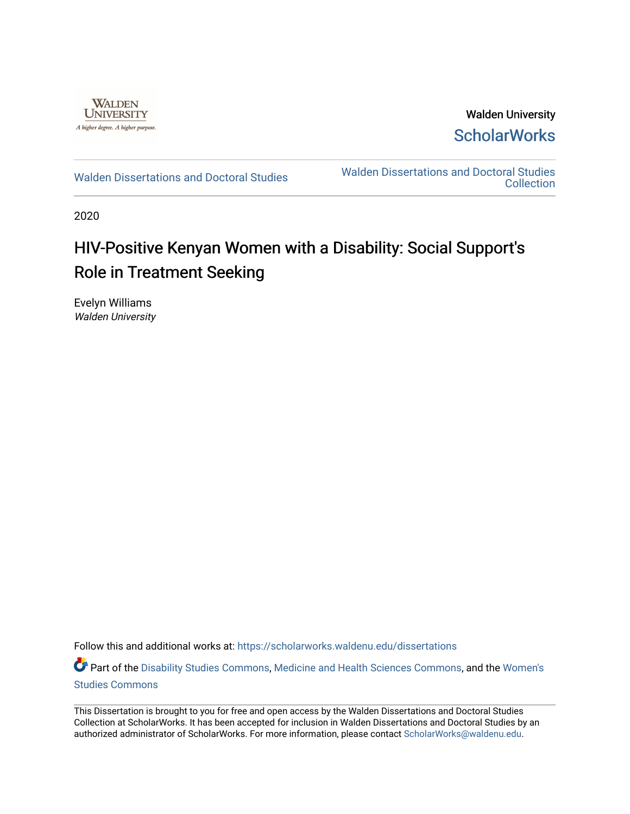

Walden University **ScholarWorks** 

[Walden Dissertations and Doctoral Studies](https://scholarworks.waldenu.edu/dissertations) Walden Dissertations and Doctoral Studies **Collection** 

2020

# HIV-Positive Kenyan Women with a Disability: Social Support's Role in Treatment Seeking

Evelyn Williams Walden University

Follow this and additional works at: [https://scholarworks.waldenu.edu/dissertations](https://scholarworks.waldenu.edu/dissertations?utm_source=scholarworks.waldenu.edu%2Fdissertations%2F8657&utm_medium=PDF&utm_campaign=PDFCoverPages)

Part of the [Disability Studies Commons](http://network.bepress.com/hgg/discipline/1417?utm_source=scholarworks.waldenu.edu%2Fdissertations%2F8657&utm_medium=PDF&utm_campaign=PDFCoverPages), [Medicine and Health Sciences Commons,](http://network.bepress.com/hgg/discipline/648?utm_source=scholarworks.waldenu.edu%2Fdissertations%2F8657&utm_medium=PDF&utm_campaign=PDFCoverPages) and the [Women's](http://network.bepress.com/hgg/discipline/561?utm_source=scholarworks.waldenu.edu%2Fdissertations%2F8657&utm_medium=PDF&utm_campaign=PDFCoverPages)  [Studies Commons](http://network.bepress.com/hgg/discipline/561?utm_source=scholarworks.waldenu.edu%2Fdissertations%2F8657&utm_medium=PDF&utm_campaign=PDFCoverPages) 

This Dissertation is brought to you for free and open access by the Walden Dissertations and Doctoral Studies Collection at ScholarWorks. It has been accepted for inclusion in Walden Dissertations and Doctoral Studies by an authorized administrator of ScholarWorks. For more information, please contact [ScholarWorks@waldenu.edu](mailto:ScholarWorks@waldenu.edu).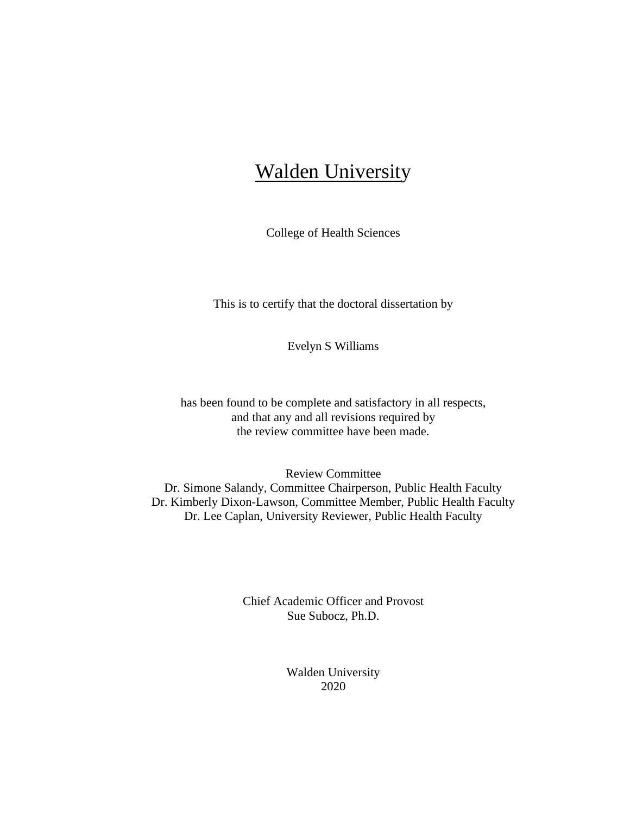## **Walden University**

College of Health Sciences

This is to certify that the doctoral dissertation by

Evelyn S Williams

has been found to be complete and satisfactory in all respects, and that any and all revisions required by the review committee have been made.

Review Committee Dr. Simone Salandy, Committee Chairperson, Public Health Faculty Dr. Kimberly Dixon-Lawson, Committee Member, Public Health Faculty Dr. Lee Caplan, University Reviewer, Public Health Faculty

> Chief Academic Officer and Provost Sue Subocz, Ph.D.

> > Walden University 2020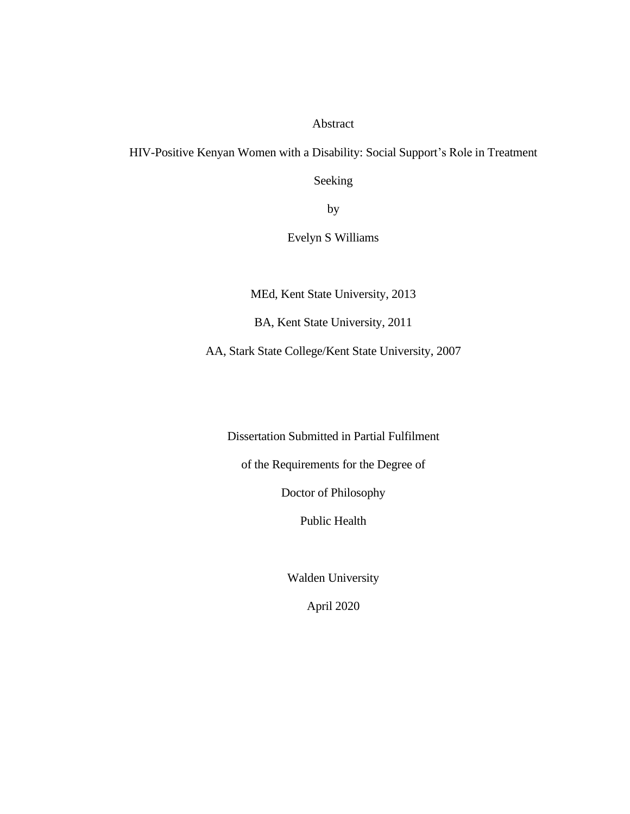### Abstract

HIV-Positive Kenyan Women with a Disability: Social Support's Role in Treatment

Seeking

by

Evelyn S Williams

MEd, Kent State University, 2013

BA, Kent State University, 2011

AA, Stark State College/Kent State University, 2007

Dissertation Submitted in Partial Fulfilment

of the Requirements for the Degree of

Doctor of Philosophy

Public Health

Walden University

April 2020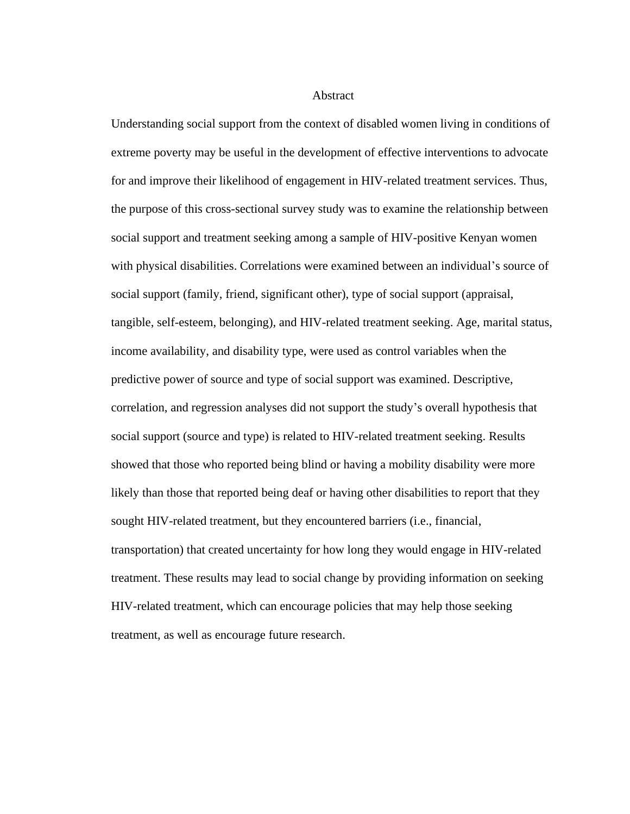#### Abstract

Understanding social support from the context of disabled women living in conditions of extreme poverty may be useful in the development of effective interventions to advocate for and improve their likelihood of engagement in HIV-related treatment services. Thus, the purpose of this cross-sectional survey study was to examine the relationship between social support and treatment seeking among a sample of HIV-positive Kenyan women with physical disabilities. Correlations were examined between an individual's source of social support (family, friend, significant other), type of social support (appraisal, tangible, self-esteem, belonging), and HIV-related treatment seeking. Age, marital status, income availability, and disability type, were used as control variables when the predictive power of source and type of social support was examined. Descriptive, correlation, and regression analyses did not support the study's overall hypothesis that social support (source and type) is related to HIV-related treatment seeking. Results showed that those who reported being blind or having a mobility disability were more likely than those that reported being deaf or having other disabilities to report that they sought HIV-related treatment, but they encountered barriers (i.e., financial, transportation) that created uncertainty for how long they would engage in HIV-related treatment. These results may lead to social change by providing information on seeking HIV-related treatment, which can encourage policies that may help those seeking treatment, as well as encourage future research.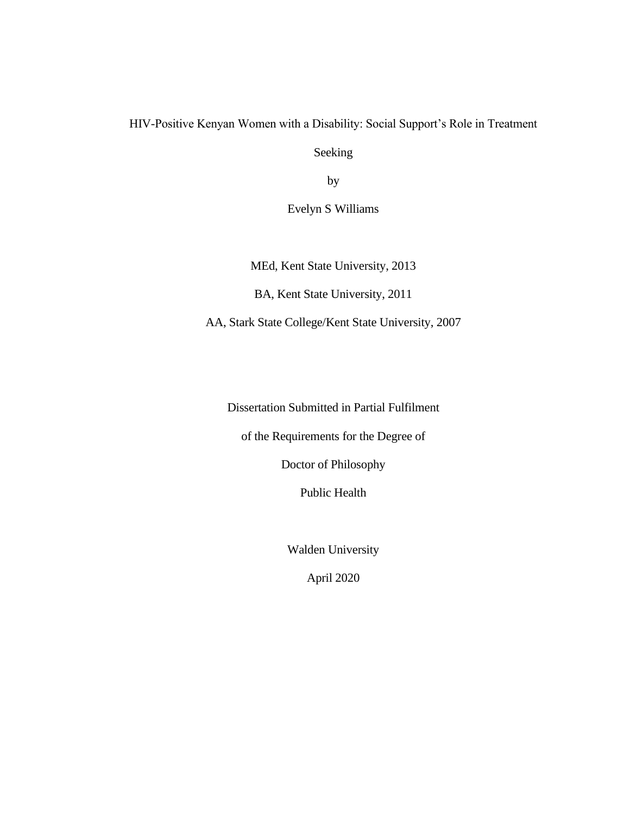HIV-Positive Kenyan Women with a Disability: Social Support's Role in Treatment

Seeking

by

Evelyn S Williams

MEd, Kent State University, 2013

BA, Kent State University, 2011

AA, Stark State College/Kent State University, 2007

Dissertation Submitted in Partial Fulfilment

of the Requirements for the Degree of

Doctor of Philosophy

Public Health

Walden University

April 2020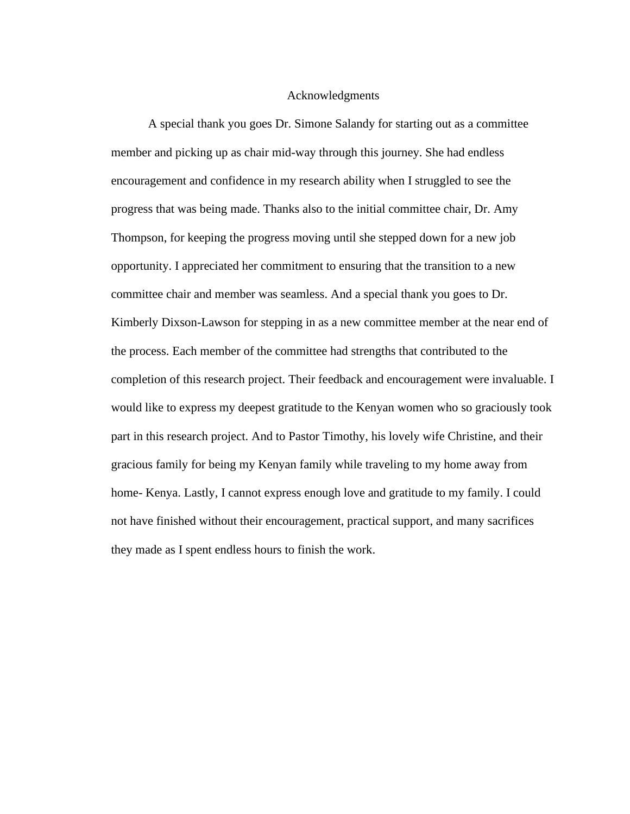#### Acknowledgments

A special thank you goes Dr. Simone Salandy for starting out as a committee member and picking up as chair mid-way through this journey. She had endless encouragement and confidence in my research ability when I struggled to see the progress that was being made. Thanks also to the initial committee chair, Dr. Amy Thompson, for keeping the progress moving until she stepped down for a new job opportunity. I appreciated her commitment to ensuring that the transition to a new committee chair and member was seamless. And a special thank you goes to Dr. Kimberly Dixson-Lawson for stepping in as a new committee member at the near end of the process. Each member of the committee had strengths that contributed to the completion of this research project. Their feedback and encouragement were invaluable. I would like to express my deepest gratitude to the Kenyan women who so graciously took part in this research project. And to Pastor Timothy, his lovely wife Christine, and their gracious family for being my Kenyan family while traveling to my home away from home- Kenya. Lastly, I cannot express enough love and gratitude to my family. I could not have finished without their encouragement, practical support, and many sacrifices they made as I spent endless hours to finish the work.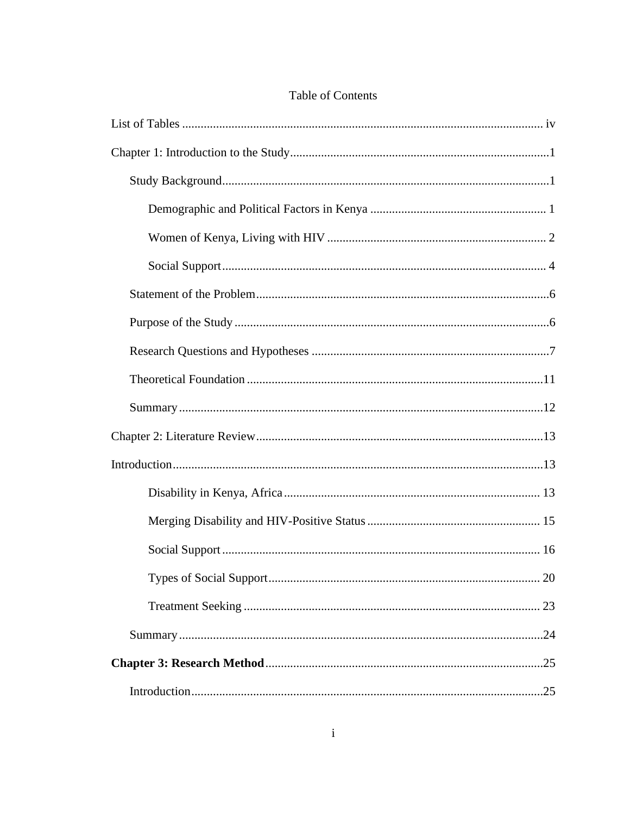## Table of Contents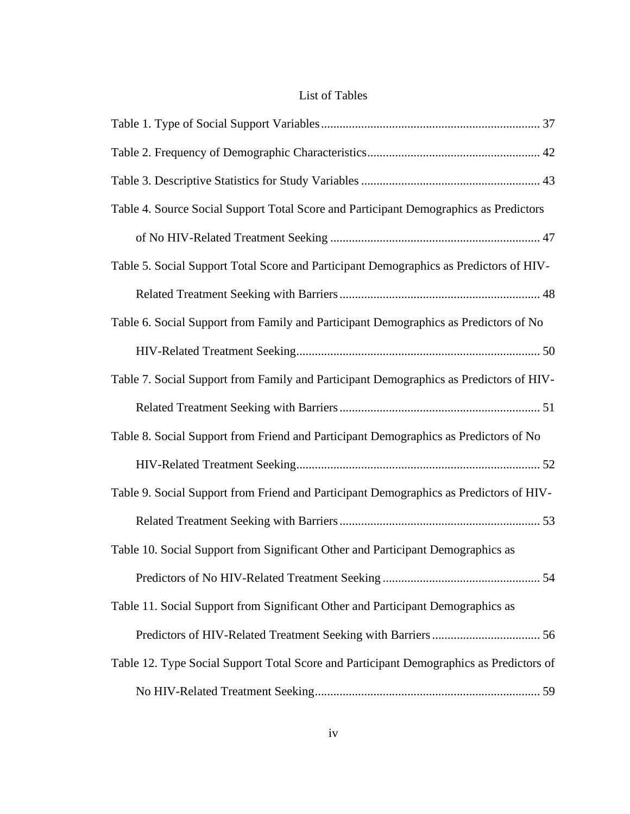## List of Tables

<span id="page-9-0"></span>

| Table 4. Source Social Support Total Score and Participant Demographics as Predictors   |
|-----------------------------------------------------------------------------------------|
|                                                                                         |
| Table 5. Social Support Total Score and Participant Demographics as Predictors of HIV-  |
|                                                                                         |
| Table 6. Social Support from Family and Participant Demographics as Predictors of No    |
|                                                                                         |
| Table 7. Social Support from Family and Participant Demographics as Predictors of HIV-  |
|                                                                                         |
| Table 8. Social Support from Friend and Participant Demographics as Predictors of No    |
|                                                                                         |
| Table 9. Social Support from Friend and Participant Demographics as Predictors of HIV-  |
|                                                                                         |
| Table 10. Social Support from Significant Other and Participant Demographics as         |
|                                                                                         |
| Table 11. Social Support from Significant Other and Participant Demographics as         |
|                                                                                         |
| Table 12. Type Social Support Total Score and Participant Demographics as Predictors of |
|                                                                                         |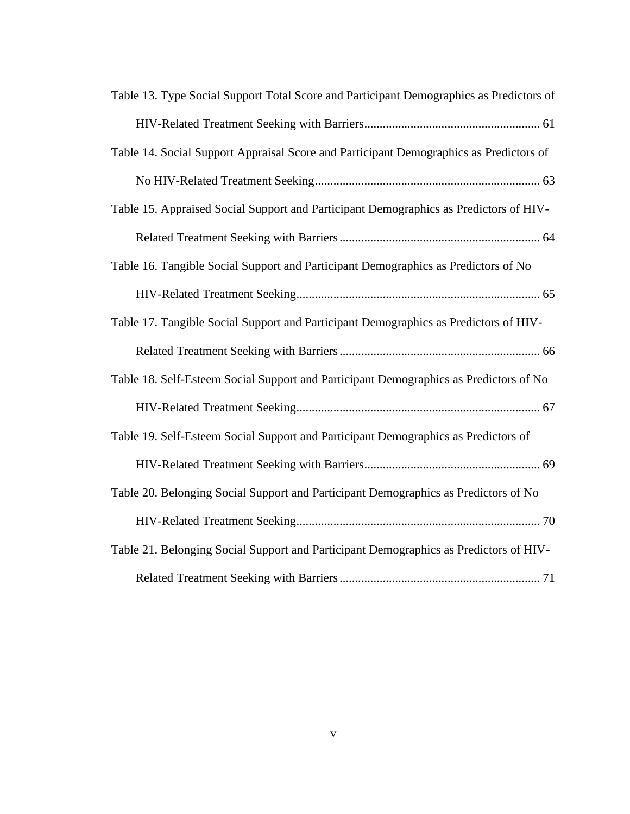| Table 13. Type Social Support Total Score and Participant Demographics as Predictors of |
|-----------------------------------------------------------------------------------------|
|                                                                                         |
| Table 14. Social Support Appraisal Score and Participant Demographics as Predictors of  |
|                                                                                         |
| Table 15. Appraised Social Support and Participant Demographics as Predictors of HIV-   |
|                                                                                         |
| Table 16. Tangible Social Support and Participant Demographics as Predictors of No      |
|                                                                                         |
| Table 17. Tangible Social Support and Participant Demographics as Predictors of HIV-    |
|                                                                                         |
| Table 18. Self-Esteem Social Support and Participant Demographics as Predictors of No   |
|                                                                                         |
| Table 19. Self-Esteem Social Support and Participant Demographics as Predictors of      |
|                                                                                         |
| Table 20. Belonging Social Support and Participant Demographics as Predictors of No     |
|                                                                                         |
| Table 21. Belonging Social Support and Participant Demographics as Predictors of HIV-   |
|                                                                                         |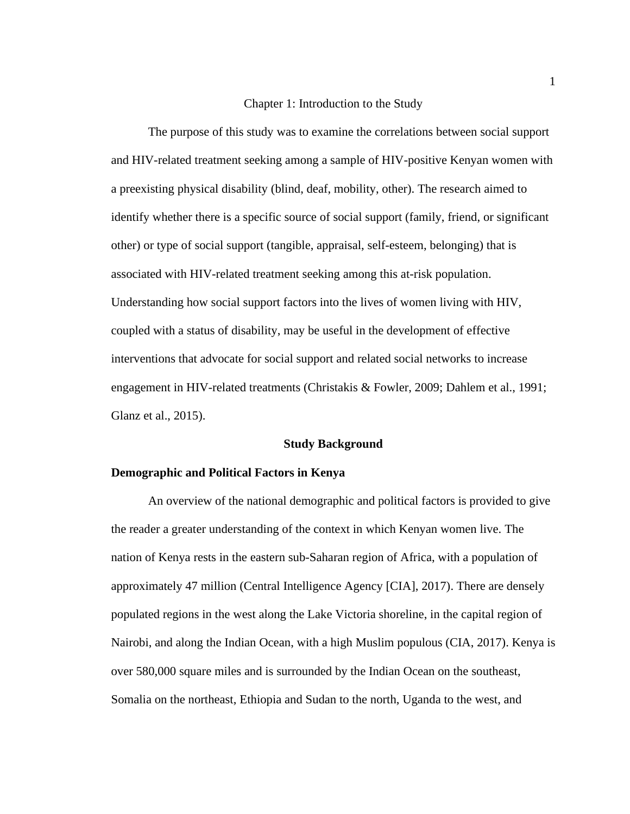#### Chapter 1: Introduction to the Study

<span id="page-11-0"></span>The purpose of this study was to examine the correlations between social support and HIV-related treatment seeking among a sample of HIV-positive Kenyan women with a preexisting physical disability (blind, deaf, mobility, other). The research aimed to identify whether there is a specific source of social support (family, friend, or significant other) or type of social support (tangible, appraisal, self-esteem, belonging) that is associated with HIV-related treatment seeking among this at-risk population. Understanding how social support factors into the lives of women living with HIV, coupled with a status of disability, may be useful in the development of effective interventions that advocate for social support and related social networks to increase engagement in HIV-related treatments (Christakis & Fowler, 2009; Dahlem et al., 1991; Glanz et al., 2015).

#### **Study Background**

#### <span id="page-11-2"></span><span id="page-11-1"></span>**Demographic and Political Factors in Kenya**

An overview of the national demographic and political factors is provided to give the reader a greater understanding of the context in which Kenyan women live. The nation of Kenya rests in the eastern sub-Saharan region of Africa, with a population of approximately 47 million (Central Intelligence Agency [CIA], 2017). There are densely populated regions in the west along the Lake Victoria shoreline, in the capital region of Nairobi, and along the Indian Ocean, with a high Muslim populous (CIA, 2017). Kenya is over 580,000 square miles and is surrounded by the Indian Ocean on the southeast, Somalia on the northeast, Ethiopia and Sudan to the north, Uganda to the west, and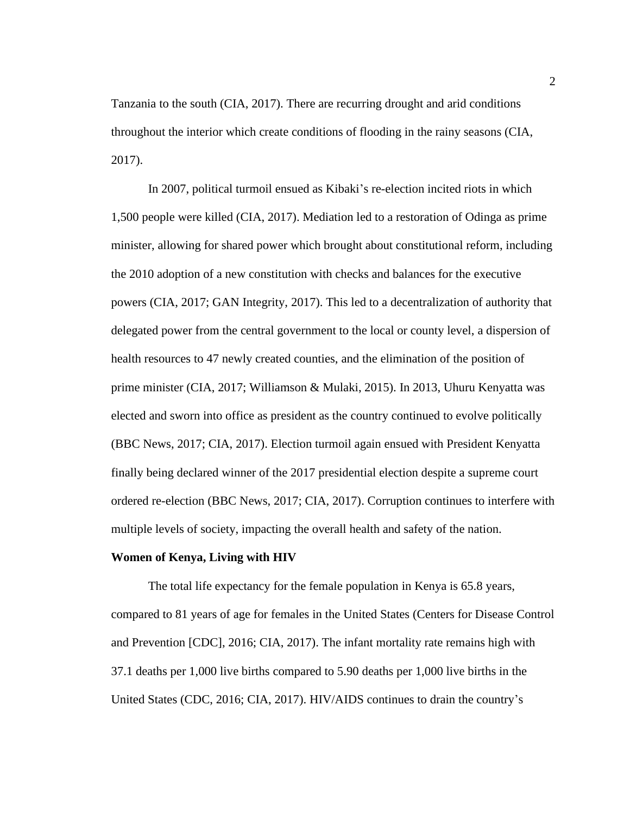Tanzania to the south (CIA, 2017). There are recurring drought and arid conditions throughout the interior which create conditions of flooding in the rainy seasons (CIA, 2017).

In 2007, political turmoil ensued as Kibaki's re-election incited riots in which 1,500 people were killed (CIA, 2017). Mediation led to a restoration of Odinga as prime minister, allowing for shared power which brought about constitutional reform, including the 2010 adoption of a new constitution with checks and balances for the executive powers (CIA, 2017; GAN Integrity, 2017). This led to a decentralization of authority that delegated power from the central government to the local or county level, a dispersion of health resources to 47 newly created counties, and the elimination of the position of prime minister (CIA, 2017; Williamson & Mulaki, 2015). In 2013, Uhuru Kenyatta was elected and sworn into office as president as the country continued to evolve politically (BBC News, 2017; CIA, 2017). Election turmoil again ensued with President Kenyatta finally being declared winner of the 2017 presidential election despite a supreme court ordered re-election (BBC News, 2017; CIA, 2017). Corruption continues to interfere with multiple levels of society, impacting the overall health and safety of the nation.

#### <span id="page-12-0"></span>**Women of Kenya, Living with HIV**

The total life expectancy for the female population in Kenya is 65.8 years, compared to 81 years of age for females in the United States (Centers for Disease Control and Prevention [CDC], 2016; CIA, 2017). The infant mortality rate remains high with 37.1 deaths per 1,000 live births compared to 5.90 deaths per 1,000 live births in the United States (CDC, 2016; CIA, 2017). HIV/AIDS continues to drain the country's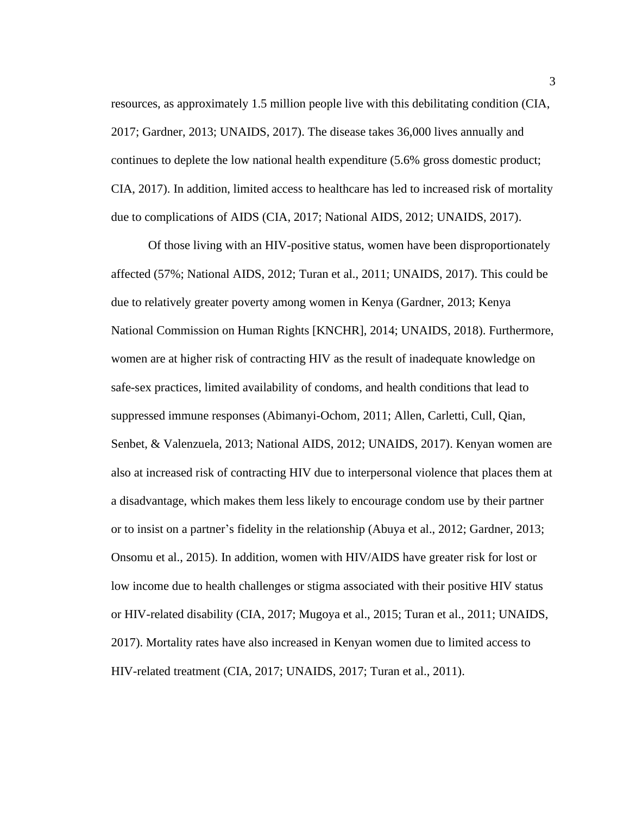resources, as approximately 1.5 million people live with this debilitating condition (CIA, 2017; Gardner, 2013; UNAIDS, 2017). The disease takes 36,000 lives annually and continues to deplete the low national health expenditure (5.6% gross domestic product; CIA, 2017). In addition, limited access to healthcare has led to increased risk of mortality due to complications of AIDS (CIA, 2017; National AIDS, 2012; UNAIDS, 2017).

Of those living with an HIV-positive status, women have been disproportionately affected (57%; National AIDS, 2012; Turan et al., 2011; UNAIDS, 2017). This could be due to relatively greater poverty among women in Kenya (Gardner, 2013; Kenya National Commission on Human Rights [KNCHR], 2014; UNAIDS, 2018). Furthermore, women are at higher risk of contracting HIV as the result of inadequate knowledge on safe-sex practices, limited availability of condoms, and health conditions that lead to suppressed immune responses (Abimanyi-Ochom, 2011; Allen, Carletti, Cull, Qian, Senbet, & Valenzuela, 2013; National AIDS, 2012; UNAIDS, 2017). Kenyan women are also at increased risk of contracting HIV due to interpersonal violence that places them at a disadvantage, which makes them less likely to encourage condom use by their partner or to insist on a partner's fidelity in the relationship (Abuya et al., 2012; Gardner, 2013; Onsomu et al., 2015). In addition, women with HIV/AIDS have greater risk for lost or low income due to health challenges or stigma associated with their positive HIV status or HIV-related disability (CIA, 2017; Mugoya et al., 2015; Turan et al., 2011; UNAIDS, 2017). Mortality rates have also increased in Kenyan women due to limited access to HIV-related treatment (CIA, 2017; UNAIDS, 2017; Turan et al., 2011).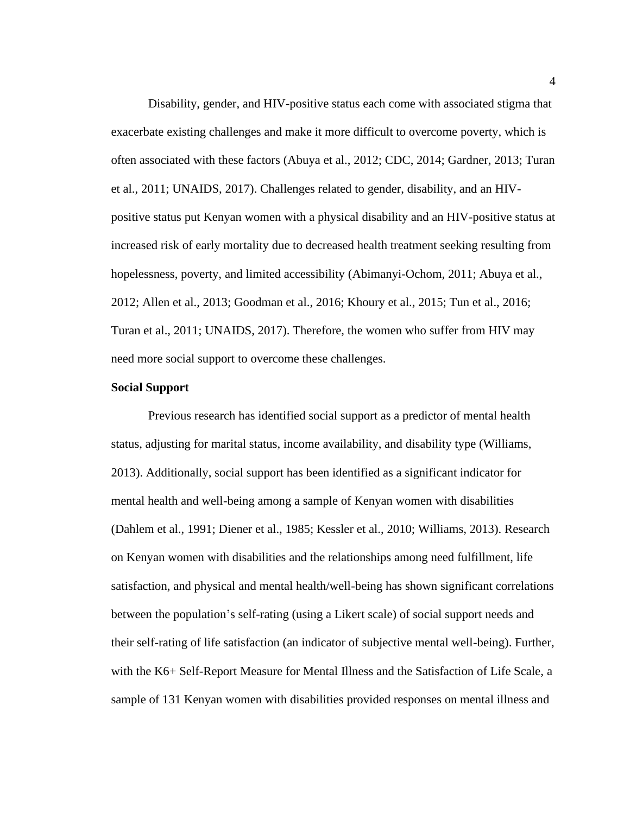Disability, gender, and HIV-positive status each come with associated stigma that exacerbate existing challenges and make it more difficult to overcome poverty, which is often associated with these factors (Abuya et al., 2012; CDC, 2014; Gardner, 2013; Turan et al., 2011; UNAIDS, 2017). Challenges related to gender, disability, and an HIVpositive status put Kenyan women with a physical disability and an HIV-positive status at increased risk of early mortality due to decreased health treatment seeking resulting from hopelessness, poverty, and limited accessibility (Abimanyi-Ochom, 2011; Abuya et al., 2012; Allen et al., 2013; Goodman et al., 2016; Khoury et al., 2015; Tun et al., 2016; Turan et al., 2011; UNAIDS, 2017). Therefore, the women who suffer from HIV may need more social support to overcome these challenges.

#### <span id="page-14-0"></span>**Social Support**

Previous research has identified social support as a predictor of mental health status, adjusting for marital status, income availability, and disability type (Williams, 2013). Additionally, social support has been identified as a significant indicator for mental health and well-being among a sample of Kenyan women with disabilities (Dahlem et al., 1991; Diener et al., 1985; Kessler et al., 2010; Williams, 2013). Research on Kenyan women with disabilities and the relationships among need fulfillment, life satisfaction, and physical and mental health/well-being has shown significant correlations between the population's self-rating (using a Likert scale) of social support needs and their self-rating of life satisfaction (an indicator of subjective mental well-being). Further, with the K6+ Self-Report Measure for Mental Illness and the Satisfaction of Life Scale, a sample of 131 Kenyan women with disabilities provided responses on mental illness and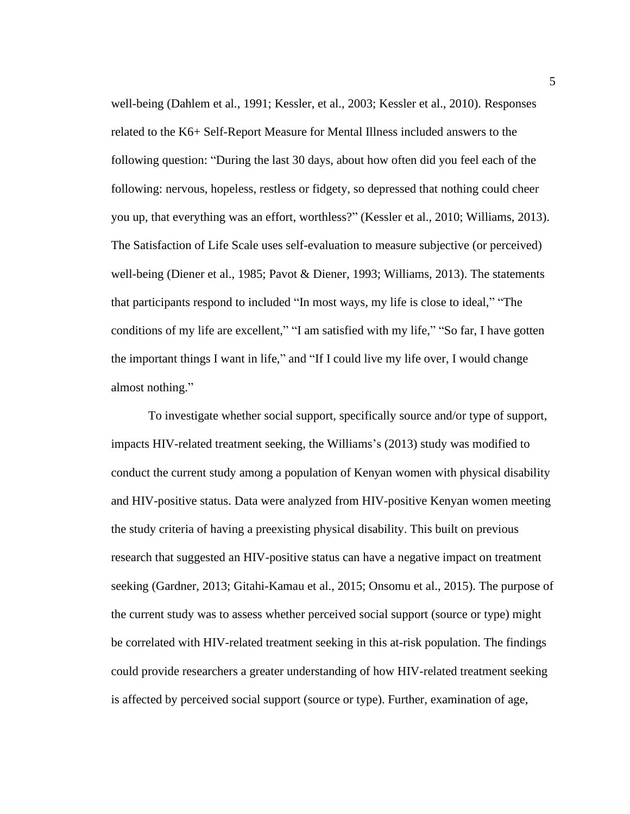well-being (Dahlem et al., 1991; Kessler, et al., 2003; Kessler et al., 2010). Responses related to the K6+ Self-Report Measure for Mental Illness included answers to the following question: "During the last 30 days, about how often did you feel each of the following: nervous, hopeless, restless or fidgety, so depressed that nothing could cheer you up, that everything was an effort, worthless?" (Kessler et al., 2010; Williams, 2013). The Satisfaction of Life Scale uses self-evaluation to measure subjective (or perceived) well-being (Diener et al., 1985; Pavot & Diener, 1993; Williams, 2013). The statements that participants respond to included "In most ways, my life is close to ideal," "The conditions of my life are excellent," "I am satisfied with my life," "So far, I have gotten the important things I want in life," and "If I could live my life over, I would change almost nothing."

To investigate whether social support, specifically source and/or type of support, impacts HIV-related treatment seeking, the Williams's (2013) study was modified to conduct the current study among a population of Kenyan women with physical disability and HIV-positive status. Data were analyzed from HIV-positive Kenyan women meeting the study criteria of having a preexisting physical disability. This built on previous research that suggested an HIV-positive status can have a negative impact on treatment seeking (Gardner, 2013; Gitahi-Kamau et al., 2015; Onsomu et al., 2015). The purpose of the current study was to assess whether perceived social support (source or type) might be correlated with HIV-related treatment seeking in this at-risk population. The findings could provide researchers a greater understanding of how HIV-related treatment seeking is affected by perceived social support (source or type). Further, examination of age,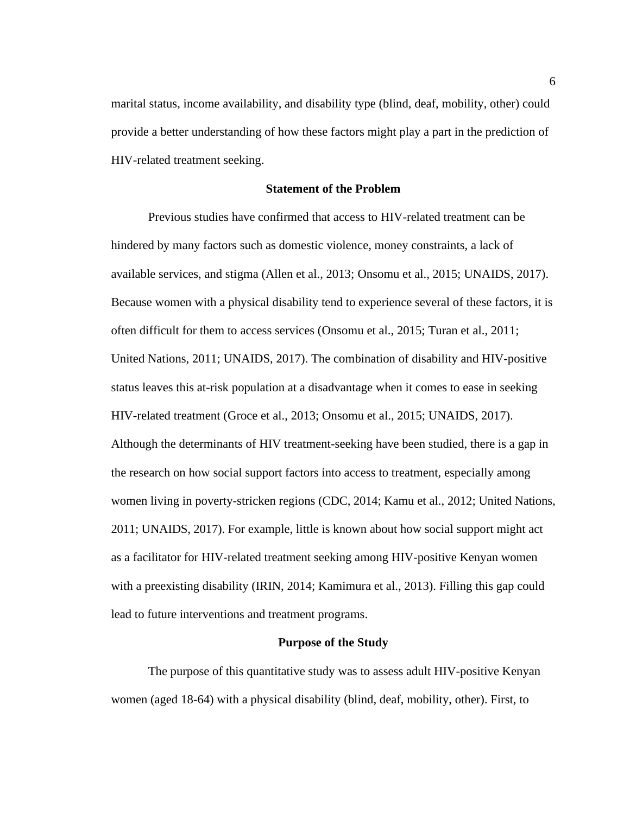marital status, income availability, and disability type (blind, deaf, mobility, other) could provide a better understanding of how these factors might play a part in the prediction of HIV-related treatment seeking.

#### **Statement of the Problem**

<span id="page-16-0"></span>Previous studies have confirmed that access to HIV-related treatment can be hindered by many factors such as domestic violence, money constraints, a lack of available services, and stigma (Allen et al., 2013; Onsomu et al., 2015; UNAIDS, 2017). Because women with a physical disability tend to experience several of these factors, it is often difficult for them to access services (Onsomu et al., 2015; Turan et al., 2011; United Nations, 2011; UNAIDS, 2017). The combination of disability and HIV-positive status leaves this at-risk population at a disadvantage when it comes to ease in seeking HIV-related treatment (Groce et al., 2013; Onsomu et al., 2015; UNAIDS, 2017). Although the determinants of HIV treatment-seeking have been studied, there is a gap in the research on how social support factors into access to treatment, especially among women living in poverty-stricken regions (CDC, 2014; Kamu et al., 2012; United Nations, 2011; UNAIDS, 2017). For example, little is known about how social support might act as a facilitator for HIV-related treatment seeking among HIV-positive Kenyan women with a preexisting disability (IRIN, 2014; Kamimura et al., 2013). Filling this gap could lead to future interventions and treatment programs.

#### **Purpose of the Study**

<span id="page-16-1"></span>The purpose of this quantitative study was to assess adult HIV-positive Kenyan women (aged 18-64) with a physical disability (blind, deaf, mobility, other). First, to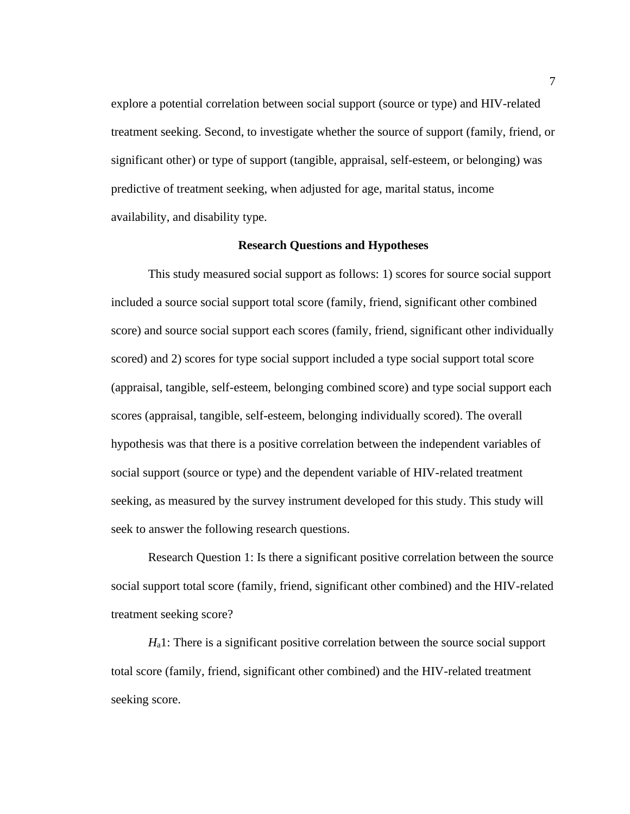explore a potential correlation between social support (source or type) and HIV-related treatment seeking. Second, to investigate whether the source of support (family, friend, or significant other) or type of support (tangible, appraisal, self-esteem, or belonging) was predictive of treatment seeking, when adjusted for age, marital status, income availability, and disability type.

#### **Research Questions and Hypotheses**

<span id="page-17-0"></span>This study measured social support as follows: 1) scores for source social support included a source social support total score (family, friend, significant other combined score) and source social support each scores (family, friend, significant other individually scored) and 2) scores for type social support included a type social support total score (appraisal, tangible, self-esteem, belonging combined score) and type social support each scores (appraisal, tangible, self-esteem, belonging individually scored). The overall hypothesis was that there is a positive correlation between the independent variables of social support (source or type) and the dependent variable of HIV-related treatment seeking, as measured by the survey instrument developed for this study. This study will seek to answer the following research questions.

Research Question 1: Is there a significant positive correlation between the source social support total score (family, friend, significant other combined) and the HIV-related treatment seeking score?

*H*a1: There is a significant positive correlation between the source social support total score (family, friend, significant other combined) and the HIV-related treatment seeking score.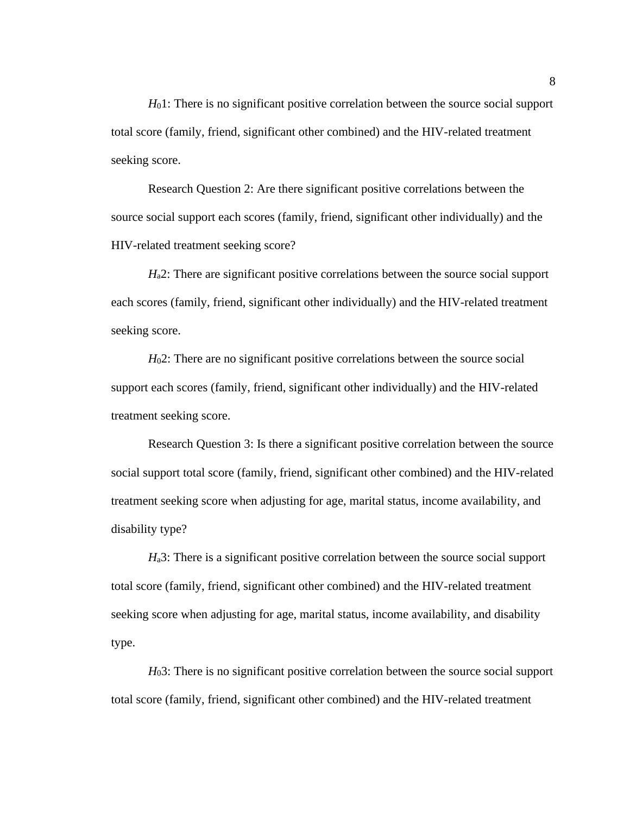*H*<sub>0</sub>1: There is no significant positive correlation between the source social support total score (family, friend, significant other combined) and the HIV-related treatment seeking score.

Research Question 2: Are there significant positive correlations between the source social support each scores (family, friend, significant other individually) and the HIV-related treatment seeking score?

*H*a2: There are significant positive correlations between the source social support each scores (family, friend, significant other individually) and the HIV-related treatment seeking score.

*H*02: There are no significant positive correlations between the source social support each scores (family, friend, significant other individually) and the HIV-related treatment seeking score.

Research Question 3: Is there a significant positive correlation between the source social support total score (family, friend, significant other combined) and the HIV-related treatment seeking score when adjusting for age, marital status, income availability, and disability type?

*H*a3: There is a significant positive correlation between the source social support total score (family, friend, significant other combined) and the HIV-related treatment seeking score when adjusting for age, marital status, income availability, and disability type.

*H*03: There is no significant positive correlation between the source social support total score (family, friend, significant other combined) and the HIV-related treatment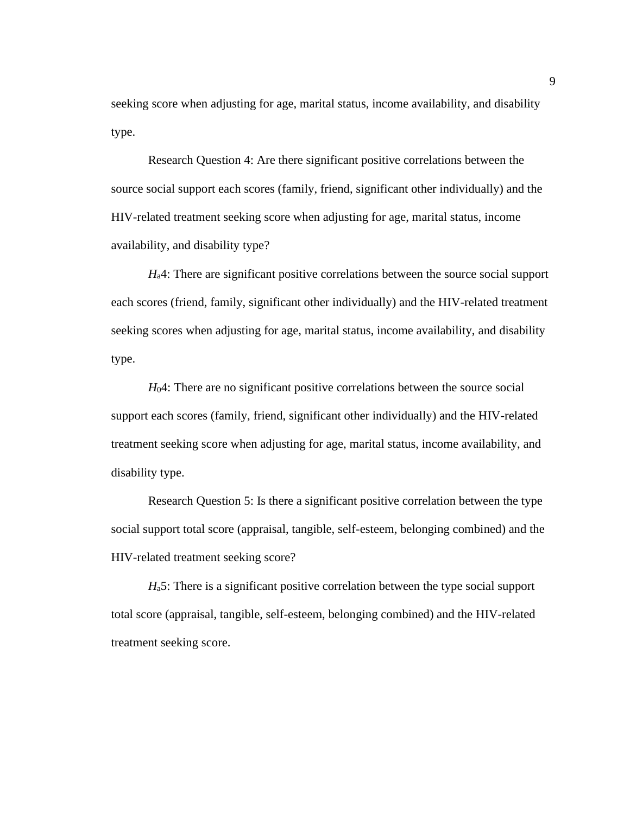seeking score when adjusting for age, marital status, income availability, and disability type.

Research Question 4: Are there significant positive correlations between the source social support each scores (family, friend, significant other individually) and the HIV-related treatment seeking score when adjusting for age, marital status, income availability, and disability type?

*H*a4: There are significant positive correlations between the source social support each scores (friend, family, significant other individually) and the HIV-related treatment seeking scores when adjusting for age, marital status, income availability, and disability type.

*H*04: There are no significant positive correlations between the source social support each scores (family, friend, significant other individually) and the HIV-related treatment seeking score when adjusting for age, marital status, income availability, and disability type.

Research Question 5: Is there a significant positive correlation between the type social support total score (appraisal, tangible, self-esteem, belonging combined) and the HIV-related treatment seeking score?

*H*a5: There is a significant positive correlation between the type social support total score (appraisal, tangible, self-esteem, belonging combined) and the HIV-related treatment seeking score.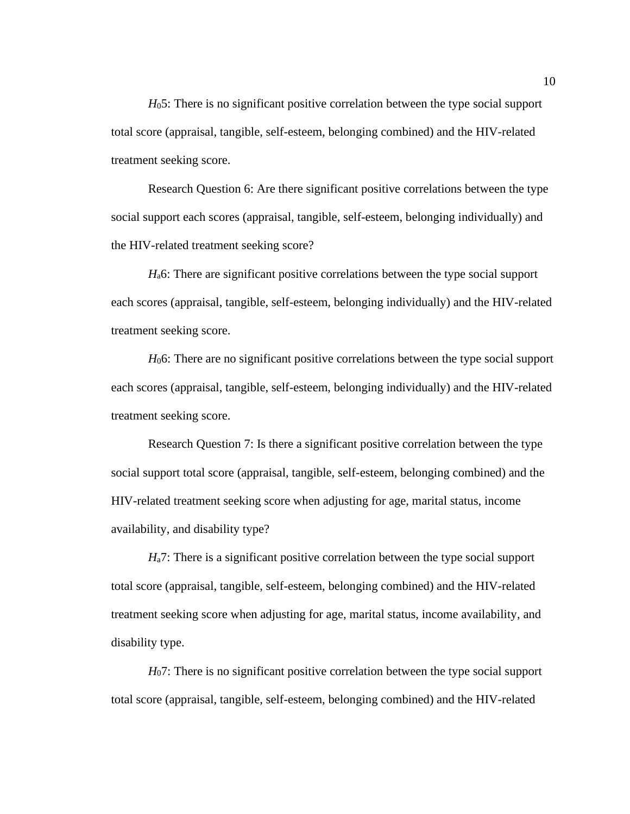*H*05: There is no significant positive correlation between the type social support total score (appraisal, tangible, self-esteem, belonging combined) and the HIV-related treatment seeking score.

Research Question 6: Are there significant positive correlations between the type social support each scores (appraisal, tangible, self-esteem, belonging individually) and the HIV-related treatment seeking score?

*H*a6: There are significant positive correlations between the type social support each scores (appraisal, tangible, self-esteem, belonging individually) and the HIV-related treatment seeking score.

*H*06: There are no significant positive correlations between the type social support each scores (appraisal, tangible, self-esteem, belonging individually) and the HIV-related treatment seeking score.

Research Question 7: Is there a significant positive correlation between the type social support total score (appraisal, tangible, self-esteem, belonging combined) and the HIV-related treatment seeking score when adjusting for age, marital status, income availability, and disability type?

*H*<sub>a</sub>7: There is a significant positive correlation between the type social support total score (appraisal, tangible, self-esteem, belonging combined) and the HIV-related treatment seeking score when adjusting for age, marital status, income availability, and disability type.

*H*07: There is no significant positive correlation between the type social support total score (appraisal, tangible, self-esteem, belonging combined) and the HIV-related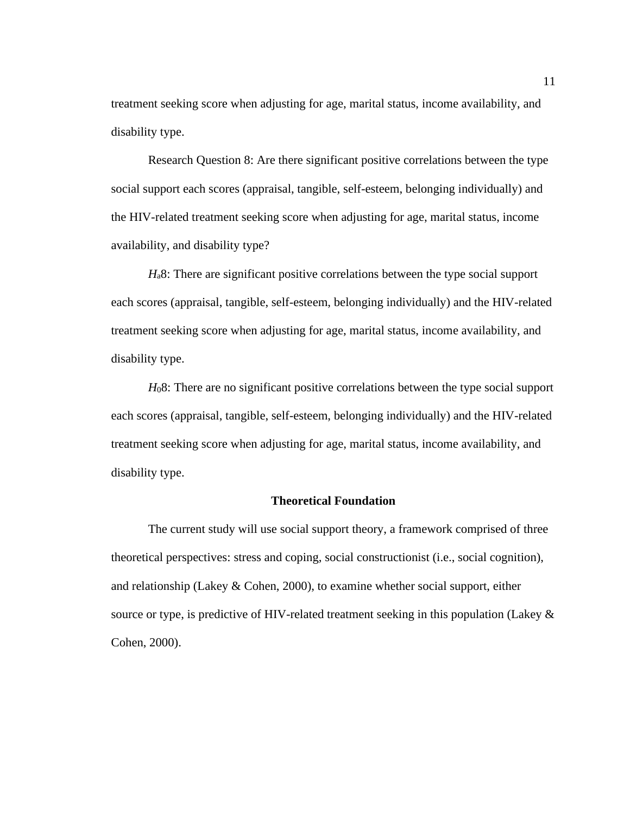treatment seeking score when adjusting for age, marital status, income availability, and disability type.

Research Question 8: Are there significant positive correlations between the type social support each scores (appraisal, tangible, self-esteem, belonging individually) and the HIV-related treatment seeking score when adjusting for age, marital status, income availability, and disability type?

*H*a8: There are significant positive correlations between the type social support each scores (appraisal, tangible, self-esteem, belonging individually) and the HIV-related treatment seeking score when adjusting for age, marital status, income availability, and disability type.

*H*08: There are no significant positive correlations between the type social support each scores (appraisal, tangible, self-esteem, belonging individually) and the HIV-related treatment seeking score when adjusting for age, marital status, income availability, and disability type.

#### **Theoretical Foundation**

<span id="page-21-0"></span>The current study will use social support theory, a framework comprised of three theoretical perspectives: stress and coping, social constructionist (i.e., social cognition), and relationship (Lakey  $& Cohen, 2000$ ), to examine whether social support, either source or type, is predictive of HIV-related treatment seeking in this population (Lakey & Cohen, 2000).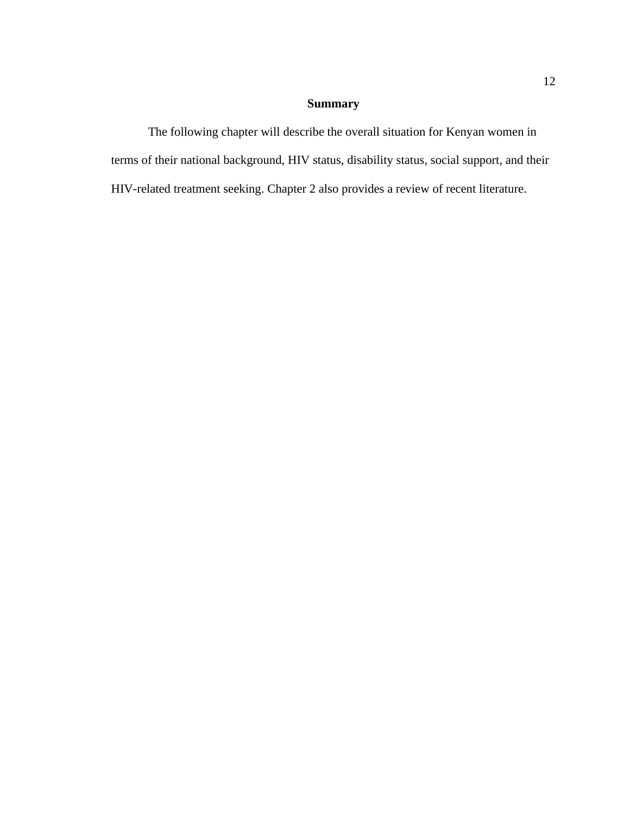### **Summary**

<span id="page-22-0"></span>The following chapter will describe the overall situation for Kenyan women in terms of their national background, HIV status, disability status, social support, and their HIV-related treatment seeking. Chapter 2 also provides a review of recent literature.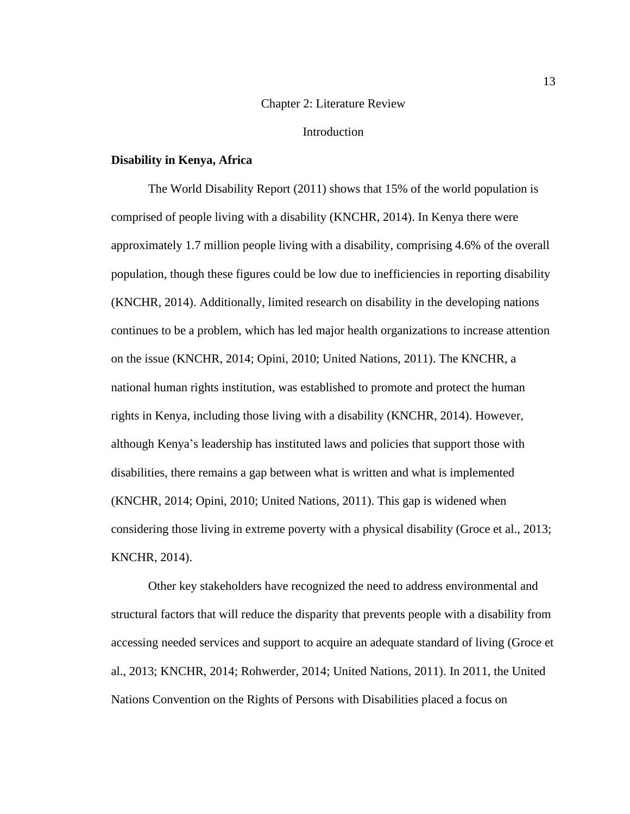#### Chapter 2: Literature Review

#### Introduction

#### <span id="page-23-2"></span><span id="page-23-1"></span><span id="page-23-0"></span>**Disability in Kenya, Africa**

The World Disability Report (2011) shows that 15% of the world population is comprised of people living with a disability (KNCHR, 2014). In Kenya there were approximately 1.7 million people living with a disability, comprising 4.6% of the overall population, though these figures could be low due to inefficiencies in reporting disability (KNCHR, 2014). Additionally, limited research on disability in the developing nations continues to be a problem, which has led major health organizations to increase attention on the issue (KNCHR, 2014; Opini, 2010; United Nations, 2011). The KNCHR, a national human rights institution, was established to promote and protect the human rights in Kenya, including those living with a disability (KNCHR, 2014). However, although Kenya's leadership has instituted laws and policies that support those with disabilities, there remains a gap between what is written and what is implemented (KNCHR, 2014; Opini, 2010; United Nations, 2011). This gap is widened when considering those living in extreme poverty with a physical disability (Groce et al., 2013; KNCHR, 2014).

Other key stakeholders have recognized the need to address environmental and structural factors that will reduce the disparity that prevents people with a disability from accessing needed services and support to acquire an adequate standard of living (Groce et al., 2013; KNCHR, 2014; Rohwerder, 2014; United Nations, 2011). In 2011, the United Nations Convention on the Rights of Persons with Disabilities placed a focus on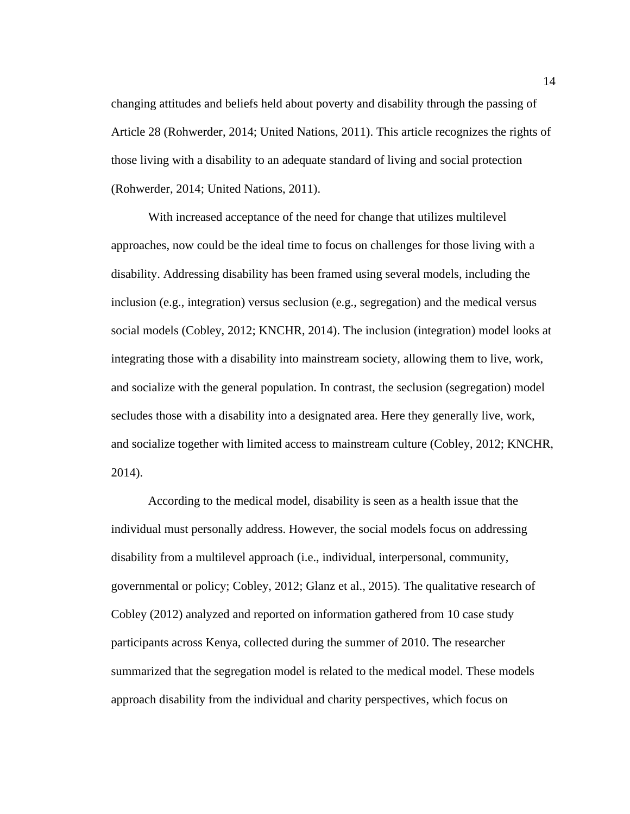changing attitudes and beliefs held about poverty and disability through the passing of Article 28 (Rohwerder, 2014; United Nations, 2011). This article recognizes the rights of those living with a disability to an adequate standard of living and social protection (Rohwerder, 2014; United Nations, 2011).

With increased acceptance of the need for change that utilizes multilevel approaches, now could be the ideal time to focus on challenges for those living with a disability. Addressing disability has been framed using several models, including the inclusion (e.g., integration) versus seclusion (e.g., segregation) and the medical versus social models (Cobley, 2012; KNCHR, 2014). The inclusion (integration) model looks at integrating those with a disability into mainstream society, allowing them to live, work, and socialize with the general population. In contrast, the seclusion (segregation) model secludes those with a disability into a designated area. Here they generally live, work, and socialize together with limited access to mainstream culture (Cobley, 2012; KNCHR, 2014).

According to the medical model, disability is seen as a health issue that the individual must personally address. However, the social models focus on addressing disability from a multilevel approach (i.e., individual, interpersonal, community, governmental or policy; Cobley, 2012; Glanz et al., 2015). The qualitative research of Cobley (2012) analyzed and reported on information gathered from 10 case study participants across Kenya, collected during the summer of 2010. The researcher summarized that the segregation model is related to the medical model. These models approach disability from the individual and charity perspectives, which focus on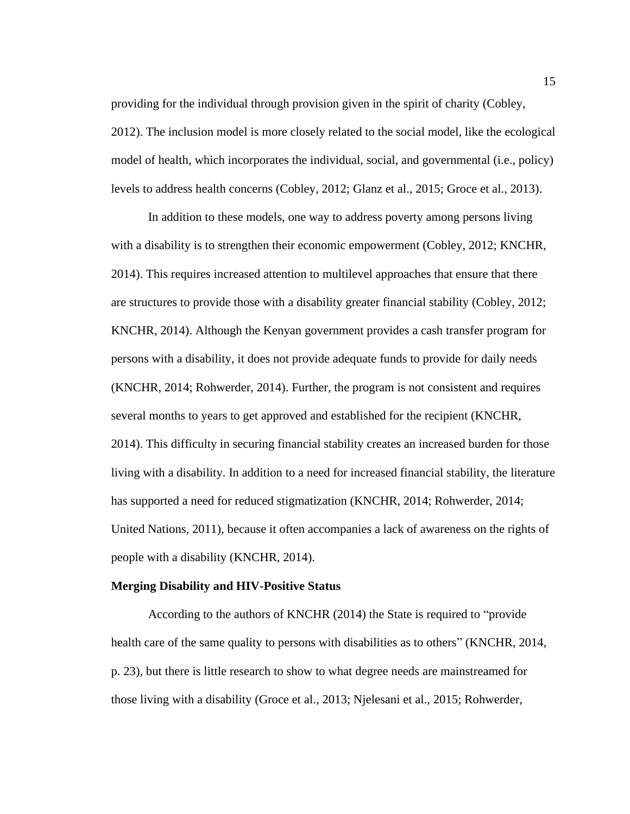providing for the individual through provision given in the spirit of charity (Cobley, 2012). The inclusion model is more closely related to the social model, like the ecological model of health, which incorporates the individual, social, and governmental (i.e., policy) levels to address health concerns (Cobley, 2012; Glanz et al., 2015; Groce et al., 2013).

In addition to these models, one way to address poverty among persons living with a disability is to strengthen their economic empowerment (Cobley, 2012; KNCHR, 2014). This requires increased attention to multilevel approaches that ensure that there are structures to provide those with a disability greater financial stability (Cobley, 2012; KNCHR, 2014). Although the Kenyan government provides a cash transfer program for persons with a disability, it does not provide adequate funds to provide for daily needs (KNCHR, 2014; Rohwerder, 2014). Further, the program is not consistent and requires several months to years to get approved and established for the recipient (KNCHR, 2014). This difficulty in securing financial stability creates an increased burden for those living with a disability. In addition to a need for increased financial stability, the literature has supported a need for reduced stigmatization (KNCHR, 2014; Rohwerder, 2014; United Nations, 2011), because it often accompanies a lack of awareness on the rights of people with a disability (KNCHR, 2014).

#### <span id="page-25-0"></span>**Merging Disability and HIV-Positive Status**

According to the authors of KNCHR (2014) the State is required to "provide health care of the same quality to persons with disabilities as to others" (KNCHR, 2014, p. 23), but there is little research to show to what degree needs are mainstreamed for those living with a disability (Groce et al., 2013; Njelesani et al., 2015; Rohwerder,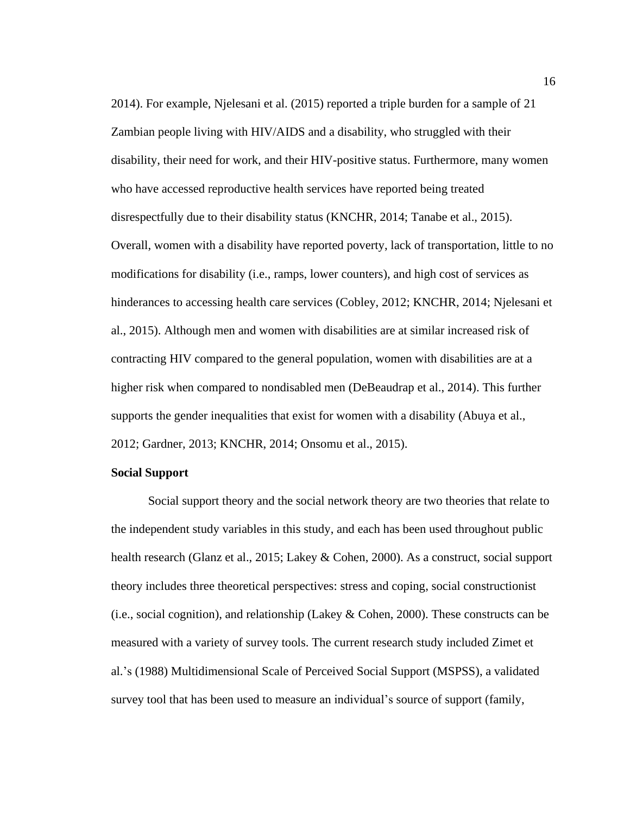2014). For example, Njelesani et al. (2015) reported a triple burden for a sample of 21 Zambian people living with HIV/AIDS and a disability, who struggled with their disability, their need for work, and their HIV-positive status. Furthermore, many women who have accessed reproductive health services have reported being treated disrespectfully due to their disability status (KNCHR, 2014; Tanabe et al., 2015). Overall, women with a disability have reported poverty, lack of transportation, little to no modifications for disability (i.e., ramps, lower counters), and high cost of services as hinderances to accessing health care services (Cobley, 2012; KNCHR, 2014; Njelesani et al., 2015). Although men and women with disabilities are at similar increased risk of contracting HIV compared to the general population, women with disabilities are at a higher risk when compared to nondisabled men (DeBeaudrap et al., 2014). This further supports the gender inequalities that exist for women with a disability (Abuya et al., 2012; Gardner, 2013; KNCHR, 2014; Onsomu et al., 2015).

#### <span id="page-26-0"></span>**Social Support**

Social support theory and the social network theory are two theories that relate to the independent study variables in this study, and each has been used throughout public health research (Glanz et al., 2015; Lakey & Cohen, 2000). As a construct, social support theory includes three theoretical perspectives: stress and coping, social constructionist (i.e., social cognition), and relationship (Lakey & Cohen, 2000). These constructs can be measured with a variety of survey tools. The current research study included Zimet et al.'s (1988) Multidimensional Scale of Perceived Social Support (MSPSS), a validated survey tool that has been used to measure an individual's source of support (family,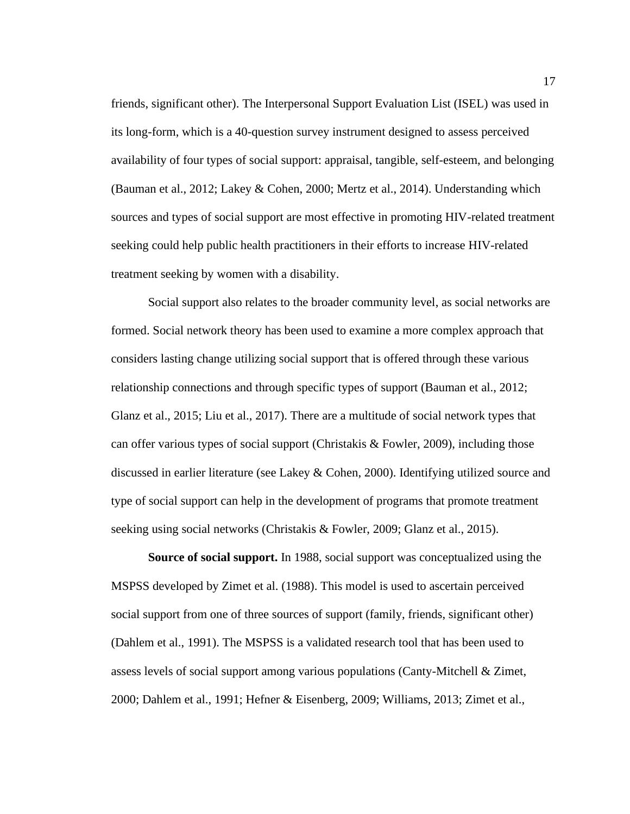friends, significant other). The Interpersonal Support Evaluation List (ISEL) was used in its long-form, which is a 40-question survey instrument designed to assess perceived availability of four types of social support: appraisal, tangible, self-esteem, and belonging (Bauman et al., 2012; Lakey & Cohen, 2000; Mertz et al., 2014). Understanding which sources and types of social support are most effective in promoting HIV-related treatment seeking could help public health practitioners in their efforts to increase HIV-related treatment seeking by women with a disability.

Social support also relates to the broader community level, as social networks are formed. Social network theory has been used to examine a more complex approach that considers lasting change utilizing social support that is offered through these various relationship connections and through specific types of support (Bauman et al., 2012; Glanz et al., 2015; Liu et al., 2017). There are a multitude of social network types that can offer various types of social support (Christakis  $&$  Fowler, 2009), including those discussed in earlier literature (see Lakey & Cohen, 2000). Identifying utilized source and type of social support can help in the development of programs that promote treatment seeking using social networks (Christakis & Fowler, 2009; Glanz et al., 2015).

**Source of social support.** In 1988, social support was conceptualized using the MSPSS developed by Zimet et al. (1988). This model is used to ascertain perceived social support from one of three sources of support (family, friends, significant other) (Dahlem et al., 1991). The MSPSS is a validated research tool that has been used to assess levels of social support among various populations (Canty-Mitchell & Zimet, 2000; Dahlem et al., 1991; Hefner & Eisenberg, 2009; Williams, 2013; Zimet et al.,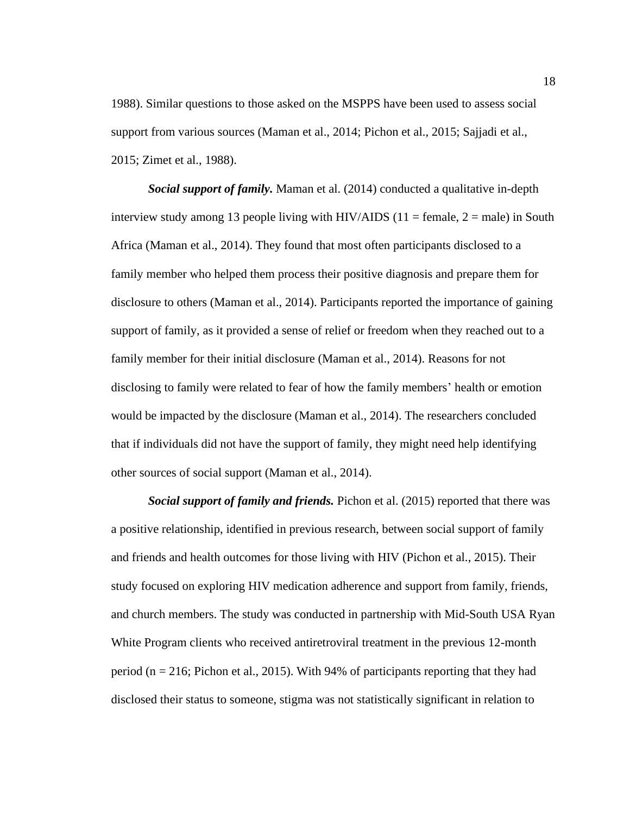1988). Similar questions to those asked on the MSPPS have been used to assess social support from various sources (Maman et al., 2014; Pichon et al., 2015; Sajjadi et al., 2015; Zimet et al., 1988).

*Social support of family.* Maman et al. (2014) conducted a qualitative in-depth interview study among 13 people living with HIV/AIDS (11 = female,  $2 =$  male) in South Africa (Maman et al., 2014). They found that most often participants disclosed to a family member who helped them process their positive diagnosis and prepare them for disclosure to others (Maman et al., 2014). Participants reported the importance of gaining support of family, as it provided a sense of relief or freedom when they reached out to a family member for their initial disclosure (Maman et al., 2014). Reasons for not disclosing to family were related to fear of how the family members' health or emotion would be impacted by the disclosure (Maman et al., 2014). The researchers concluded that if individuals did not have the support of family, they might need help identifying other sources of social support (Maman et al., 2014).

*Social support of family and friends.* Pichon et al. (2015) reported that there was a positive relationship, identified in previous research, between social support of family and friends and health outcomes for those living with HIV (Pichon et al., 2015). Their study focused on exploring HIV medication adherence and support from family, friends, and church members. The study was conducted in partnership with Mid-South USA Ryan White Program clients who received antiretroviral treatment in the previous 12-month period ( $n = 216$ ; Pichon et al., 2015). With 94% of participants reporting that they had disclosed their status to someone, stigma was not statistically significant in relation to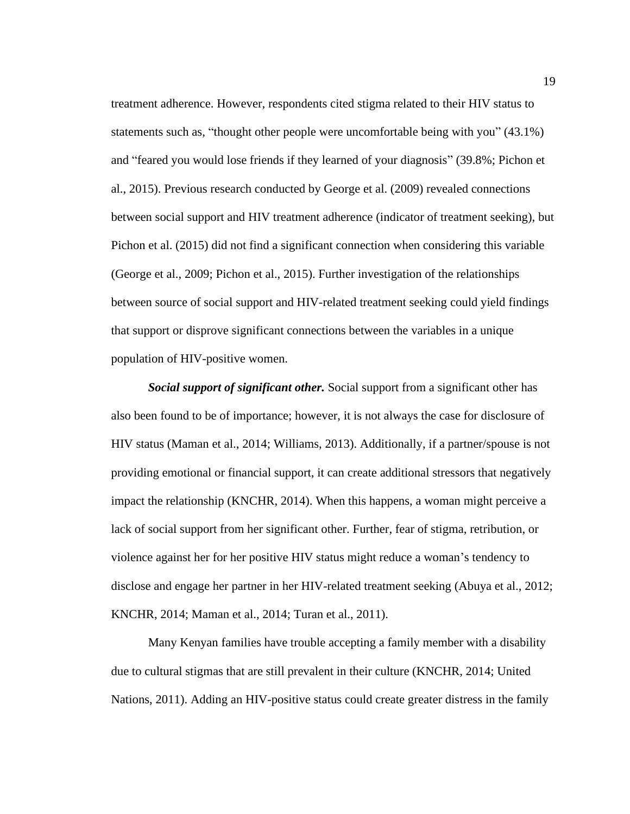treatment adherence. However, respondents cited stigma related to their HIV status to statements such as, "thought other people were uncomfortable being with you" (43.1%) and "feared you would lose friends if they learned of your diagnosis" (39.8%; Pichon et al., 2015). Previous research conducted by George et al. (2009) revealed connections between social support and HIV treatment adherence (indicator of treatment seeking), but Pichon et al. (2015) did not find a significant connection when considering this variable (George et al., 2009; Pichon et al., 2015). Further investigation of the relationships between source of social support and HIV-related treatment seeking could yield findings that support or disprove significant connections between the variables in a unique population of HIV-positive women.

*Social support of significant other.* Social support from a significant other has also been found to be of importance; however, it is not always the case for disclosure of HIV status (Maman et al., 2014; Williams, 2013). Additionally, if a partner/spouse is not providing emotional or financial support, it can create additional stressors that negatively impact the relationship (KNCHR, 2014). When this happens, a woman might perceive a lack of social support from her significant other. Further, fear of stigma, retribution, or violence against her for her positive HIV status might reduce a woman's tendency to disclose and engage her partner in her HIV-related treatment seeking (Abuya et al., 2012; KNCHR, 2014; Maman et al., 2014; Turan et al., 2011).

Many Kenyan families have trouble accepting a family member with a disability due to cultural stigmas that are still prevalent in their culture (KNCHR, 2014; United Nations, 2011). Adding an HIV-positive status could create greater distress in the family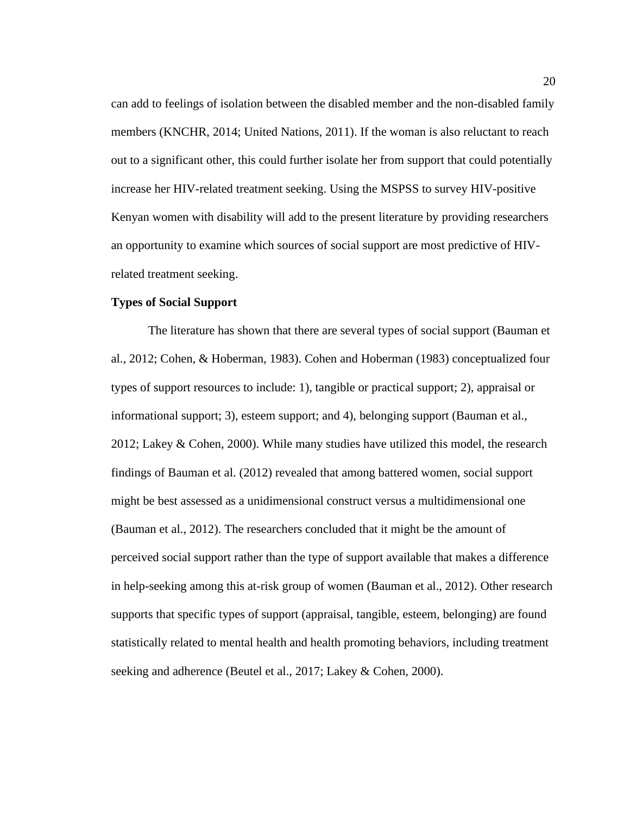can add to feelings of isolation between the disabled member and the non-disabled family members (KNCHR, 2014; United Nations, 2011). If the woman is also reluctant to reach out to a significant other, this could further isolate her from support that could potentially increase her HIV-related treatment seeking. Using the MSPSS to survey HIV-positive Kenyan women with disability will add to the present literature by providing researchers an opportunity to examine which sources of social support are most predictive of HIVrelated treatment seeking.

#### <span id="page-30-0"></span>**Types of Social Support**

The literature has shown that there are several types of social support (Bauman et al., 2012; Cohen, & Hoberman, 1983). Cohen and Hoberman (1983) conceptualized four types of support resources to include: 1), tangible or practical support; 2), appraisal or informational support; 3), esteem support; and 4), belonging support (Bauman et al., 2012; Lakey & Cohen, 2000). While many studies have utilized this model, the research findings of Bauman et al. (2012) revealed that among battered women, social support might be best assessed as a unidimensional construct versus a multidimensional one (Bauman et al., 2012). The researchers concluded that it might be the amount of perceived social support rather than the type of support available that makes a difference in help-seeking among this at-risk group of women (Bauman et al., 2012). Other research supports that specific types of support (appraisal, tangible, esteem, belonging) are found statistically related to mental health and health promoting behaviors, including treatment seeking and adherence (Beutel et al., 2017; Lakey & Cohen, 2000).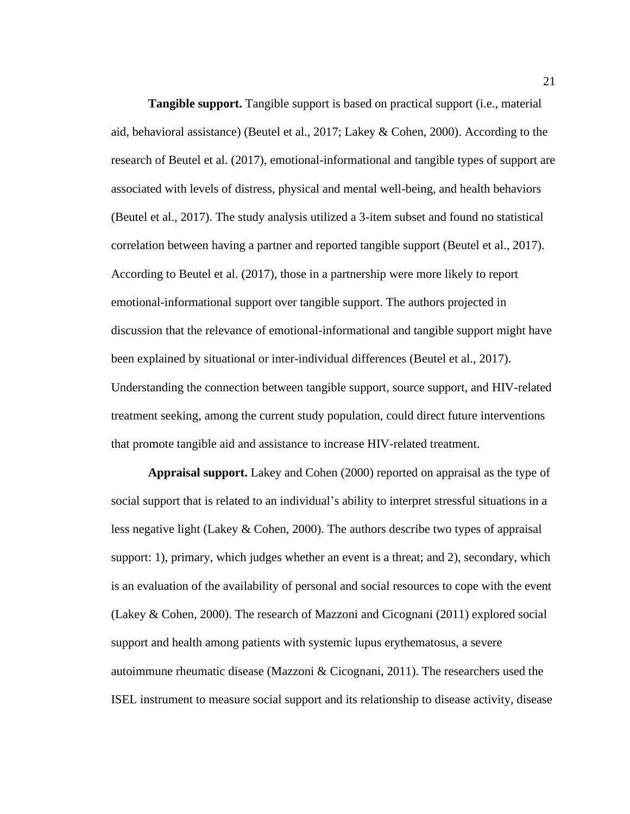**Tangible support.** Tangible support is based on practical support (i.e., material aid, behavioral assistance) (Beutel et al., 2017; Lakey & Cohen, 2000). According to the research of Beutel et al. (2017), emotional-informational and tangible types of support are associated with levels of distress, physical and mental well-being, and health behaviors (Beutel et al., 2017). The study analysis utilized a 3-item subset and found no statistical correlation between having a partner and reported tangible support (Beutel et al., 2017). According to Beutel et al. (2017), those in a partnership were more likely to report emotional-informational support over tangible support. The authors projected in discussion that the relevance of emotional-informational and tangible support might have been explained by situational or inter-individual differences (Beutel et al., 2017). Understanding the connection between tangible support, source support, and HIV-related treatment seeking, among the current study population, could direct future interventions that promote tangible aid and assistance to increase HIV-related treatment.

**Appraisal support.** Lakey and Cohen (2000) reported on appraisal as the type of social support that is related to an individual's ability to interpret stressful situations in a less negative light (Lakey  $& Cohen, 2000$ ). The authors describe two types of appraisal support: 1), primary, which judges whether an event is a threat; and 2), secondary, which is an evaluation of the availability of personal and social resources to cope with the event (Lakey & Cohen, 2000). The research of Mazzoni and Cicognani (2011) explored social support and health among patients with systemic lupus erythematosus, a severe autoimmune rheumatic disease (Mazzoni & Cicognani, 2011). The researchers used the ISEL instrument to measure social support and its relationship to disease activity, disease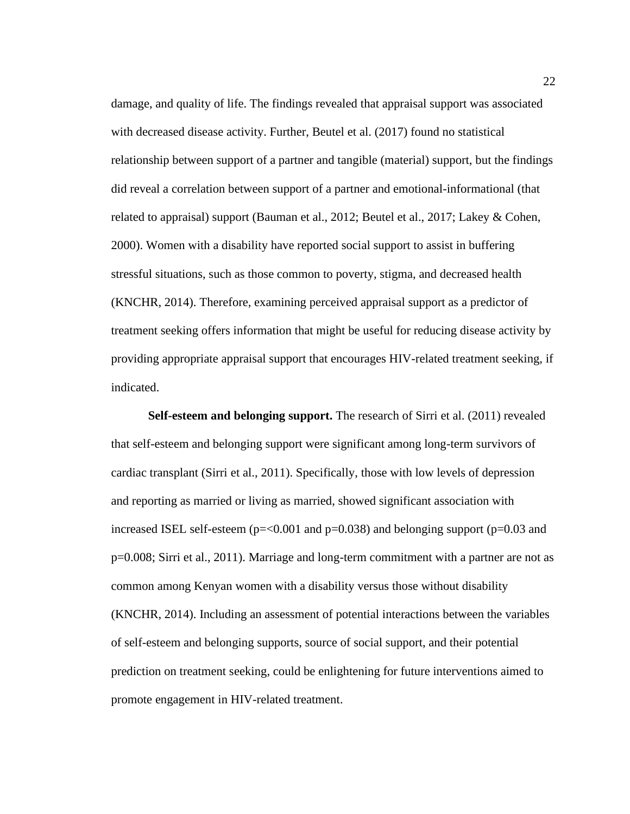damage, and quality of life. The findings revealed that appraisal support was associated with decreased disease activity. Further, Beutel et al. (2017) found no statistical relationship between support of a partner and tangible (material) support, but the findings did reveal a correlation between support of a partner and emotional-informational (that related to appraisal) support (Bauman et al., 2012; Beutel et al., 2017; Lakey & Cohen, 2000). Women with a disability have reported social support to assist in buffering stressful situations, such as those common to poverty, stigma, and decreased health (KNCHR, 2014). Therefore, examining perceived appraisal support as a predictor of treatment seeking offers information that might be useful for reducing disease activity by providing appropriate appraisal support that encourages HIV-related treatment seeking, if indicated.

**Self-esteem and belonging support.** The research of Sirri et al. (2011) revealed that self-esteem and belonging support were significant among long-term survivors of cardiac transplant (Sirri et al., 2011). Specifically, those with low levels of depression and reporting as married or living as married, showed significant association with increased ISEL self-esteem ( $p = 0.001$  and  $p = 0.038$ ) and belonging support ( $p = 0.03$  and p=0.008; Sirri et al., 2011). Marriage and long-term commitment with a partner are not as common among Kenyan women with a disability versus those without disability (KNCHR, 2014). Including an assessment of potential interactions between the variables of self-esteem and belonging supports, source of social support, and their potential prediction on treatment seeking, could be enlightening for future interventions aimed to promote engagement in HIV-related treatment.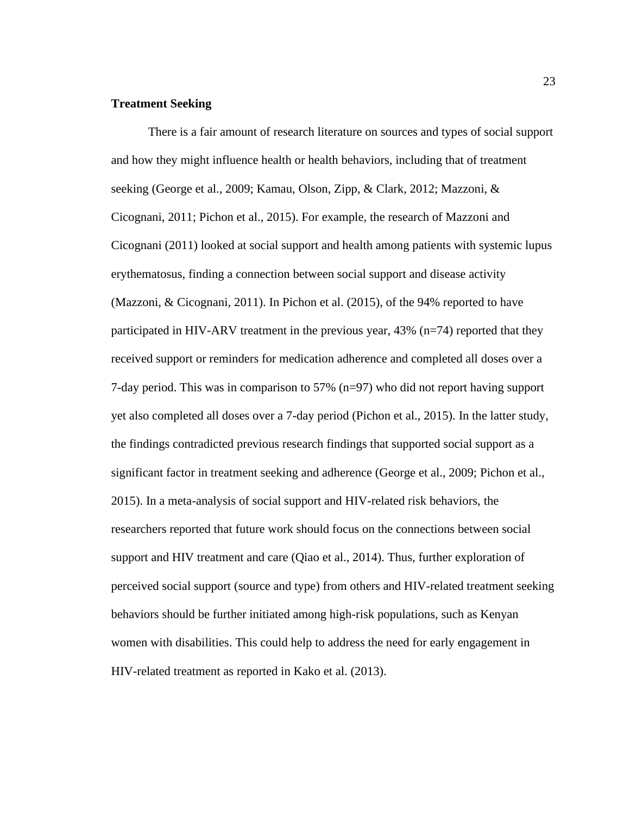#### <span id="page-33-0"></span>**Treatment Seeking**

There is a fair amount of research literature on sources and types of social support and how they might influence health or health behaviors, including that of treatment seeking (George et al., 2009; Kamau, Olson, Zipp, & Clark, 2012; Mazzoni, & Cicognani, 2011; Pichon et al., 2015). For example, the research of Mazzoni and Cicognani (2011) looked at social support and health among patients with systemic lupus erythematosus, finding a connection between social support and disease activity (Mazzoni, & Cicognani, 2011). In Pichon et al. (2015), of the 94% reported to have participated in HIV-ARV treatment in the previous year, 43% (n=74) reported that they received support or reminders for medication adherence and completed all doses over a 7-day period. This was in comparison to 57% (n=97) who did not report having support yet also completed all doses over a 7-day period (Pichon et al., 2015). In the latter study, the findings contradicted previous research findings that supported social support as a significant factor in treatment seeking and adherence (George et al., 2009; Pichon et al., 2015). In a meta-analysis of social support and HIV-related risk behaviors, the researchers reported that future work should focus on the connections between social support and HIV treatment and care (Qiao et al., 2014). Thus, further exploration of perceived social support (source and type) from others and HIV-related treatment seeking behaviors should be further initiated among high-risk populations, such as Kenyan women with disabilities. This could help to address the need for early engagement in HIV-related treatment as reported in Kako et al. (2013).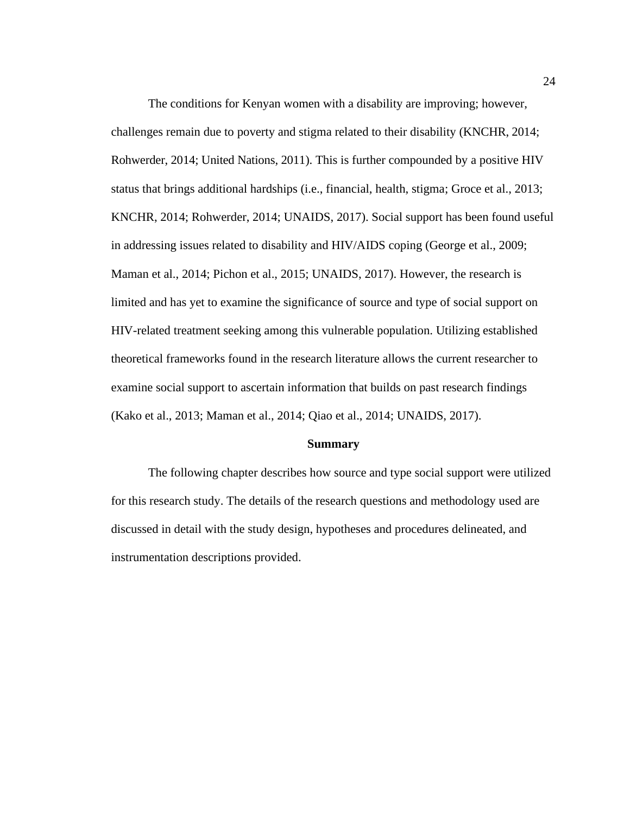The conditions for Kenyan women with a disability are improving; however, challenges remain due to poverty and stigma related to their disability (KNCHR, 2014; Rohwerder, 2014; United Nations, 2011). This is further compounded by a positive HIV status that brings additional hardships (i.e., financial, health, stigma; Groce et al., 2013; KNCHR, 2014; Rohwerder, 2014; UNAIDS, 2017). Social support has been found useful in addressing issues related to disability and HIV/AIDS coping (George et al., 2009; Maman et al., 2014; Pichon et al., 2015; UNAIDS, 2017). However, the research is limited and has yet to examine the significance of source and type of social support on HIV-related treatment seeking among this vulnerable population. Utilizing established theoretical frameworks found in the research literature allows the current researcher to examine social support to ascertain information that builds on past research findings (Kako et al., 2013; Maman et al., 2014; Qiao et al., 2014; UNAIDS, 2017).

#### **Summary**

<span id="page-34-0"></span>The following chapter describes how source and type social support were utilized for this research study. The details of the research questions and methodology used are discussed in detail with the study design, hypotheses and procedures delineated, and instrumentation descriptions provided.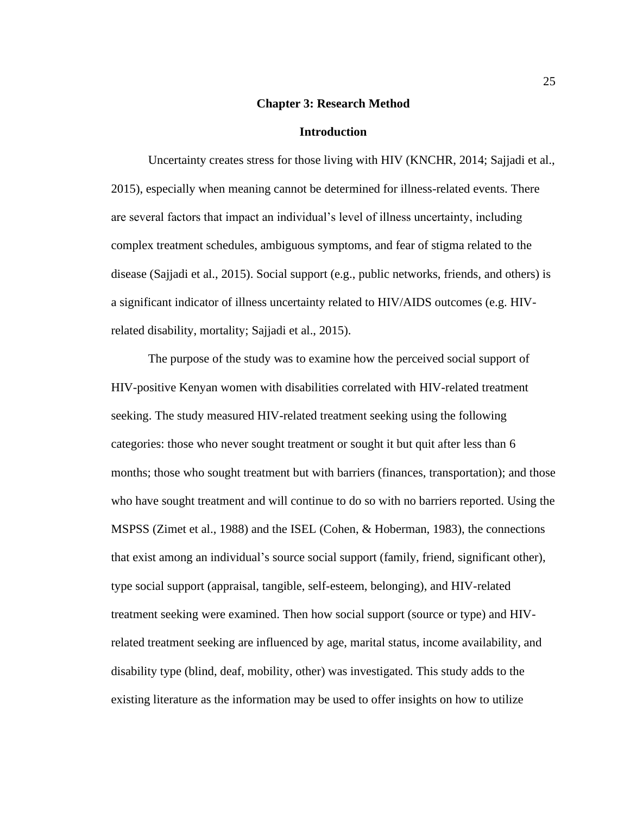#### **Chapter 3: Research Method**

#### **Introduction**

<span id="page-35-1"></span><span id="page-35-0"></span>Uncertainty creates stress for those living with HIV (KNCHR, 2014; Sajjadi et al., 2015), especially when meaning cannot be determined for illness-related events. There are several factors that impact an individual's level of illness uncertainty, including complex treatment schedules, ambiguous symptoms, and fear of stigma related to the disease (Sajjadi et al., 2015). Social support (e.g., public networks, friends, and others) is a significant indicator of illness uncertainty related to HIV/AIDS outcomes (e.g. HIVrelated disability, mortality; Sajjadi et al., 2015).

The purpose of the study was to examine how the perceived social support of HIV-positive Kenyan women with disabilities correlated with HIV-related treatment seeking. The study measured HIV-related treatment seeking using the following categories: those who never sought treatment or sought it but quit after less than 6 months; those who sought treatment but with barriers (finances, transportation); and those who have sought treatment and will continue to do so with no barriers reported. Using the MSPSS (Zimet et al., 1988) and the ISEL (Cohen, & Hoberman, 1983), the connections that exist among an individual's source social support (family, friend, significant other), type social support (appraisal, tangible, self-esteem, belonging), and HIV-related treatment seeking were examined. Then how social support (source or type) and HIVrelated treatment seeking are influenced by age, marital status, income availability, and disability type (blind, deaf, mobility, other) was investigated. This study adds to the existing literature as the information may be used to offer insights on how to utilize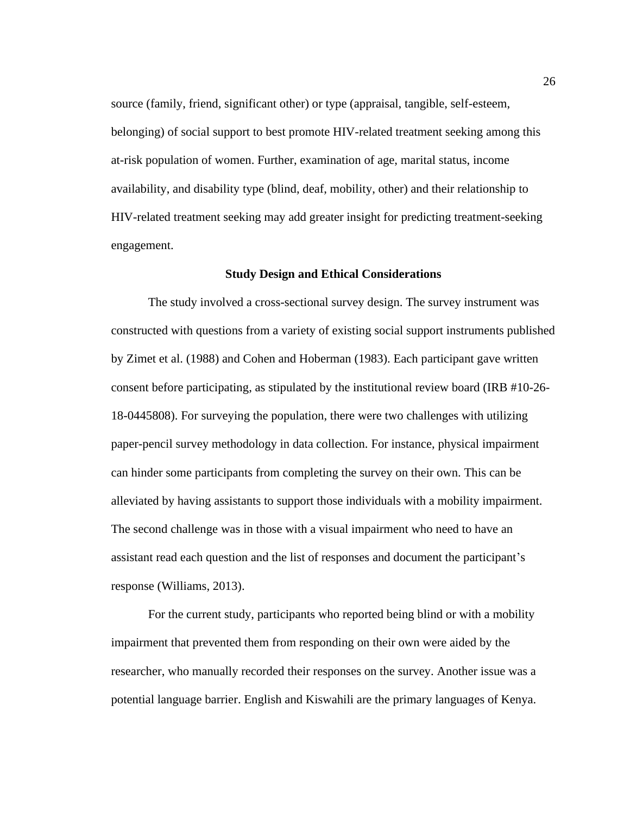source (family, friend, significant other) or type (appraisal, tangible, self-esteem, belonging) of social support to best promote HIV-related treatment seeking among this at-risk population of women. Further, examination of age, marital status, income availability, and disability type (blind, deaf, mobility, other) and their relationship to HIV-related treatment seeking may add greater insight for predicting treatment-seeking engagement.

#### **Study Design and Ethical Considerations**

The study involved a cross-sectional survey design. The survey instrument was constructed with questions from a variety of existing social support instruments published by Zimet et al. (1988) and Cohen and Hoberman (1983). Each participant gave written consent before participating, as stipulated by the institutional review board (IRB #10-26- 18-0445808). For surveying the population, there were two challenges with utilizing paper-pencil survey methodology in data collection. For instance, physical impairment can hinder some participants from completing the survey on their own. This can be alleviated by having assistants to support those individuals with a mobility impairment. The second challenge was in those with a visual impairment who need to have an assistant read each question and the list of responses and document the participant's response (Williams, 2013).

For the current study, participants who reported being blind or with a mobility impairment that prevented them from responding on their own were aided by the researcher, who manually recorded their responses on the survey. Another issue was a potential language barrier. English and Kiswahili are the primary languages of Kenya.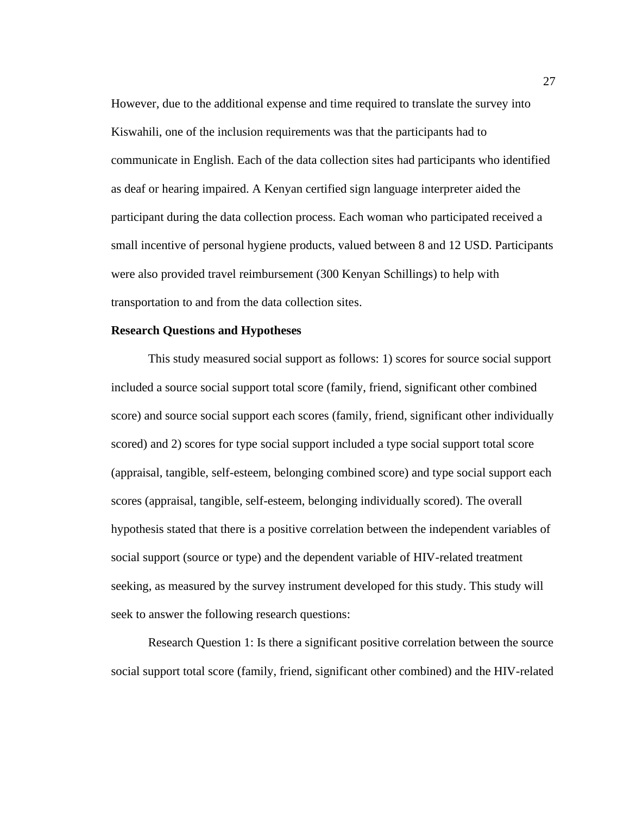However, due to the additional expense and time required to translate the survey into Kiswahili, one of the inclusion requirements was that the participants had to communicate in English. Each of the data collection sites had participants who identified as deaf or hearing impaired. A Kenyan certified sign language interpreter aided the participant during the data collection process. Each woman who participated received a small incentive of personal hygiene products, valued between 8 and 12 USD. Participants were also provided travel reimbursement (300 Kenyan Schillings) to help with transportation to and from the data collection sites.

#### **Research Questions and Hypotheses**

This study measured social support as follows: 1) scores for source social support included a source social support total score (family, friend, significant other combined score) and source social support each scores (family, friend, significant other individually scored) and 2) scores for type social support included a type social support total score (appraisal, tangible, self-esteem, belonging combined score) and type social support each scores (appraisal, tangible, self-esteem, belonging individually scored). The overall hypothesis stated that there is a positive correlation between the independent variables of social support (source or type) and the dependent variable of HIV-related treatment seeking, as measured by the survey instrument developed for this study. This study will seek to answer the following research questions:

Research Question 1: Is there a significant positive correlation between the source social support total score (family, friend, significant other combined) and the HIV-related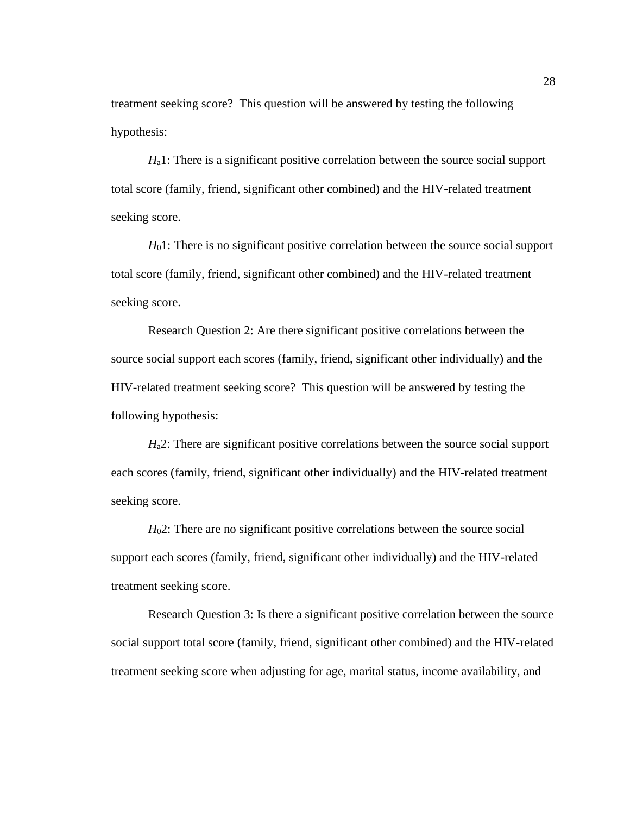treatment seeking score? This question will be answered by testing the following hypothesis:

*H*a1: There is a significant positive correlation between the source social support total score (family, friend, significant other combined) and the HIV-related treatment seeking score.

*H*<sub>0</sub>1: There is no significant positive correlation between the source social support total score (family, friend, significant other combined) and the HIV-related treatment seeking score.

Research Question 2: Are there significant positive correlations between the source social support each scores (family, friend, significant other individually) and the HIV-related treatment seeking score? This question will be answered by testing the following hypothesis:

*H*<sub>a</sub>2: There are significant positive correlations between the source social support each scores (family, friend, significant other individually) and the HIV-related treatment seeking score.

*H*02: There are no significant positive correlations between the source social support each scores (family, friend, significant other individually) and the HIV-related treatment seeking score.

Research Question 3: Is there a significant positive correlation between the source social support total score (family, friend, significant other combined) and the HIV-related treatment seeking score when adjusting for age, marital status, income availability, and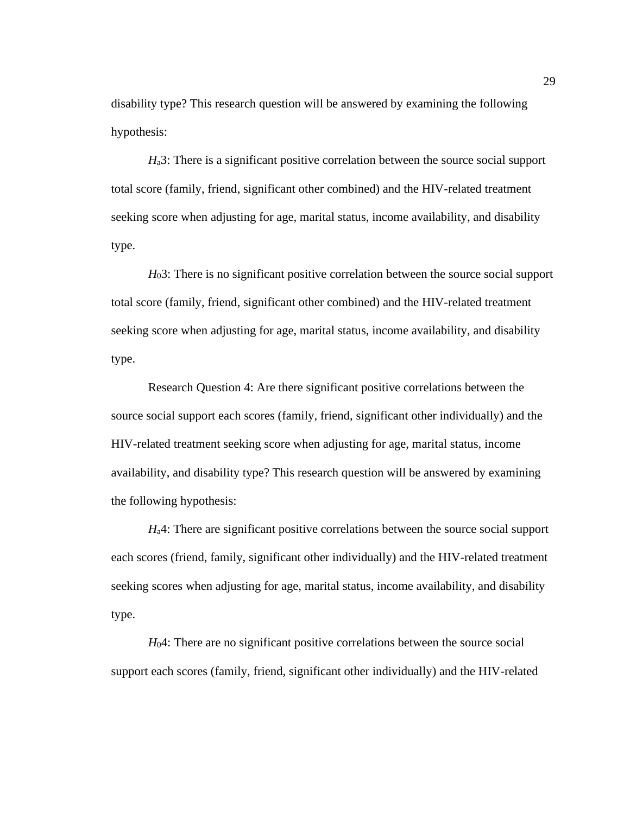disability type? This research question will be answered by examining the following hypothesis:

*H*a3: There is a significant positive correlation between the source social support total score (family, friend, significant other combined) and the HIV-related treatment seeking score when adjusting for age, marital status, income availability, and disability type.

*H*03: There is no significant positive correlation between the source social support total score (family, friend, significant other combined) and the HIV-related treatment seeking score when adjusting for age, marital status, income availability, and disability type.

Research Question 4: Are there significant positive correlations between the source social support each scores (family, friend, significant other individually) and the HIV-related treatment seeking score when adjusting for age, marital status, income availability, and disability type? This research question will be answered by examining the following hypothesis:

*H*a4: There are significant positive correlations between the source social support each scores (friend, family, significant other individually) and the HIV-related treatment seeking scores when adjusting for age, marital status, income availability, and disability type.

*H*04: There are no significant positive correlations between the source social support each scores (family, friend, significant other individually) and the HIV-related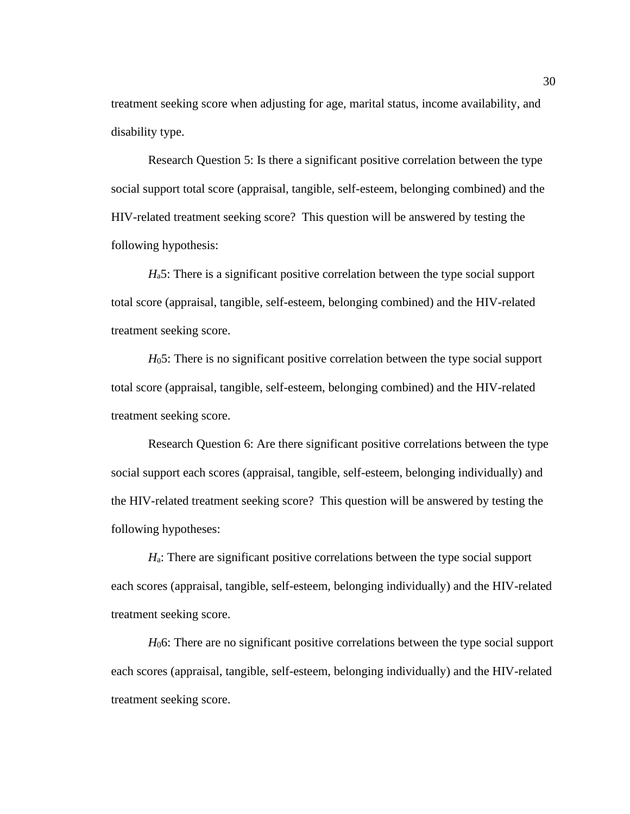treatment seeking score when adjusting for age, marital status, income availability, and disability type.

Research Question 5: Is there a significant positive correlation between the type social support total score (appraisal, tangible, self-esteem, belonging combined) and the HIV-related treatment seeking score? This question will be answered by testing the following hypothesis:

*H*a5: There is a significant positive correlation between the type social support total score (appraisal, tangible, self-esteem, belonging combined) and the HIV-related treatment seeking score.

*H*05: There is no significant positive correlation between the type social support total score (appraisal, tangible, self-esteem, belonging combined) and the HIV-related treatment seeking score.

Research Question 6: Are there significant positive correlations between the type social support each scores (appraisal, tangible, self-esteem, belonging individually) and the HIV-related treatment seeking score? This question will be answered by testing the following hypotheses:

*H*a: There are significant positive correlations between the type social support each scores (appraisal, tangible, self-esteem, belonging individually) and the HIV-related treatment seeking score.

*H*06: There are no significant positive correlations between the type social support each scores (appraisal, tangible, self-esteem, belonging individually) and the HIV-related treatment seeking score.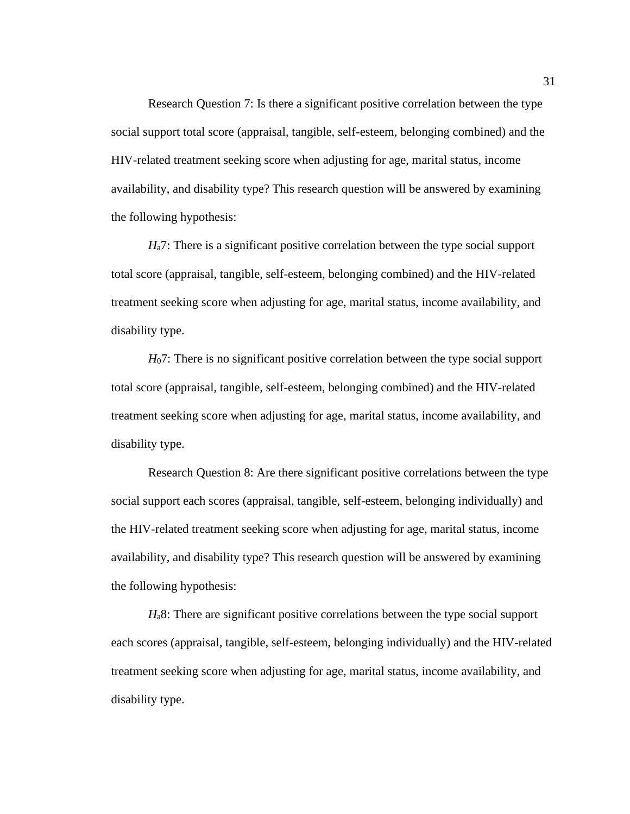Research Question 7: Is there a significant positive correlation between the type social support total score (appraisal, tangible, self-esteem, belonging combined) and the HIV-related treatment seeking score when adjusting for age, marital status, income availability, and disability type? This research question will be answered by examining the following hypothesis:

*H*a7: There is a significant positive correlation between the type social support total score (appraisal, tangible, self-esteem, belonging combined) and the HIV-related treatment seeking score when adjusting for age, marital status, income availability, and disability type.

*H*07: There is no significant positive correlation between the type social support total score (appraisal, tangible, self-esteem, belonging combined) and the HIV-related treatment seeking score when adjusting for age, marital status, income availability, and disability type.

Research Question 8: Are there significant positive correlations between the type social support each scores (appraisal, tangible, self-esteem, belonging individually) and the HIV-related treatment seeking score when adjusting for age, marital status, income availability, and disability type? This research question will be answered by examining the following hypothesis:

*H*a8: There are significant positive correlations between the type social support each scores (appraisal, tangible, self-esteem, belonging individually) and the HIV-related treatment seeking score when adjusting for age, marital status, income availability, and disability type.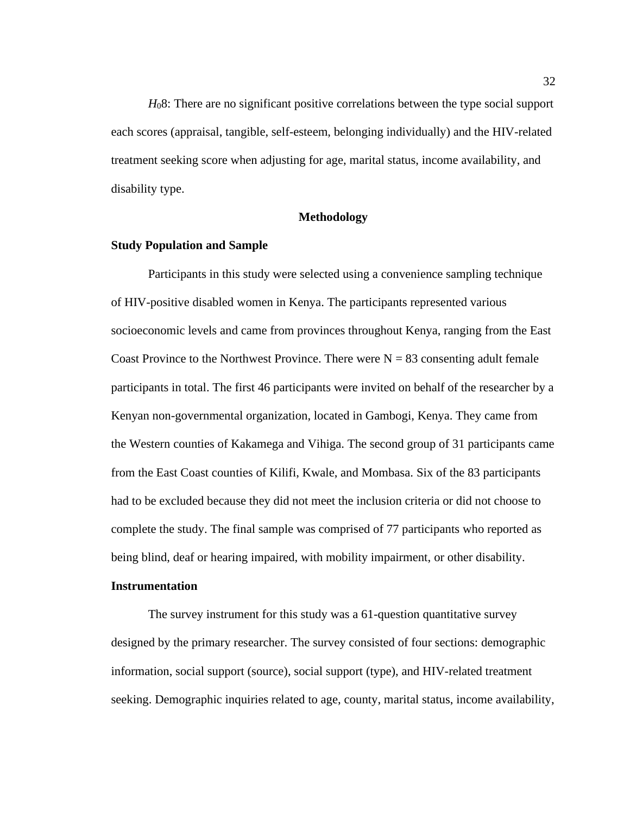*H*08: There are no significant positive correlations between the type social support each scores (appraisal, tangible, self-esteem, belonging individually) and the HIV-related treatment seeking score when adjusting for age, marital status, income availability, and disability type.

# **Methodology**

# **Study Population and Sample**

Participants in this study were selected using a convenience sampling technique of HIV-positive disabled women in Kenya. The participants represented various socioeconomic levels and came from provinces throughout Kenya, ranging from the East Coast Province to the Northwest Province. There were  $N = 83$  consenting adult female participants in total. The first 46 participants were invited on behalf of the researcher by a Kenyan non-governmental organization, located in Gambogi, Kenya. They came from the Western counties of Kakamega and Vihiga. The second group of 31 participants came from the East Coast counties of Kilifi, Kwale, and Mombasa. Six of the 83 participants had to be excluded because they did not meet the inclusion criteria or did not choose to complete the study. The final sample was comprised of 77 participants who reported as being blind, deaf or hearing impaired, with mobility impairment, or other disability.

### **Instrumentation**

The survey instrument for this study was a 61-question quantitative survey designed by the primary researcher. The survey consisted of four sections: demographic information, social support (source), social support (type), and HIV-related treatment seeking. Demographic inquiries related to age, county, marital status, income availability,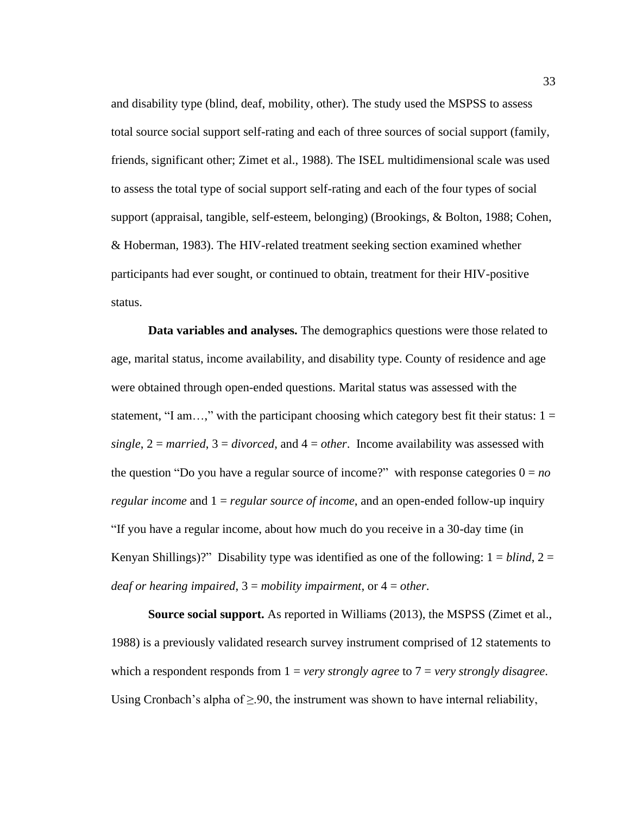and disability type (blind, deaf, mobility, other). The study used the MSPSS to assess total source social support self-rating and each of three sources of social support (family, friends, significant other; Zimet et al., 1988). The ISEL multidimensional scale was used to assess the total type of social support self-rating and each of the four types of social support (appraisal, tangible, self-esteem, belonging) (Brookings, & Bolton, 1988; Cohen, & Hoberman, 1983). The HIV-related treatment seeking section examined whether participants had ever sought, or continued to obtain, treatment for their HIV-positive status.

**Data variables and analyses.** The demographics questions were those related to age, marital status, income availability, and disability type. County of residence and age were obtained through open-ended questions. Marital status was assessed with the statement, "I am...," with the participant choosing which category best fit their status:  $1 =$ *single*, 2 = *married*, 3 = *divorced*, and 4 = *other*. Income availability was assessed with the question "Do you have a regular source of income?" with response categories  $0 = no$ *regular income* and  $1 = regular source of income$ , and an open-ended follow-up inquiry "If you have a regular income, about how much do you receive in a 30-day time (in Kenyan Shillings)?" Disability type was identified as one of the following:  $1 = blind$ ,  $2 =$ *deaf or hearing impaired*, 3 = *mobility impairment*, or 4 = *other*.

**Source social support.** As reported in Williams (2013), the MSPSS (Zimet et al., 1988) is a previously validated research survey instrument comprised of 12 statements to which a respondent responds from 1 = *very strongly agree* to 7 = *very strongly disagree*. Using Cronbach's alpha of  $\geq 90$ , the instrument was shown to have internal reliability,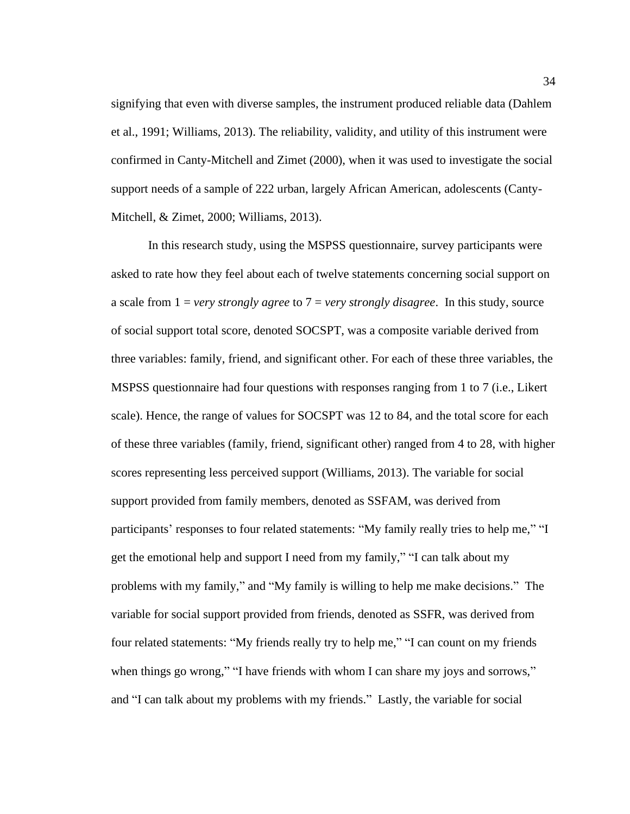signifying that even with diverse samples, the instrument produced reliable data (Dahlem et al., 1991; Williams, 2013). The reliability, validity, and utility of this instrument were confirmed in Canty-Mitchell and Zimet (2000), when it was used to investigate the social support needs of a sample of 222 urban, largely African American, adolescents (Canty-Mitchell, & Zimet, 2000; Williams, 2013).

In this research study, using the MSPSS questionnaire, survey participants were asked to rate how they feel about each of twelve statements concerning social support on a scale from 1 = *very strongly agree* to 7 = *very strongly disagree*. In this study, source of social support total score, denoted SOCSPT, was a composite variable derived from three variables: family, friend, and significant other. For each of these three variables, the MSPSS questionnaire had four questions with responses ranging from 1 to 7 (i.e., Likert scale). Hence, the range of values for SOCSPT was 12 to 84, and the total score for each of these three variables (family, friend, significant other) ranged from 4 to 28, with higher scores representing less perceived support (Williams, 2013). The variable for social support provided from family members, denoted as SSFAM, was derived from participants' responses to four related statements: "My family really tries to help me," "I get the emotional help and support I need from my family," "I can talk about my problems with my family," and "My family is willing to help me make decisions." The variable for social support provided from friends, denoted as SSFR, was derived from four related statements: "My friends really try to help me," "I can count on my friends when things go wrong," "I have friends with whom I can share my joys and sorrows," and "I can talk about my problems with my friends." Lastly, the variable for social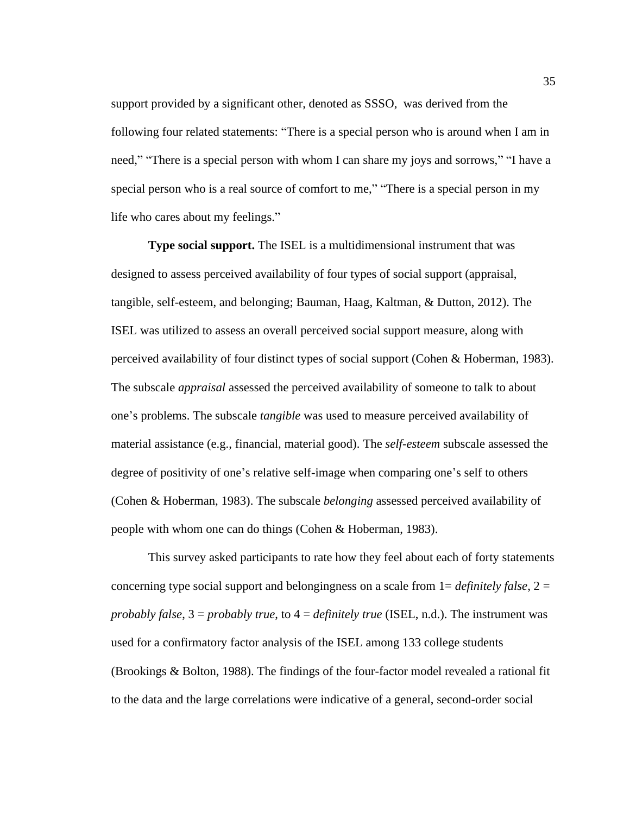support provided by a significant other, denoted as SSSO, was derived from the following four related statements: "There is a special person who is around when I am in need," "There is a special person with whom I can share my joys and sorrows," "I have a special person who is a real source of comfort to me," "There is a special person in my life who cares about my feelings."

**Type social support.** The ISEL is a multidimensional instrument that was designed to assess perceived availability of four types of social support (appraisal, tangible, self-esteem, and belonging; Bauman, Haag, Kaltman, & Dutton, 2012). The ISEL was utilized to assess an overall perceived social support measure, along with perceived availability of four distinct types of social support (Cohen & Hoberman, 1983). The subscale *appraisal* assessed the perceived availability of someone to talk to about one's problems. The subscale *tangible* was used to measure perceived availability of material assistance (e.g., financial, material good). The *self-esteem* subscale assessed the degree of positivity of one's relative self-image when comparing one's self to others (Cohen & Hoberman, 1983). The subscale *belonging* assessed perceived availability of people with whom one can do things (Cohen & Hoberman, 1983).

This survey asked participants to rate how they feel about each of forty statements concerning type social support and belongingness on a scale from 1= *definitely false*, 2 = *probably false*, 3 = *probably true*, to 4 = *definitely true* (ISEL, n.d.). The instrument was used for a confirmatory factor analysis of the ISEL among 133 college students (Brookings & Bolton, 1988). The findings of the four-factor model revealed a rational fit to the data and the large correlations were indicative of a general, second-order social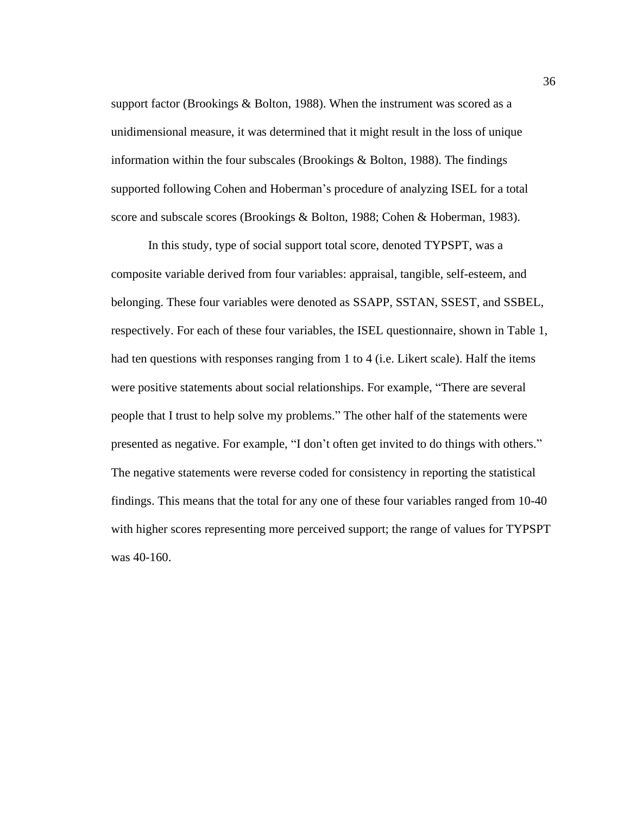support factor (Brookings & Bolton, 1988). When the instrument was scored as a unidimensional measure, it was determined that it might result in the loss of unique information within the four subscales (Brookings & Bolton, 1988). The findings supported following Cohen and Hoberman's procedure of analyzing ISEL for a total score and subscale scores (Brookings & Bolton, 1988; Cohen & Hoberman, 1983).

In this study, type of social support total score, denoted TYPSPT, was a composite variable derived from four variables: appraisal, tangible, self-esteem, and belonging. These four variables were denoted as SSAPP, SSTAN, SSEST, and SSBEL, respectively. For each of these four variables, the ISEL questionnaire, shown in Table 1, had ten questions with responses ranging from 1 to 4 (i.e. Likert scale). Half the items were positive statements about social relationships. For example, "There are several people that I trust to help solve my problems." The other half of the statements were presented as negative. For example, "I don't often get invited to do things with others." The negative statements were reverse coded for consistency in reporting the statistical findings. This means that the total for any one of these four variables ranged from 10-40 with higher scores representing more perceived support; the range of values for TYPSPT was 40-160.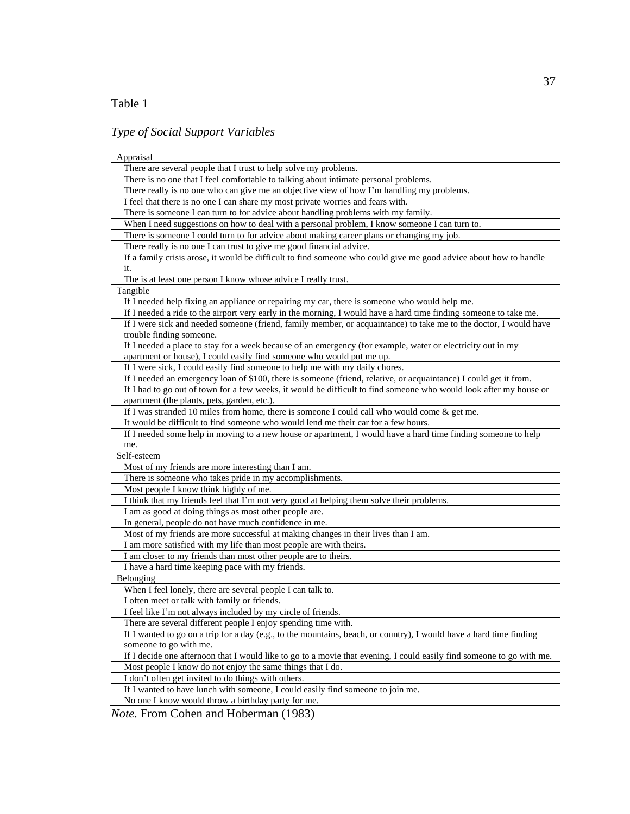# Table 1

# *Type of Social Support Variables*

| Appraisal                                                                                                             |
|-----------------------------------------------------------------------------------------------------------------------|
| There are several people that I trust to help solve my problems.                                                      |
| There is no one that I feel comfortable to talking about intimate personal problems.                                  |
| There really is no one who can give me an objective view of how I'm handling my problems.                             |
| I feel that there is no one I can share my most private worries and fears with.                                       |
| There is someone I can turn to for advice about handling problems with my family.                                     |
| When I need suggestions on how to deal with a personal problem, I know someone I can turn to.                         |
| There is someone I could turn to for advice about making career plans or changing my job.                             |
| There really is no one I can trust to give me good financial advice.                                                  |
| If a family crisis arose, it would be difficult to find someone who could give me good advice about how to handle     |
| it.                                                                                                                   |
| The is at least one person I know whose advice I really trust.                                                        |
| Tangible                                                                                                              |
| If I needed help fixing an appliance or repairing my car, there is someone who would help me.                         |
| If I needed a ride to the airport very early in the morning, I would have a hard time finding someone to take me.     |
| If I were sick and needed someone (friend, family member, or acquaintance) to take me to the doctor, I would have     |
| trouble finding someone.                                                                                              |
| If I needed a place to stay for a week because of an emergency (for example, water or electricity out in my           |
| apartment or house), I could easily find someone who would put me up.                                                 |
| If I were sick, I could easily find someone to help me with my daily chores.                                          |
| If I needed an emergency loan of \$100, there is someone (friend, relative, or acquaintance) I could get it from.     |
| If I had to go out of town for a few weeks, it would be difficult to find someone who would look after my house or    |
| apartment (the plants, pets, garden, etc.).                                                                           |
| If I was stranded 10 miles from home, there is someone I could call who would come $\&$ get me.                       |
| It would be difficult to find someone who would lend me their car for a few hours.                                    |
| If I needed some help in moving to a new house or apartment, I would have a hard time finding someone to help         |
| me.                                                                                                                   |
| Self-esteem                                                                                                           |
| Most of my friends are more interesting than I am.                                                                    |
| There is someone who takes pride in my accomplishments.                                                               |
| Most people I know think highly of me.                                                                                |
| I think that my friends feel that I'm not very good at helping them solve their problems.                             |
| I am as good at doing things as most other people are.                                                                |
| In general, people do not have much confidence in me.                                                                 |
| Most of my friends are more successful at making changes in their lives than I am.                                    |
| I am more satisfied with my life than most people are with theirs.                                                    |
| I am closer to my friends than most other people are to theirs.                                                       |
| I have a hard time keeping pace with my friends.                                                                      |
| Belonging                                                                                                             |
| When I feel lonely, there are several people I can talk to.                                                           |
| I often meet or talk with family or friends.                                                                          |
| I feel like I'm not always included by my circle of friends.                                                          |
| There are several different people I enjoy spending time with.                                                        |
| If I wanted to go on a trip for a day (e.g., to the mountains, beach, or country), I would have a hard time finding   |
| someone to go with me.                                                                                                |
| If I decide one afternoon that I would like to go to a movie that evening, I could easily find someone to go with me. |
| Most people I know do not enjoy the same things that I do.                                                            |
| I don't often get invited to do things with others.                                                                   |
| If I wanted to have lunch with someone, I could easily find someone to join me.                                       |
| No one I know would throw a birthday party for me.                                                                    |

*Note.* From Cohen and Hoberman (1983)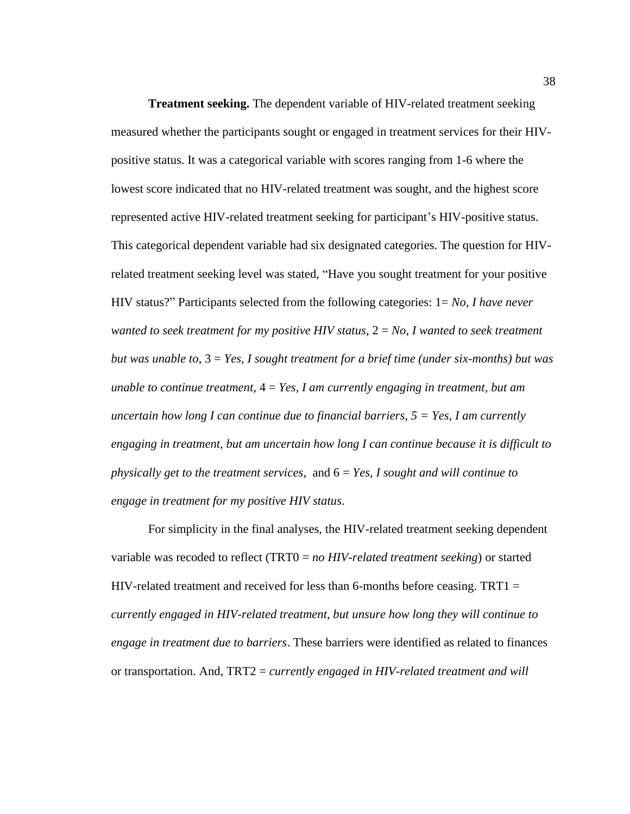**Treatment seeking.** The dependent variable of HIV-related treatment seeking measured whether the participants sought or engaged in treatment services for their HIVpositive status. It was a categorical variable with scores ranging from 1-6 where the lowest score indicated that no HIV-related treatment was sought, and the highest score represented active HIV-related treatment seeking for participant's HIV-positive status. This categorical dependent variable had six designated categories. The question for HIVrelated treatment seeking level was stated, "Have you sought treatment for your positive HIV status?" Participants selected from the following categories: 1= *No, I have never wanted to seek treatment for my positive HIV status*, 2 = *No, I wanted to seek treatment but was unable to*, 3 = *Yes, I sought treatment for a brief time (under six-months) but was unable to continue treatment,* 4 = *Yes, I am currently engaging in treatment, but am uncertain how long I can continue due to financial barriers*, *5 = Yes, I am currently engaging in treatment, but am uncertain how long I can continue because it is difficult to physically get to the treatment services*, and 6 = *Yes, I sought and will continue to engage in treatment for my positive HIV status*.

For simplicity in the final analyses, the HIV-related treatment seeking dependent variable was recoded to reflect (TRT0 = *no HIV-related treatment seeking*) or started HIV-related treatment and received for less than 6-months before ceasing.  $TRT1 =$ *currently engaged in HIV-related treatment, but unsure how long they will continue to engage in treatment due to barriers*. These barriers were identified as related to finances or transportation. And, TRT2 = *currently engaged in HIV-related treatment and will*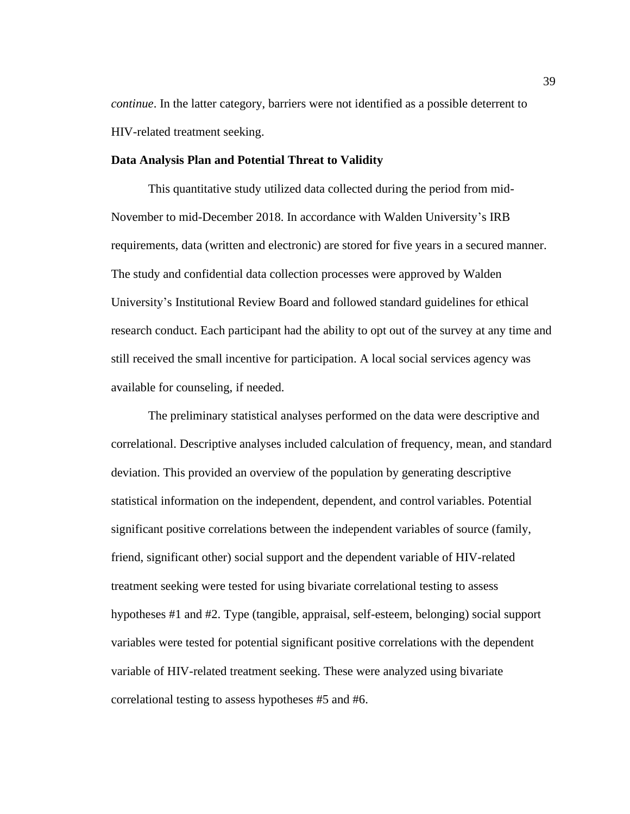*continue*. In the latter category, barriers were not identified as a possible deterrent to HIV-related treatment seeking.

# **Data Analysis Plan and Potential Threat to Validity**

This quantitative study utilized data collected during the period from mid-November to mid-December 2018. In accordance with Walden University's IRB requirements, data (written and electronic) are stored for five years in a secured manner. The study and confidential data collection processes were approved by Walden University's Institutional Review Board and followed standard guidelines for ethical research conduct. Each participant had the ability to opt out of the survey at any time and still received the small incentive for participation. A local social services agency was available for counseling, if needed.

The preliminary statistical analyses performed on the data were descriptive and correlational. Descriptive analyses included calculation of frequency, mean, and standard deviation. This provided an overview of the population by generating descriptive statistical information on the independent, dependent, and control variables. Potential significant positive correlations between the independent variables of source (family, friend, significant other) social support and the dependent variable of HIV-related treatment seeking were tested for using bivariate correlational testing to assess hypotheses #1 and #2. Type (tangible, appraisal, self-esteem, belonging) social support variables were tested for potential significant positive correlations with the dependent variable of HIV-related treatment seeking. These were analyzed using bivariate correlational testing to assess hypotheses #5 and #6.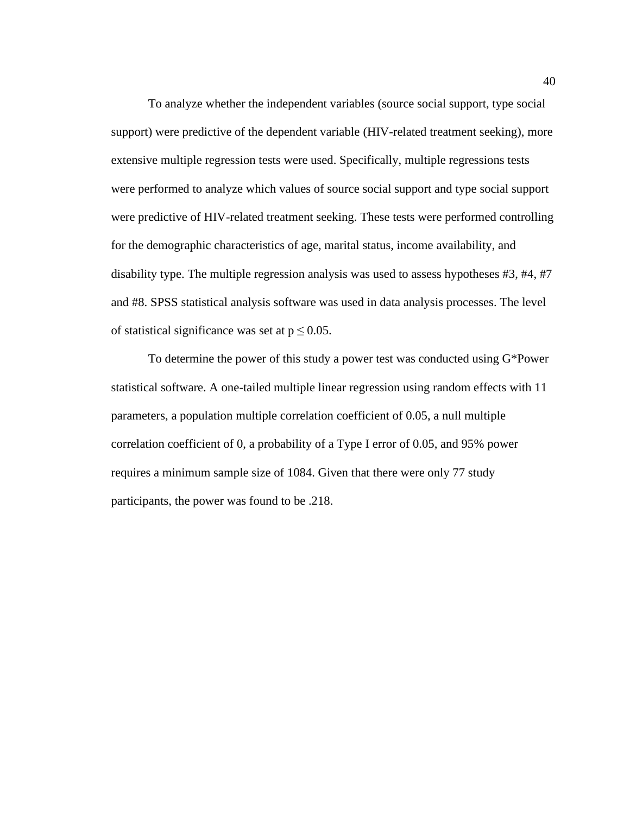To analyze whether the independent variables (source social support, type social support) were predictive of the dependent variable (HIV-related treatment seeking), more extensive multiple regression tests were used. Specifically, multiple regressions tests were performed to analyze which values of source social support and type social support were predictive of HIV-related treatment seeking. These tests were performed controlling for the demographic characteristics of age, marital status, income availability, and disability type. The multiple regression analysis was used to assess hypotheses #3, #4, #7 and #8. SPSS statistical analysis software was used in data analysis processes. The level of statistical significance was set at  $p \leq 0.05$ .

To determine the power of this study a power test was conducted using G\*Power statistical software. A one-tailed multiple linear regression using random effects with 11 parameters, a population multiple correlation coefficient of 0.05, a null multiple correlation coefficient of 0, a probability of a Type I error of 0.05, and 95% power requires a minimum sample size of 1084. Given that there were only 77 study participants, the power was found to be .218.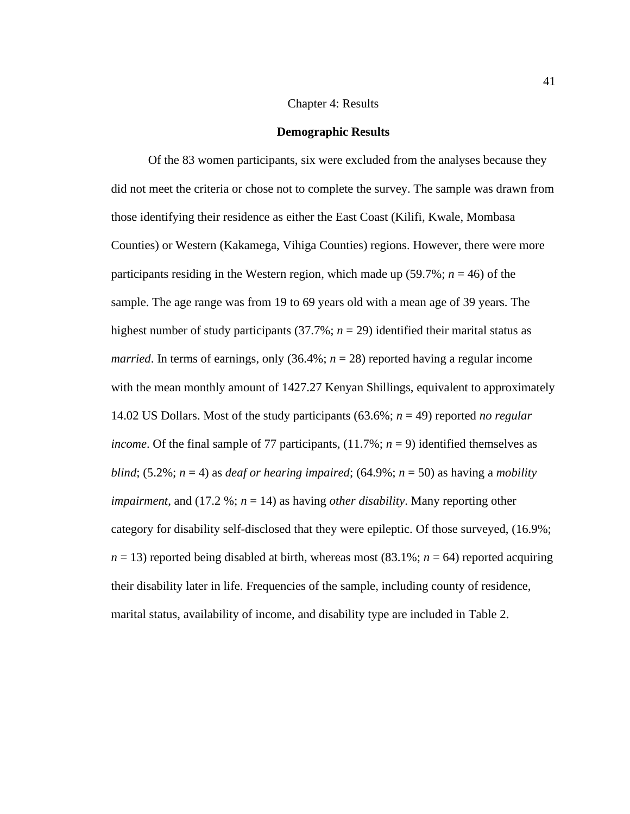# Chapter 4: Results

#### **Demographic Results**

Of the 83 women participants, six were excluded from the analyses because they did not meet the criteria or chose not to complete the survey. The sample was drawn from those identifying their residence as either the East Coast (Kilifi, Kwale, Mombasa Counties) or Western (Kakamega, Vihiga Counties) regions. However, there were more participants residing in the Western region, which made up (59.7%; *n* = 46) of the sample. The age range was from 19 to 69 years old with a mean age of 39 years. The highest number of study participants (37.7%; *n* = 29) identified their marital status as *married*. In terms of earnings, only  $(36.4\%; n = 28)$  reported having a regular income with the mean monthly amount of 1427.27 Kenyan Shillings, equivalent to approximately 14.02 US Dollars. Most of the study participants (63.6%; *n* = 49) reported *no regular income*. Of the final sample of 77 participants,  $(11.7\%; n = 9)$  identified themselves as *blind*; (5.2%;  $n = 4$ ) as *deaf or hearing impaired*; (64.9%;  $n = 50$ ) as having a *mobility impairment*, and (17.2 %; *n* = 14) as having *other disability*. Many reporting other category for disability self-disclosed that they were epileptic. Of those surveyed, (16.9%;  $n = 13$ ) reported being disabled at birth, whereas most (83.1%;  $n = 64$ ) reported acquiring their disability later in life. Frequencies of the sample, including county of residence, marital status, availability of income, and disability type are included in Table 2.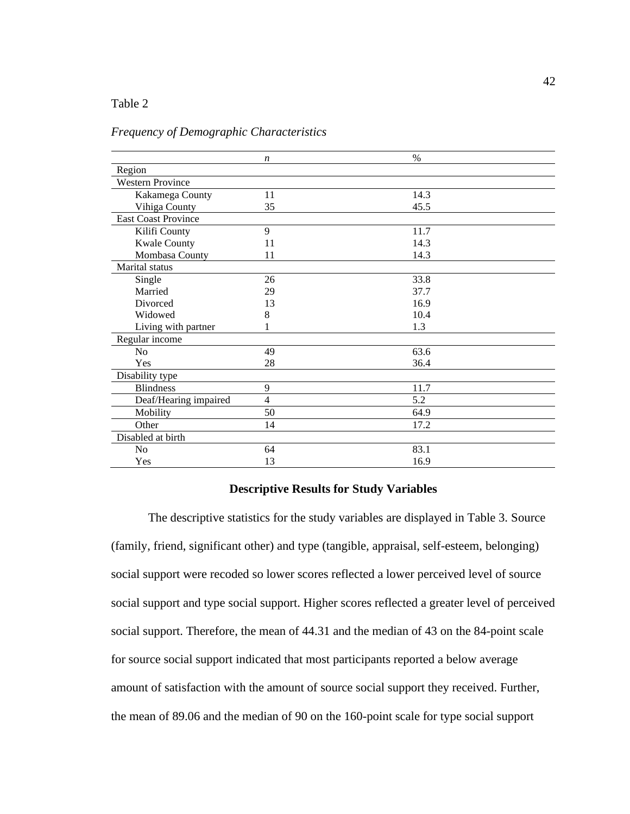# Table 2

| n              | $\%$ |
|----------------|------|
|                |      |
|                |      |
| 11             | 14.3 |
| 35             | 45.5 |
|                |      |
| 9              | 11.7 |
| 11             | 14.3 |
| 11             | 14.3 |
|                |      |
| 26             | 33.8 |
| 29             | 37.7 |
| 13             | 16.9 |
| 8              | 10.4 |
| 1              | 1.3  |
|                |      |
| 49             | 63.6 |
| 28             | 36.4 |
|                |      |
| 9              | 11.7 |
| $\overline{4}$ | 5.2  |
| 50             | 64.9 |
| 14             | 17.2 |
|                |      |
| 64             | 83.1 |
| 13             | 16.9 |
|                |      |

# *Frequency of Demographic Characteristics*

# **Descriptive Results for Study Variables**

The descriptive statistics for the study variables are displayed in Table 3. Source (family, friend, significant other) and type (tangible, appraisal, self-esteem, belonging) social support were recoded so lower scores reflected a lower perceived level of source social support and type social support. Higher scores reflected a greater level of perceived social support. Therefore, the mean of 44.31 and the median of 43 on the 84-point scale for source social support indicated that most participants reported a below average amount of satisfaction with the amount of source social support they received. Further, the mean of 89.06 and the median of 90 on the 160-point scale for type social support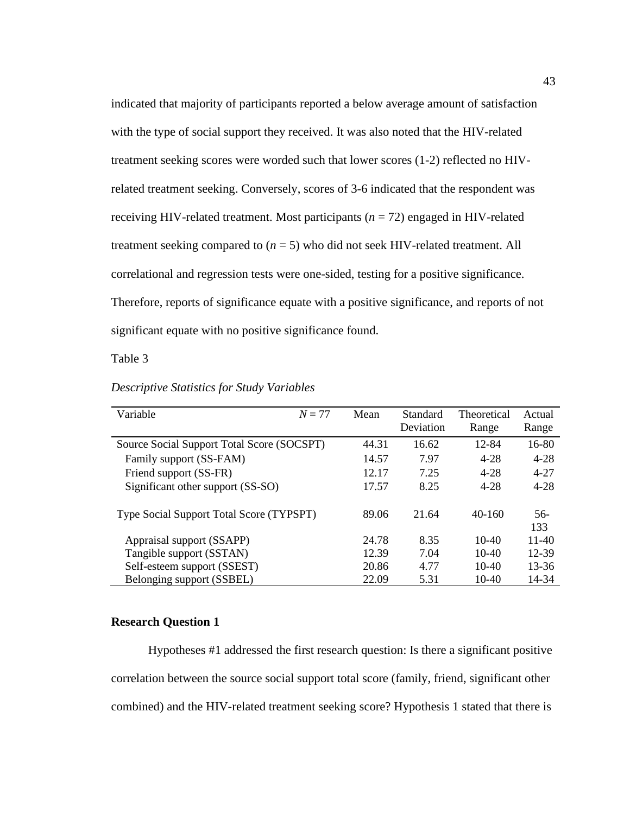indicated that majority of participants reported a below average amount of satisfaction with the type of social support they received. It was also noted that the HIV-related treatment seeking scores were worded such that lower scores (1-2) reflected no HIVrelated treatment seeking. Conversely, scores of 3-6 indicated that the respondent was receiving HIV-related treatment. Most participants  $(n = 72)$  engaged in HIV-related treatment seeking compared to  $(n = 5)$  who did not seek HIV-related treatment. All correlational and regression tests were one-sided, testing for a positive significance. Therefore, reports of significance equate with a positive significance, and reports of not significant equate with no positive significance found.

Table 3

| Variable                                   | $N = 77$ | Mean  | Standard  | Theoretical | Actual       |
|--------------------------------------------|----------|-------|-----------|-------------|--------------|
|                                            |          |       | Deviation | Range       | Range        |
| Source Social Support Total Score (SOCSPT) |          | 44.31 | 16.62     | 12-84       | 16-80        |
| Family support (SS-FAM)                    |          | 14.57 | 7.97      | $4 - 28$    | $4 - 28$     |
| Friend support (SS-FR)                     |          | 12.17 | 7.25      | $4 - 28$    | $4 - 27$     |
| Significant other support (SS-SO)          |          | 17.57 | 8.25      | $4 - 28$    | $4 - 28$     |
| Type Social Support Total Score (TYPSPT)   |          | 89.06 | 21.64     | $40-160$    | $56-$<br>133 |
| Appraisal support (SSAPP)                  |          | 24.78 | 8.35      | $10-40$     | $11 - 40$    |
| Tangible support (SSTAN)                   |          | 12.39 | 7.04      | $10-40$     | 12-39        |
| Self-esteem support (SSEST)                |          | 20.86 | 4.77      | $10-40$     | $13 - 36$    |
| Belonging support (SSBEL)                  |          | 22.09 | 5.31      | $10-40$     | 14-34        |

*Descriptive Statistics for Study Variables*

#### **Research Question 1**

Hypotheses #1 addressed the first research question: Is there a significant positive correlation between the source social support total score (family, friend, significant other combined) and the HIV-related treatment seeking score? Hypothesis 1 stated that there is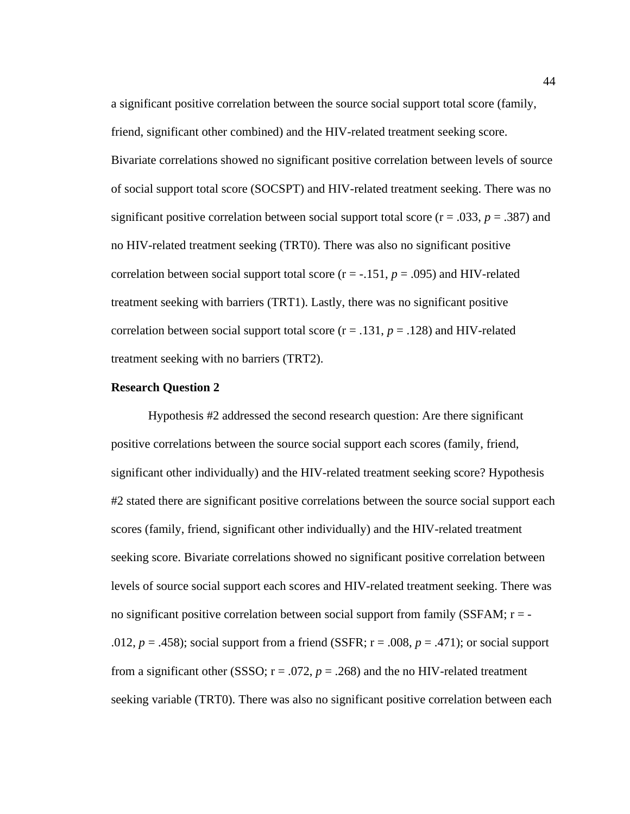a significant positive correlation between the source social support total score (family, friend, significant other combined) and the HIV-related treatment seeking score. Bivariate correlations showed no significant positive correlation between levels of source of social support total score (SOCSPT) and HIV-related treatment seeking. There was no significant positive correlation between social support total score ( $r = .033$ ,  $p = .387$ ) and no HIV-related treatment seeking (TRT0). There was also no significant positive correlation between social support total score  $(r = -.151, p = .095)$  and HIV-related treatment seeking with barriers (TRT1). Lastly, there was no significant positive correlation between social support total score  $(r = .131, p = .128)$  and HIV-related treatment seeking with no barriers (TRT2).

#### **Research Question 2**

Hypothesis #2 addressed the second research question: Are there significant positive correlations between the source social support each scores (family, friend, significant other individually) and the HIV-related treatment seeking score? Hypothesis #2 stated there are significant positive correlations between the source social support each scores (family, friend, significant other individually) and the HIV-related treatment seeking score. Bivariate correlations showed no significant positive correlation between levels of source social support each scores and HIV-related treatment seeking. There was no significant positive correlation between social support from family (SSFAM;  $r = -$ .012,  $p = .458$ ; social support from a friend (SSFR;  $r = .008$ ,  $p = .471$ ); or social support from a significant other (SSSO;  $r = .072$ ,  $p = .268$ ) and the no HIV-related treatment seeking variable (TRT0). There was also no significant positive correlation between each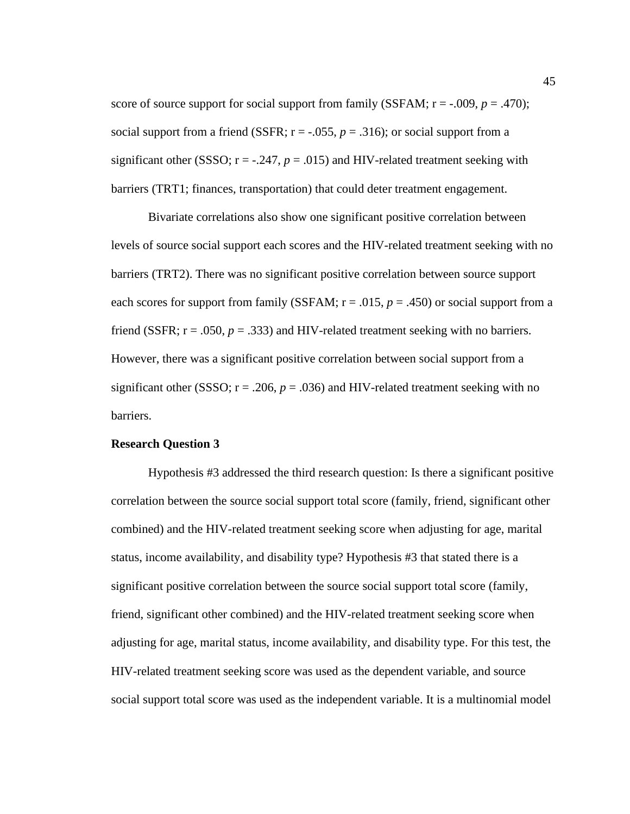score of source support for social support from family (SSFAM;  $r = -0.009$ ,  $p = 0.470$ ); social support from a friend (SSFR;  $r = -0.055$ ,  $p = 0.316$ ); or social support from a significant other (SSSO;  $r = -.247$ ,  $p = .015$ ) and HIV-related treatment seeking with barriers (TRT1; finances, transportation) that could deter treatment engagement.

Bivariate correlations also show one significant positive correlation between levels of source social support each scores and the HIV-related treatment seeking with no barriers (TRT2). There was no significant positive correlation between source support each scores for support from family (SSFAM;  $r = .015$ ,  $p = .450$ ) or social support from a friend (SSFR;  $r = .050$ ,  $p = .333$ ) and HIV-related treatment seeking with no barriers. However, there was a significant positive correlation between social support from a significant other (SSSO;  $r = .206$ ,  $p = .036$ ) and HIV-related treatment seeking with no barriers.

#### **Research Question 3**

Hypothesis #3 addressed the third research question: Is there a significant positive correlation between the source social support total score (family, friend, significant other combined) and the HIV-related treatment seeking score when adjusting for age, marital status, income availability, and disability type? Hypothesis #3 that stated there is a significant positive correlation between the source social support total score (family, friend, significant other combined) and the HIV-related treatment seeking score when adjusting for age, marital status, income availability, and disability type. For this test, the HIV-related treatment seeking score was used as the dependent variable, and source social support total score was used as the independent variable. It is a multinomial model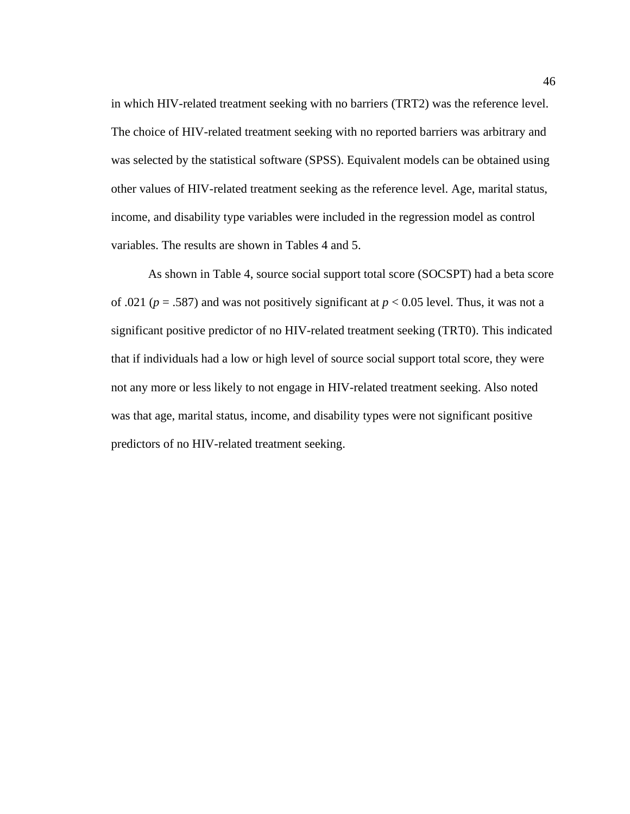in which HIV-related treatment seeking with no barriers (TRT2) was the reference level. The choice of HIV-related treatment seeking with no reported barriers was arbitrary and was selected by the statistical software (SPSS). Equivalent models can be obtained using other values of HIV-related treatment seeking as the reference level. Age, marital status, income, and disability type variables were included in the regression model as control variables. The results are shown in Tables 4 and 5.

As shown in Table 4, source social support total score (SOCSPT) had a beta score of .021 ( $p = .587$ ) and was not positively significant at  $p < 0.05$  level. Thus, it was not a significant positive predictor of no HIV-related treatment seeking (TRT0). This indicated that if individuals had a low or high level of source social support total score, they were not any more or less likely to not engage in HIV-related treatment seeking. Also noted was that age, marital status, income, and disability types were not significant positive predictors of no HIV-related treatment seeking.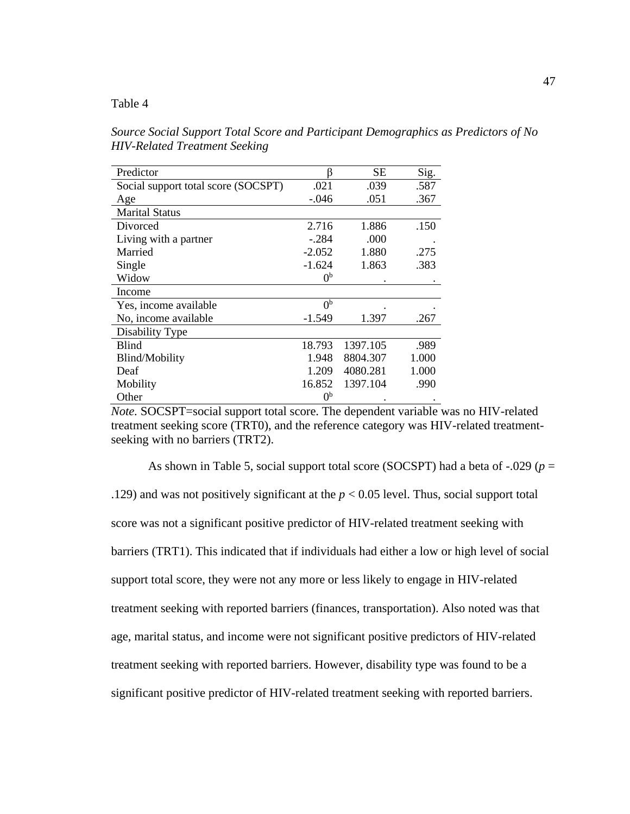# Table 4

*Source Social Support Total Score and Participant Demographics as Predictors of No HIV-Related Treatment Seeking*

| Predictor                           |                | SЕ       | Sig.  |
|-------------------------------------|----------------|----------|-------|
| Social support total score (SOCSPT) | .021           | .039     | .587  |
| Age                                 | -.046          | .051     | .367  |
| <b>Marital Status</b>               |                |          |       |
| Divorced                            | 2.716          | 1.886    | .150  |
| Living with a partner               | $-.284$        | .000     |       |
| Married                             | $-2.052$       | 1.880    | .275  |
| Single                              | $-1.624$       | 1.863    | .383  |
| Widow                               | 0 <sup>b</sup> |          |       |
| Income                              |                |          |       |
| Yes, income available               | 0 <sup>b</sup> |          |       |
| No, income available                | $-1.549$       | 1.397    | .267  |
| Disability Type                     |                |          |       |
| <b>Blind</b>                        | 18.793         | 1397.105 | .989  |
| Blind/Mobility                      | 1.948          | 8804.307 | 1.000 |
| Deaf                                | 1.209          | 4080.281 | 1.000 |
| Mobility                            | 16.852         | 1397.104 | .990  |
| Other                               | 0 <sup>b</sup> |          |       |

*Note.* SOCSPT=social support total score. The dependent variable was no HIV-related treatment seeking score (TRT0), and the reference category was HIV-related treatmentseeking with no barriers (TRT2).

As shown in Table 5, social support total score (SOCSPT) had a beta of -.029 (*p* = .129) and was not positively significant at the *p* < 0.05 level. Thus, social support total score was not a significant positive predictor of HIV-related treatment seeking with barriers (TRT1). This indicated that if individuals had either a low or high level of social support total score, they were not any more or less likely to engage in HIV-related treatment seeking with reported barriers (finances, transportation). Also noted was that age, marital status, and income were not significant positive predictors of HIV-related treatment seeking with reported barriers. However, disability type was found to be a significant positive predictor of HIV-related treatment seeking with reported barriers.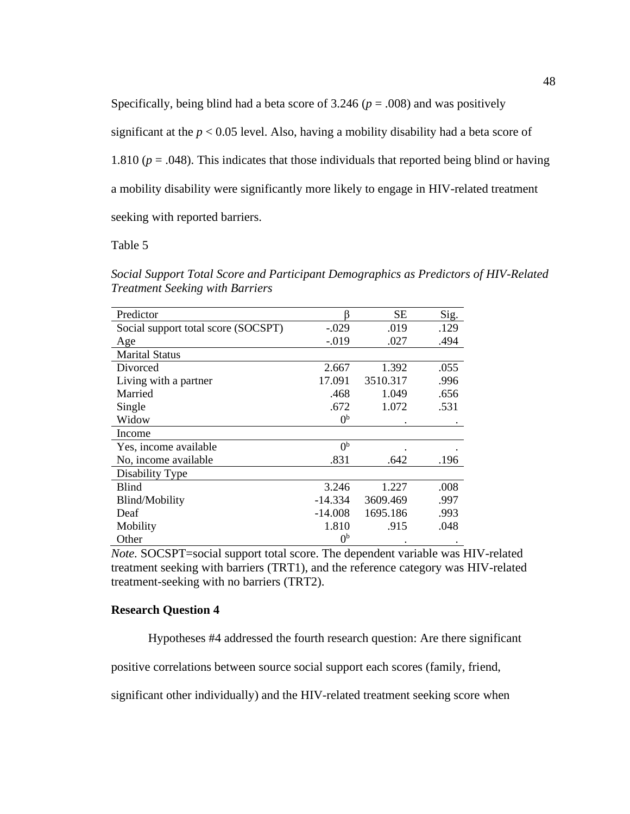Specifically, being blind had a beta score of 3.246 (*p* = .008) and was positively

significant at the  $p < 0.05$  level. Also, having a mobility disability had a beta score of

1.810 ( $p = .048$ ). This indicates that those individuals that reported being blind or having

a mobility disability were significantly more likely to engage in HIV-related treatment

seeking with reported barriers.

Table 5

| Predictor                           |                | SЕ       | Sig. |
|-------------------------------------|----------------|----------|------|
| Social support total score (SOCSPT) | $-.029$        | .019     | .129 |
| Age                                 | $-0.019$       | .027     | .494 |
| <b>Marital Status</b>               |                |          |      |
| Divorced                            | 2.667          | 1.392    | .055 |
| Living with a partner               | 17.091         | 3510.317 | .996 |
| Married                             | .468           | 1.049    | .656 |
| Single                              | .672           | 1.072    | .531 |
| Widow                               | 0 <sup>b</sup> |          |      |
| Income                              |                |          |      |
| Yes, income available               | 0 <sup>b</sup> |          |      |
| No, income available                | .831           | .642     | .196 |
| Disability Type                     |                |          |      |
| <b>Blind</b>                        | 3.246          | 1.227    | .008 |
| Blind/Mobility                      | $-14.334$      | 3609.469 | .997 |
| Deaf                                | $-14.008$      | 1695.186 | .993 |
| Mobility                            | 1.810          | .915     | .048 |
| Other                               | 0 <sup>b</sup> |          |      |

*Social Support Total Score and Participant Demographics as Predictors of HIV-Related Treatment Seeking with Barriers*

*Note.* SOCSPT=social support total score. The dependent variable was HIV-related treatment seeking with barriers (TRT1), and the reference category was HIV-related treatment-seeking with no barriers (TRT2).

#### **Research Question 4**

Hypotheses #4 addressed the fourth research question: Are there significant

positive correlations between source social support each scores (family, friend,

significant other individually) and the HIV-related treatment seeking score when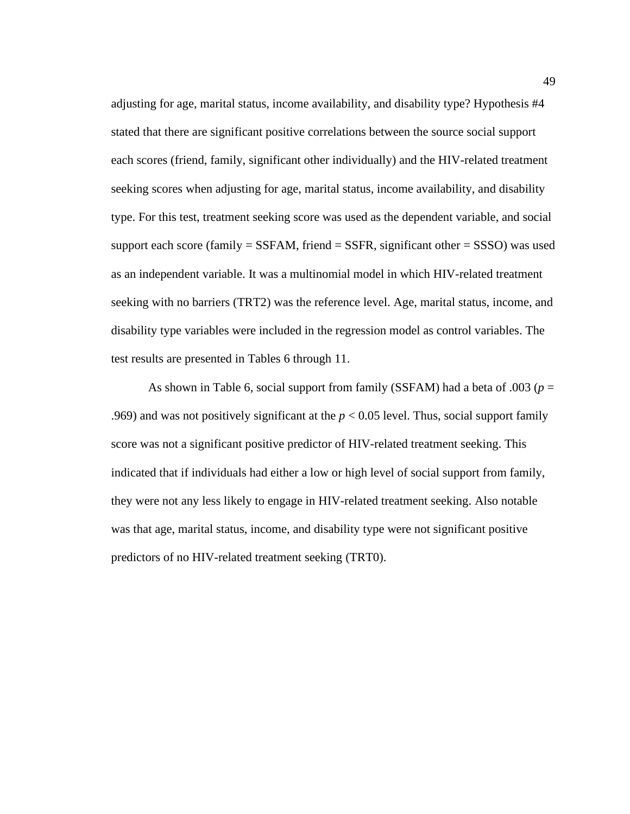adjusting for age, marital status, income availability, and disability type? Hypothesis #4 stated that there are significant positive correlations between the source social support each scores (friend, family, significant other individually) and the HIV-related treatment seeking scores when adjusting for age, marital status, income availability, and disability type. For this test, treatment seeking score was used as the dependent variable, and social support each score (family  $=$  SSFAM, friend  $=$  SSFR, significant other  $=$  SSSO) was used as an independent variable. It was a multinomial model in which HIV-related treatment seeking with no barriers (TRT2) was the reference level. Age, marital status, income, and disability type variables were included in the regression model as control variables. The test results are presented in Tables 6 through 11.

As shown in Table 6, social support from family (SSFAM) had a beta of .003 ( $p =$ .969) and was not positively significant at the  $p < 0.05$  level. Thus, social support family score was not a significant positive predictor of HIV-related treatment seeking. This indicated that if individuals had either a low or high level of social support from family, they were not any less likely to engage in HIV-related treatment seeking. Also notable was that age, marital status, income, and disability type were not significant positive predictors of no HIV-related treatment seeking (TRT0).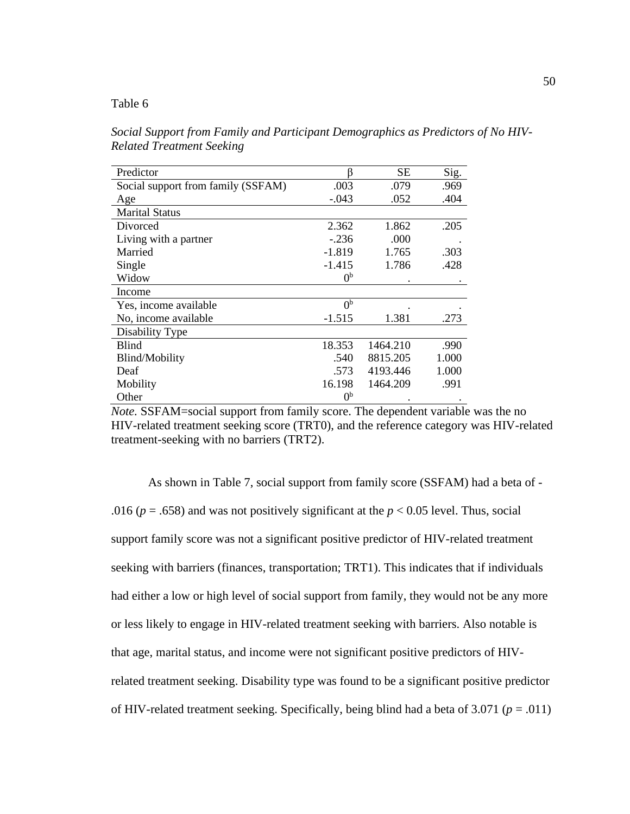# Table 6

| Social Support from Family and Participant Demographics as Predictors of No HIV- |  |  |
|----------------------------------------------------------------------------------|--|--|
| <b>Related Treatment Seeking</b>                                                 |  |  |

| Predictor                          |                | SЕ       | Sig.  |
|------------------------------------|----------------|----------|-------|
| Social support from family (SSFAM) | .003           | .079     | .969  |
| Age                                | $-.043$        | .052     | .404  |
| <b>Marital Status</b>              |                |          |       |
| Divorced                           | 2.362          | 1.862    | .205  |
| Living with a partner              | $-.236$        | .000     |       |
| Married                            | $-1.819$       | 1.765    | .303  |
| Single                             | $-1.415$       | 1.786    | .428  |
| Widow                              | 0 <sup>b</sup> |          |       |
| Income                             |                |          |       |
| Yes, income available              | 0 <sup>b</sup> |          |       |
| No, income available               | $-1.515$       | 1.381    | .273  |
| Disability Type                    |                |          |       |
| Blind                              | 18.353         | 1464.210 | .990  |
| Blind/Mobility                     | .540           | 8815.205 | 1.000 |
| Deaf                               | .573           | 4193.446 | 1.000 |
| Mobility                           | 16.198         | 1464.209 | .991  |
| Other                              | 0 <sup>b</sup> |          |       |

*Note.* SSFAM=social support from family score. The dependent variable was the no HIV-related treatment seeking score (TRT0), and the reference category was HIV-related treatment-seeking with no barriers (TRT2).

As shown in Table 7, social support from family score (SSFAM) had a beta of - .016 ( $p = .658$ ) and was not positively significant at the  $p < 0.05$  level. Thus, social support family score was not a significant positive predictor of HIV-related treatment seeking with barriers (finances, transportation; TRT1). This indicates that if individuals had either a low or high level of social support from family, they would not be any more or less likely to engage in HIV-related treatment seeking with barriers. Also notable is that age, marital status, and income were not significant positive predictors of HIVrelated treatment seeking. Disability type was found to be a significant positive predictor of HIV-related treatment seeking. Specifically, being blind had a beta of  $3.071$  ( $p = .011$ )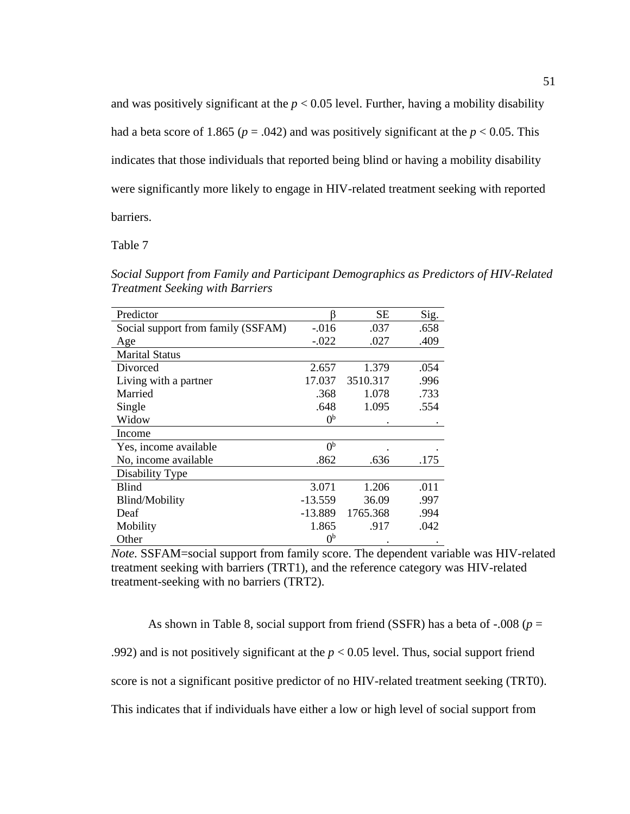and was positively significant at the  $p < 0.05$  level. Further, having a mobility disability had a beta score of 1.865 ( $p = .042$ ) and was positively significant at the  $p < 0.05$ . This indicates that those individuals that reported being blind or having a mobility disability were significantly more likely to engage in HIV-related treatment seeking with reported barriers.

Table 7

*Social Support from Family and Participant Demographics as Predictors of HIV-Related Treatment Seeking with Barriers*

| Predictor                          |                | SЕ       | Sig. |
|------------------------------------|----------------|----------|------|
| Social support from family (SSFAM) | $-.016$        | .037     | .658 |
| Age                                | $-.022$        | .027     | .409 |
| <b>Marital Status</b>              |                |          |      |
| Divorced                           | 2.657          | 1.379    | .054 |
| Living with a partner              | 17.037         | 3510.317 | .996 |
| Married                            | .368           | 1.078    | .733 |
| Single                             | .648           | 1.095    | .554 |
| Widow                              | 0 <sup>b</sup> |          |      |
| Income                             |                |          |      |
| Yes, income available              | 0 <sup>b</sup> |          |      |
| No, income available               | .862           | .636     | .175 |
| Disability Type                    |                |          |      |
| <b>Blind</b>                       | 3.071          | 1.206    | .011 |
| Blind/Mobility                     | -13.559        | 36.09    | .997 |
| Deaf                               | $-13.889$      | 1765.368 | .994 |
| Mobility                           | 1.865          | .917     | .042 |
| Other                              | 0 <sup>b</sup> |          |      |

*Note.* SSFAM=social support from family score. The dependent variable was HIV-related treatment seeking with barriers (TRT1), and the reference category was HIV-related treatment-seeking with no barriers (TRT2).

As shown in Table 8, social support from friend (SSFR) has a beta of -.008 (*p* = .992) and is not positively significant at the *p* < 0.05 level. Thus, social support friend score is not a significant positive predictor of no HIV-related treatment seeking (TRT0). This indicates that if individuals have either a low or high level of social support from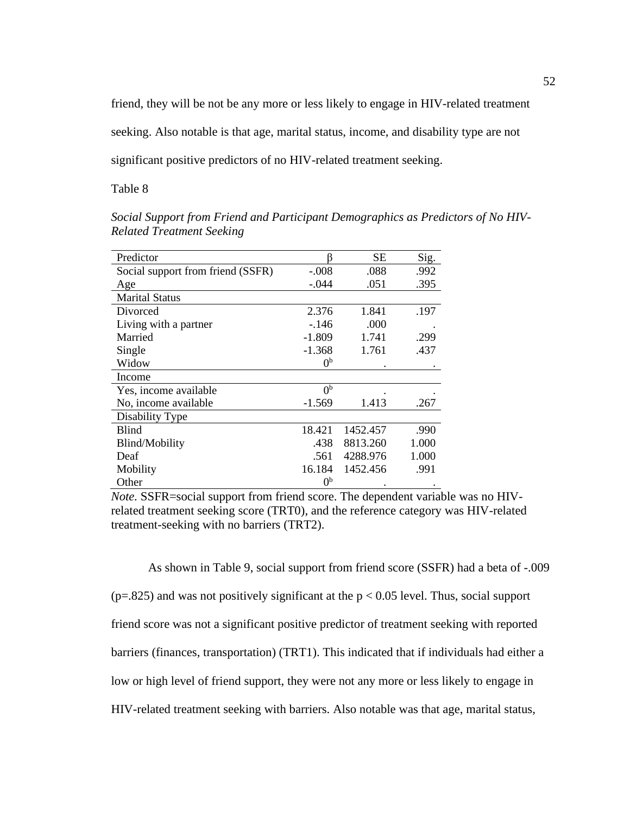friend, they will be not be any more or less likely to engage in HIV-related treatment

seeking. Also notable is that age, marital status, income, and disability type are not

significant positive predictors of no HIV-related treatment seeking.

Table 8

| Predictor                         |                | SЕ       | Sig.  |
|-----------------------------------|----------------|----------|-------|
| Social support from friend (SSFR) | $-.008$        | .088     | .992  |
| Age                               | -.044          | .051     | .395  |
| <b>Marital Status</b>             |                |          |       |
| Divorced                          | 2.376          | 1.841    | .197  |
| Living with a partner             | $-146$         | .000     |       |
| Married                           | $-1.809$       | 1.741    | .299  |
| Single                            | $-1.368$       | 1.761    | .437  |
| Widow                             | 0 <sub>p</sub> |          |       |
| Income                            |                |          |       |
| Yes, income available             | 0 <sup>b</sup> |          |       |
| No, income available              | $-1.569$       | 1.413    | .267  |
| Disability Type                   |                |          |       |
| <b>Blind</b>                      | 18.421         | 1452.457 | .990  |
| Blind/Mobility                    | .438           | 8813.260 | 1.000 |
| Deaf                              | .561           | 4288.976 | 1.000 |
| Mobility                          | 16.184         | 1452.456 | .991  |
| Other                             | 0 <sup>b</sup> |          |       |

*Social Support from Friend and Participant Demographics as Predictors of No HIV-Related Treatment Seeking*

*Note.* SSFR=social support from friend score. The dependent variable was no HIVrelated treatment seeking score (TRT0), and the reference category was HIV-related treatment-seeking with no barriers (TRT2).

As shown in Table 9, social support from friend score (SSFR) had a beta of -.009 ( $p=.825$ ) and was not positively significant at the  $p < 0.05$  level. Thus, social support friend score was not a significant positive predictor of treatment seeking with reported barriers (finances, transportation) (TRT1). This indicated that if individuals had either a low or high level of friend support, they were not any more or less likely to engage in HIV-related treatment seeking with barriers. Also notable was that age, marital status,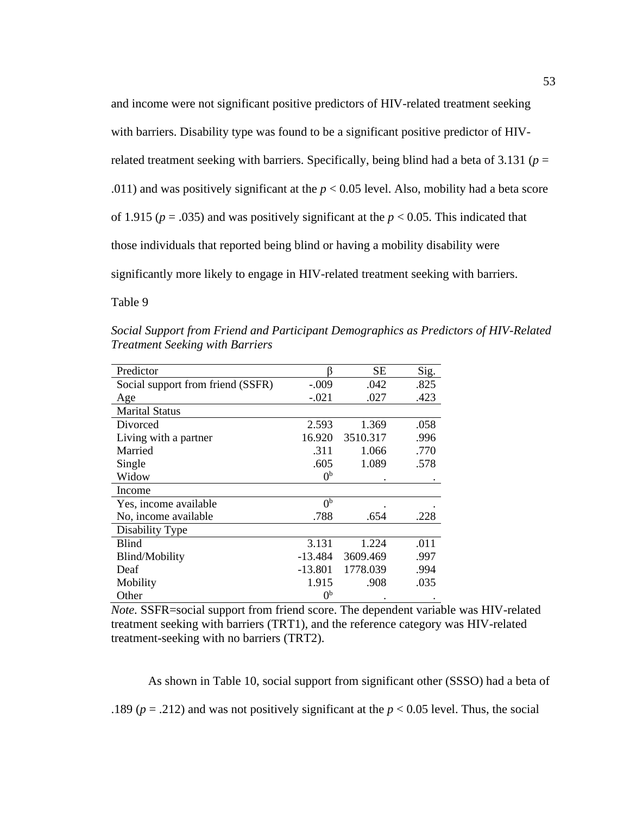and income were not significant positive predictors of HIV-related treatment seeking with barriers. Disability type was found to be a significant positive predictor of HIVrelated treatment seeking with barriers. Specifically, being blind had a beta of 3.131 ( $p =$ .011) and was positively significant at the  $p < 0.05$  level. Also, mobility had a beta score of 1.915 ( $p = .035$ ) and was positively significant at the  $p < 0.05$ . This indicated that those individuals that reported being blind or having a mobility disability were significantly more likely to engage in HIV-related treatment seeking with barriers.

Table 9

*Social Support from Friend and Participant Demographics as Predictors of HIV-Related Treatment Seeking with Barriers*

| Predictor                         | ß              | SЕ       | Sig. |
|-----------------------------------|----------------|----------|------|
| Social support from friend (SSFR) | $-.009$        | .042     | .825 |
| Age                               | $-.021$        | .027     | .423 |
| <b>Marital Status</b>             |                |          |      |
| Divorced                          | 2.593          | 1.369    | .058 |
| Living with a partner             | 16.920         | 3510.317 | .996 |
| Married                           | .311           | 1.066    | .770 |
| Single                            | .605           | 1.089    | .578 |
| Widow                             | 0 <sup>b</sup> |          |      |
| Income                            |                |          |      |
| Yes, income available             | 0 <sup>b</sup> |          |      |
| No, income available              | .788           | .654     | .228 |
| Disability Type                   |                |          |      |
| <b>Blind</b>                      | 3.131          | 1.224    | .011 |
| Blind/Mobility                    | -13.484        | 3609.469 | .997 |
| Deaf                              | -13.801        | 1778.039 | .994 |
| Mobility                          | 1.915          | .908     | .035 |
| Other                             | 0 <sup>b</sup> |          |      |

*Note.* SSFR=social support from friend score. The dependent variable was HIV-related treatment seeking with barriers (TRT1), and the reference category was HIV-related treatment-seeking with no barriers (TRT2).

As shown in Table 10, social support from significant other (SSSO) had a beta of

.189 ( $p = .212$ ) and was not positively significant at the  $p < 0.05$  level. Thus, the social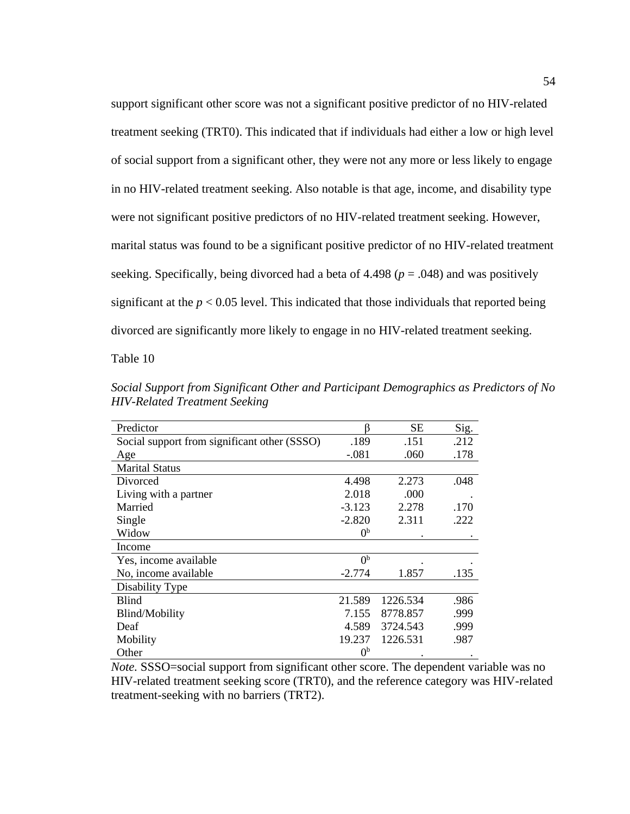support significant other score was not a significant positive predictor of no HIV-related treatment seeking (TRT0). This indicated that if individuals had either a low or high level of social support from a significant other, they were not any more or less likely to engage in no HIV-related treatment seeking. Also notable is that age, income, and disability type were not significant positive predictors of no HIV-related treatment seeking. However, marital status was found to be a significant positive predictor of no HIV-related treatment seeking. Specifically, being divorced had a beta of 4.498 (*p* = .048) and was positively significant at the  $p < 0.05$  level. This indicated that those individuals that reported being divorced are significantly more likely to engage in no HIV-related treatment seeking.

Table 10

| Predictor                                    |                | SЕ       | Sig.      |
|----------------------------------------------|----------------|----------|-----------|
| Social support from significant other (SSSO) | .189           | .151     | .212      |
| Age                                          | $-.081$        | .060     | .178      |
| <b>Marital Status</b>                        |                |          |           |
| Divorced                                     | 4.498          | 2.273    | .048      |
| Living with a partner                        | 2.018          | .000     | $\bullet$ |
| Married                                      | $-3.123$       | 2.278    | .170      |
| Single                                       | $-2.820$       | 2.311    | .222      |
| Widow                                        | 0 <sup>b</sup> |          |           |
| Income                                       |                |          |           |
| Yes, income available                        | 0 <sup>b</sup> |          |           |
| No, income available                         | $-2.774$       | 1.857    | .135      |
| Disability Type                              |                |          |           |
| <b>Blind</b>                                 | 21.589         | 1226.534 | .986      |
| Blind/Mobility                               | 7.155          | 8778.857 | .999      |
| Deaf                                         | 4.589          | 3724.543 | .999      |
| Mobility                                     | 19.237         | 1226.531 | .987      |
| Other                                        | 0 <sup>b</sup> |          |           |

*Social Support from Significant Other and Participant Demographics as Predictors of No HIV-Related Treatment Seeking*

*Note.* SSSO=social support from significant other score. The dependent variable was no HIV-related treatment seeking score (TRT0), and the reference category was HIV-related treatment-seeking with no barriers (TRT2).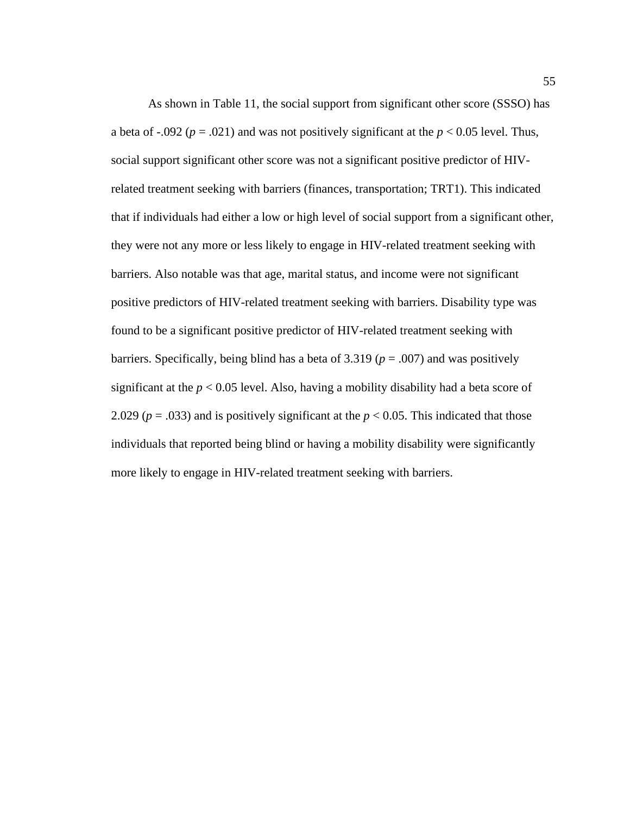As shown in Table 11, the social support from significant other score (SSSO) has a beta of  $-.092$  ( $p = .021$ ) and was not positively significant at the  $p < 0.05$  level. Thus, social support significant other score was not a significant positive predictor of HIVrelated treatment seeking with barriers (finances, transportation; TRT1). This indicated that if individuals had either a low or high level of social support from a significant other, they were not any more or less likely to engage in HIV-related treatment seeking with barriers. Also notable was that age, marital status, and income were not significant positive predictors of HIV-related treatment seeking with barriers. Disability type was found to be a significant positive predictor of HIV-related treatment seeking with barriers. Specifically, being blind has a beta of  $3.319$  ( $p = .007$ ) and was positively significant at the  $p < 0.05$  level. Also, having a mobility disability had a beta score of 2.029 ( $p = .033$ ) and is positively significant at the  $p < 0.05$ . This indicated that those individuals that reported being blind or having a mobility disability were significantly more likely to engage in HIV-related treatment seeking with barriers.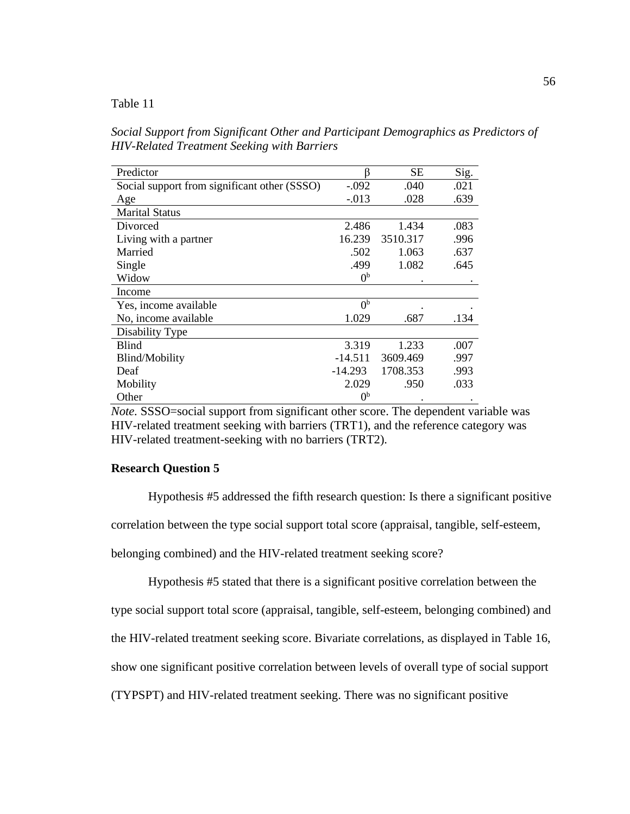# Table 11

*Social Support from Significant Other and Participant Demographics as Predictors of HIV-Related Treatment Seeking with Barriers*

| Predictor                                    |                | SЕ       | Sig. |
|----------------------------------------------|----------------|----------|------|
| Social support from significant other (SSSO) | $-.092$        | .040     | .021 |
| Age                                          | $-0.013$       | .028     | .639 |
| <b>Marital Status</b>                        |                |          |      |
| Divorced                                     | 2.486          | 1.434    | .083 |
| Living with a partner                        | 16.239         | 3510.317 | .996 |
| Married                                      | .502           | 1.063    | .637 |
| Single                                       | .499           | 1.082    | .645 |
| Widow                                        | 0 <sup>b</sup> |          |      |
| Income                                       |                |          |      |
| Yes, income available                        | 0 <sup>b</sup> |          |      |
| No, income available                         | 1.029          | .687     | .134 |
| Disability Type                              |                |          |      |
| <b>Blind</b>                                 | 3.319          | 1.233    | .007 |
| Blind/Mobility                               | $-14.511$      | 3609.469 | .997 |
| Deaf                                         | -14.293        | 1708.353 | .993 |
| Mobility                                     | 2.029          | .950     | .033 |
| Other                                        | 0 <sup>b</sup> |          |      |

*Note.* SSSO=social support from significant other score. The dependent variable was HIV-related treatment seeking with barriers (TRT1), and the reference category was HIV-related treatment-seeking with no barriers (TRT2).

# **Research Question 5**

Hypothesis #5 addressed the fifth research question: Is there a significant positive correlation between the type social support total score (appraisal, tangible, self-esteem, belonging combined) and the HIV-related treatment seeking score?

Hypothesis #5 stated that there is a significant positive correlation between the type social support total score (appraisal, tangible, self-esteem, belonging combined) and the HIV-related treatment seeking score. Bivariate correlations, as displayed in Table 16, show one significant positive correlation between levels of overall type of social support (TYPSPT) and HIV-related treatment seeking. There was no significant positive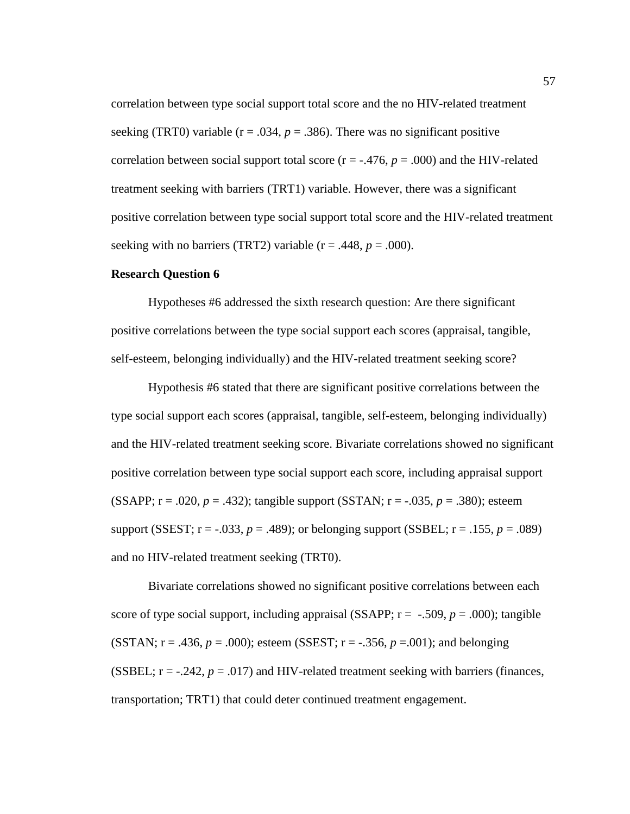correlation between type social support total score and the no HIV-related treatment seeking (TRT0) variable ( $r = .034$ ,  $p = .386$ ). There was no significant positive correlation between social support total score ( $r = -.476$ ,  $p = .000$ ) and the HIV-related treatment seeking with barriers (TRT1) variable. However, there was a significant positive correlation between type social support total score and the HIV-related treatment seeking with no barriers (TRT2) variable  $(r = .448, p = .000)$ .

# **Research Question 6**

Hypotheses #6 addressed the sixth research question: Are there significant positive correlations between the type social support each scores (appraisal, tangible, self-esteem, belonging individually) and the HIV-related treatment seeking score?

Hypothesis #6 stated that there are significant positive correlations between the type social support each scores (appraisal, tangible, self-esteem, belonging individually) and the HIV-related treatment seeking score. Bivariate correlations showed no significant positive correlation between type social support each score, including appraisal support (SSAPP; r = .020, *p* = .432); tangible support (SSTAN; r = -.035, *p* = .380); esteem support (SSEST;  $r = -.033$ ,  $p = .489$ ); or belonging support (SSBEL;  $r = .155$ ,  $p = .089$ ) and no HIV-related treatment seeking (TRT0).

Bivariate correlations showed no significant positive correlations between each score of type social support, including appraisal (SSAPP;  $r = -.509$ ,  $p = .000$ ); tangible (SSTAN; r = .436, *p* = .000); esteem (SSEST; r = -.356, *p* =.001); and belonging (SSBEL;  $r = -.242$ ,  $p = .017$ ) and HIV-related treatment seeking with barriers (finances, transportation; TRT1) that could deter continued treatment engagement.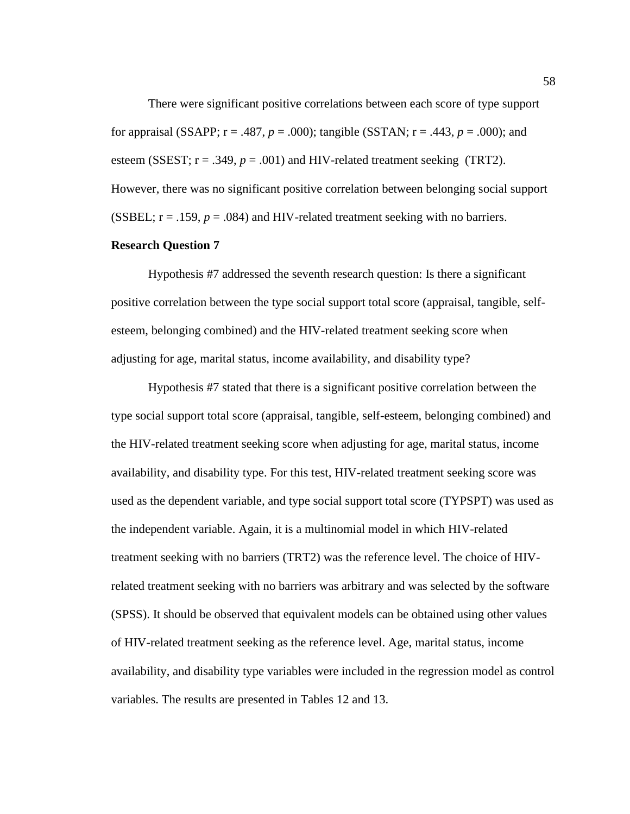There were significant positive correlations between each score of type support for appraisal (SSAPP; r = .487, *p* = .000); tangible (SSTAN; r = .443, *p* = .000); and esteem (SSEST;  $r = .349$ ,  $p = .001$ ) and HIV-related treatment seeking (TRT2). However, there was no significant positive correlation between belonging social support (SSBEL;  $r = .159$ ,  $p = .084$ ) and HIV-related treatment seeking with no barriers.

# **Research Question 7**

Hypothesis #7 addressed the seventh research question: Is there a significant positive correlation between the type social support total score (appraisal, tangible, selfesteem, belonging combined) and the HIV-related treatment seeking score when adjusting for age, marital status, income availability, and disability type?

Hypothesis #7 stated that there is a significant positive correlation between the type social support total score (appraisal, tangible, self-esteem, belonging combined) and the HIV-related treatment seeking score when adjusting for age, marital status, income availability, and disability type. For this test, HIV-related treatment seeking score was used as the dependent variable, and type social support total score (TYPSPT) was used as the independent variable. Again, it is a multinomial model in which HIV-related treatment seeking with no barriers (TRT2) was the reference level. The choice of HIVrelated treatment seeking with no barriers was arbitrary and was selected by the software (SPSS). It should be observed that equivalent models can be obtained using other values of HIV-related treatment seeking as the reference level. Age, marital status, income availability, and disability type variables were included in the regression model as control variables. The results are presented in Tables 12 and 13.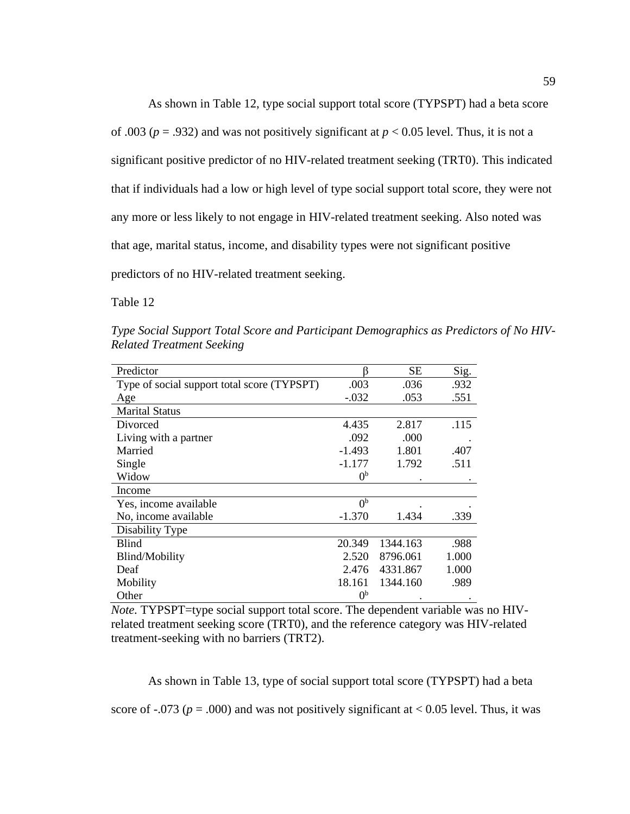As shown in Table 12, type social support total score (TYPSPT) had a beta score of .003 ( $p = .932$ ) and was not positively significant at  $p < 0.05$  level. Thus, it is not a significant positive predictor of no HIV-related treatment seeking (TRT0). This indicated that if individuals had a low or high level of type social support total score, they were not any more or less likely to not engage in HIV-related treatment seeking. Also noted was that age, marital status, income, and disability types were not significant positive predictors of no HIV-related treatment seeking.

Table 12

Predictor β SE Sig. Type of social support total score (TYPSPT)  $.003$  .036 .932 Age -.032 .053 .551 Marital Status Divorced 4.435 2.817 .115 Living with a partner .092 .000 Married 1.493 1.801 .407 Single 511 -1.177 1.792 .511 Widow  $0<sup>b</sup>$ . . Income Yes, income available  $0<sup>b</sup>$ . . No, income available  $-1.370$   $1.434$   $.339$ Disability Type Blind 20.349 1344.163 .988 Blind/Mobility 2.520 8796.061 1.000 Deaf 2.476 4331.867 1.000 Mobility 18.161 1344.160 .989 **Other**  $0<sup>b</sup>$ . .

*Type Social Support Total Score and Participant Demographics as Predictors of No HIV-Related Treatment Seeking*

*Note.* TYPSPT=type social support total score. The dependent variable was no HIVrelated treatment seeking score (TRT0), and the reference category was HIV-related treatment-seeking with no barriers (TRT2).

As shown in Table 13, type of social support total score (TYPSPT) had a beta score of  $-.073$  ( $p = .000$ ) and was not positively significant at  $< 0.05$  level. Thus, it was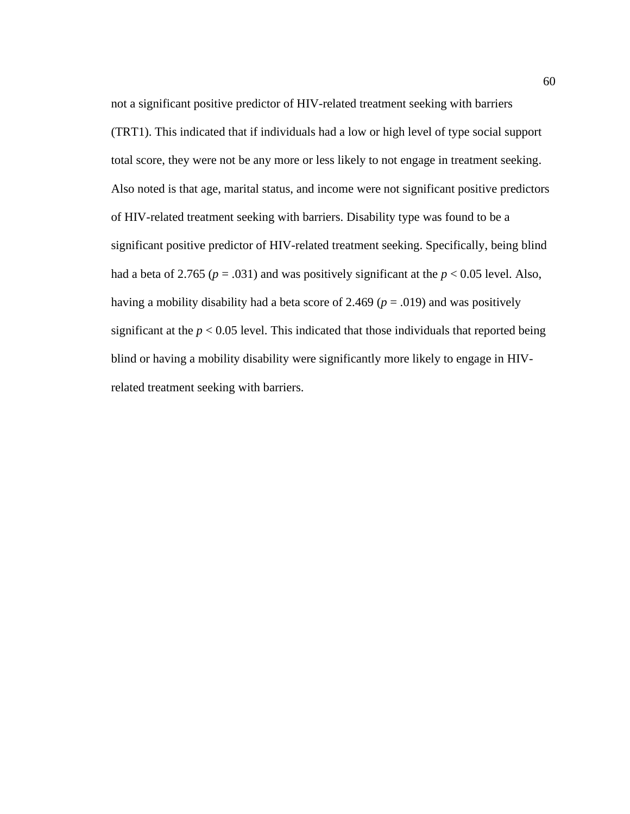not a significant positive predictor of HIV-related treatment seeking with barriers (TRT1). This indicated that if individuals had a low or high level of type social support total score, they were not be any more or less likely to not engage in treatment seeking. Also noted is that age, marital status, and income were not significant positive predictors of HIV-related treatment seeking with barriers. Disability type was found to be a significant positive predictor of HIV-related treatment seeking. Specifically, being blind had a beta of 2.765 ( $p = .031$ ) and was positively significant at the  $p < 0.05$  level. Also, having a mobility disability had a beta score of 2.469 ( $p = .019$ ) and was positively significant at the  $p < 0.05$  level. This indicated that those individuals that reported being blind or having a mobility disability were significantly more likely to engage in HIVrelated treatment seeking with barriers.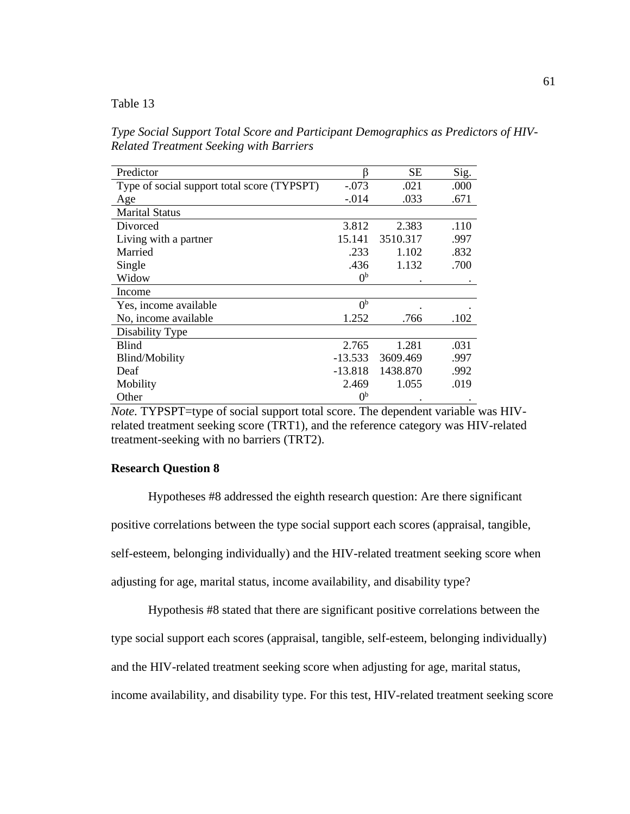# Table 13

*Type Social Support Total Score and Participant Demographics as Predictors of HIV-Related Treatment Seeking with Barriers*

| Predictor                                   |                | SЕ       | Sig. |
|---------------------------------------------|----------------|----------|------|
| Type of social support total score (TYPSPT) | $-.073$        | .021     | .000 |
| Age                                         | $-.014$        | .033     | .671 |
| <b>Marital Status</b>                       |                |          |      |
| Divorced                                    | 3.812          | 2.383    | .110 |
| Living with a partner                       | 15.141         | 3510.317 | .997 |
| Married                                     | .233           | 1.102    | .832 |
| Single                                      | .436           | 1.132    | .700 |
| Widow                                       | 0 <sup>b</sup> |          |      |
| Income                                      |                |          |      |
| Yes, income available                       | 0 <sup>b</sup> |          |      |
| No, income available                        | 1.252          | .766     | .102 |
| Disability Type                             |                |          |      |
| <b>Blind</b>                                | 2.765          | 1.281    | .031 |
| Blind/Mobility                              | $-13.533$      | 3609.469 | .997 |
| Deaf                                        | $-13.818$      | 1438.870 | .992 |
| Mobility                                    | 2.469          | 1.055    | .019 |
| Other                                       | 0 <sup>b</sup> |          |      |

*Note.* TYPSPT=type of social support total score. The dependent variable was HIVrelated treatment seeking score (TRT1), and the reference category was HIV-related treatment-seeking with no barriers (TRT2).

# **Research Question 8**

Hypotheses #8 addressed the eighth research question: Are there significant positive correlations between the type social support each scores (appraisal, tangible, self-esteem, belonging individually) and the HIV-related treatment seeking score when adjusting for age, marital status, income availability, and disability type?

Hypothesis #8 stated that there are significant positive correlations between the

type social support each scores (appraisal, tangible, self-esteem, belonging individually)

and the HIV-related treatment seeking score when adjusting for age, marital status,

income availability, and disability type. For this test, HIV-related treatment seeking score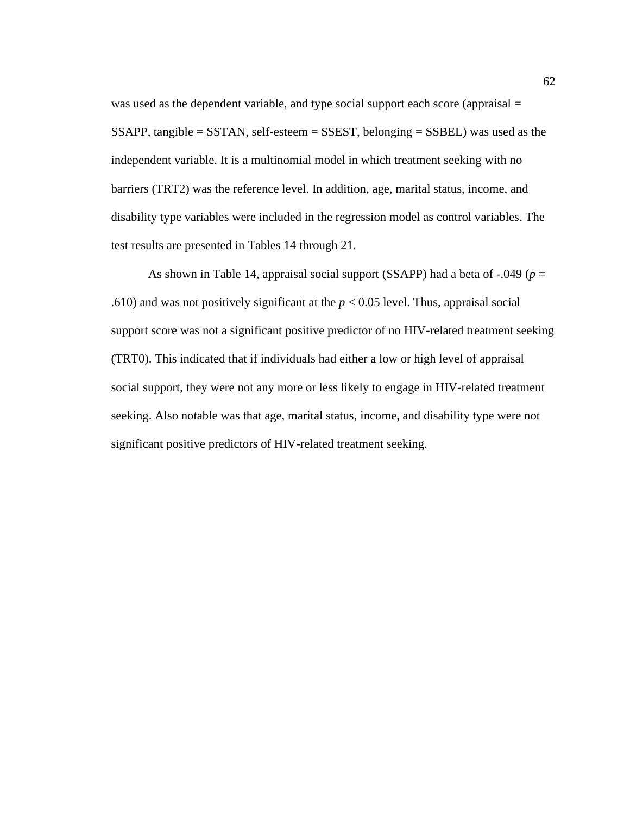was used as the dependent variable, and type social support each score (appraisal =  $SSAPP$ , tangible = SSTAN, self-esteem = SSEST, belonging = SSBEL) was used as the independent variable. It is a multinomial model in which treatment seeking with no barriers (TRT2) was the reference level. In addition, age, marital status, income, and disability type variables were included in the regression model as control variables. The test results are presented in Tables 14 through 21.

As shown in Table 14, appraisal social support (SSAPP) had a beta of -.049 (*p* = .610) and was not positively significant at the  $p < 0.05$  level. Thus, appraisal social support score was not a significant positive predictor of no HIV-related treatment seeking (TRT0). This indicated that if individuals had either a low or high level of appraisal social support, they were not any more or less likely to engage in HIV-related treatment seeking. Also notable was that age, marital status, income, and disability type were not significant positive predictors of HIV-related treatment seeking.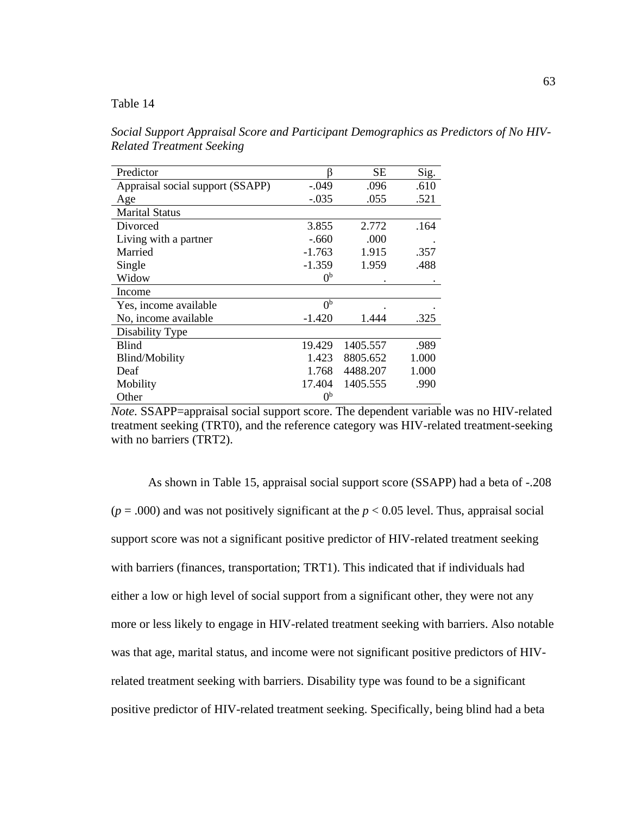# Table 14

*Social Support Appraisal Score and Participant Demographics as Predictors of No HIV-Related Treatment Seeking*

| Predictor                        |                | SЕ       | Sig.  |
|----------------------------------|----------------|----------|-------|
| Appraisal social support (SSAPP) | $-.049$        | .096     | .610  |
| Age                              | $-.035$        | .055     | .521  |
| <b>Marital Status</b>            |                |          |       |
| Divorced                         | 3.855          | 2.772    | .164  |
| Living with a partner            | $-.660$        | .000     |       |
| Married                          | $-1.763$       | 1.915    | .357  |
| Single                           | $-1.359$       | 1.959    | .488  |
| Widow                            | 0 <sup>b</sup> |          |       |
| Income                           |                |          |       |
| Yes, income available            | 0 <sup>b</sup> |          |       |
| No, income available             | $-1.420$       | 1.444    | .325  |
| Disability Type                  |                |          |       |
| <b>Blind</b>                     | 19.429         | 1405.557 | .989  |
| Blind/Mobility                   | 1.423          | 8805.652 | 1.000 |
| Deaf                             | 1.768          | 4488.207 | 1.000 |
| Mobility                         | 17.404         | 1405.555 | .990  |
| Other                            | 0 <sup>b</sup> |          |       |

*Note.* SSAPP=appraisal social support score. The dependent variable was no HIV-related treatment seeking (TRT0), and the reference category was HIV-related treatment-seeking with no barriers (TRT2).

As shown in Table 15, appraisal social support score (SSAPP) had a beta of -.208  $(p = .000)$  and was not positively significant at the  $p < 0.05$  level. Thus, appraisal social support score was not a significant positive predictor of HIV-related treatment seeking with barriers (finances, transportation; TRT1). This indicated that if individuals had either a low or high level of social support from a significant other, they were not any more or less likely to engage in HIV-related treatment seeking with barriers. Also notable was that age, marital status, and income were not significant positive predictors of HIVrelated treatment seeking with barriers. Disability type was found to be a significant positive predictor of HIV-related treatment seeking. Specifically, being blind had a beta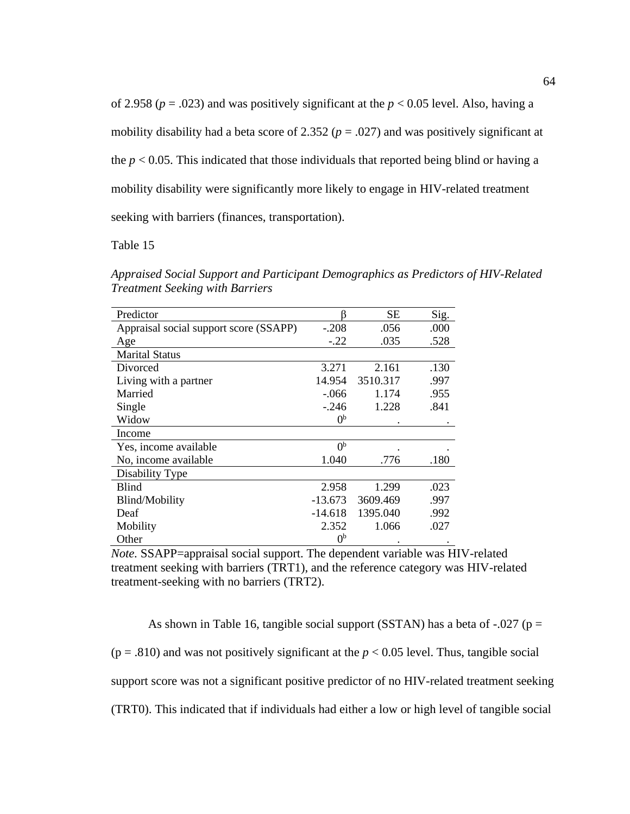of 2.958 ( $p = .023$ ) and was positively significant at the  $p < 0.05$  level. Also, having a mobility disability had a beta score of 2.352 ( $p = .027$ ) and was positively significant at the  $p < 0.05$ . This indicated that those individuals that reported being blind or having a mobility disability were significantly more likely to engage in HIV-related treatment seeking with barriers (finances, transportation).

Table 15

*Appraised Social Support and Participant Demographics as Predictors of HIV-Related Treatment Seeking with Barriers*

| Predictor                              | ß              | SЕ       | Sig. |
|----------------------------------------|----------------|----------|------|
| Appraisal social support score (SSAPP) | $-.208$        | .056     | .000 |
| Age                                    | $-.22$         | .035     | .528 |
| <b>Marital Status</b>                  |                |          |      |
| Divorced                               | 3.271          | 2.161    | .130 |
| Living with a partner                  | 14.954         | 3510.317 | .997 |
| Married                                | $-.066$        | 1.174    | .955 |
| Single                                 | $-.246$        | 1.228    | .841 |
| Widow                                  | 0 <sup>b</sup> |          |      |
| Income                                 |                |          |      |
| Yes, income available                  | 0 <sup>b</sup> |          |      |
| No, income available                   | 1.040          | .776     | .180 |
| Disability Type                        |                |          |      |
| <b>Blind</b>                           | 2.958          | 1.299    | .023 |
| Blind/Mobility                         | $-13.673$      | 3609.469 | .997 |
| Deaf                                   | $-14.618$      | 1395.040 | .992 |
| Mobility                               | 2.352          | 1.066    | .027 |
| Other                                  | 0 <sup>b</sup> |          |      |

*Note.* SSAPP=appraisal social support. The dependent variable was HIV-related treatment seeking with barriers (TRT1), and the reference category was HIV-related treatment-seeking with no barriers (TRT2).

As shown in Table 16, tangible social support (SSTAN) has a beta of  $-.027$  (p =  $(p = .810)$  and was not positively significant at the  $p < 0.05$  level. Thus, tangible social support score was not a significant positive predictor of no HIV-related treatment seeking (TRT0). This indicated that if individuals had either a low or high level of tangible social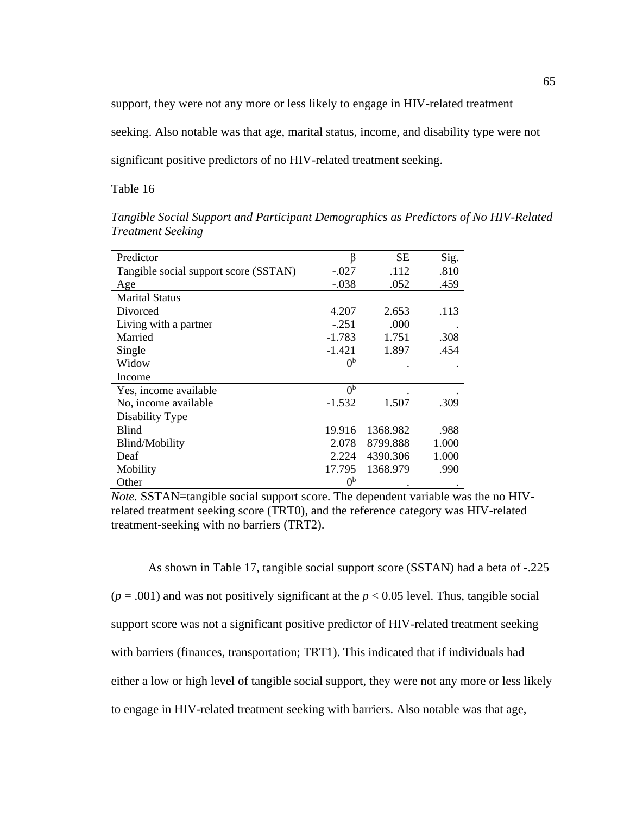support, they were not any more or less likely to engage in HIV-related treatment

seeking. Also notable was that age, marital status, income, and disability type were not

significant positive predictors of no HIV-related treatment seeking.

Table 16

*Tangible Social Support and Participant Demographics as Predictors of No HIV-Related Treatment Seeking*

| Predictor                             |                | <b>SE</b> | Sig.  |
|---------------------------------------|----------------|-----------|-------|
| Tangible social support score (SSTAN) | $-.027$        | .112      | .810  |
| Age                                   | $-.038$        | .052      | .459  |
| <b>Marital Status</b>                 |                |           |       |
| Divorced                              | 4.207          | 2.653     | .113  |
| Living with a partner                 | $-.251$        | .000      |       |
| Married                               | $-1.783$       | 1.751     | .308  |
| Single                                | $-1.421$       | 1.897     | .454  |
| Widow                                 | 0 <sup>b</sup> |           |       |
| Income                                |                |           |       |
| Yes, income available                 | 0 <sup>b</sup> |           |       |
| No, income available                  | $-1.532$       | 1.507     | .309  |
| Disability Type                       |                |           |       |
| <b>Blind</b>                          | 19.916         | 1368.982  | .988  |
| Blind/Mobility                        | 2.078          | 8799.888  | 1.000 |
| Deaf                                  | 2.224          | 4390.306  | 1.000 |
| Mobility                              | 17.795         | 1368.979  | .990  |
| Other                                 | 0 <sup>b</sup> |           |       |

*Note.* SSTAN=tangible social support score. The dependent variable was the no HIVrelated treatment seeking score (TRT0), and the reference category was HIV-related treatment-seeking with no barriers (TRT2).

As shown in Table 17, tangible social support score (SSTAN) had a beta of -.225  $(p = .001)$  and was not positively significant at the  $p < 0.05$  level. Thus, tangible social support score was not a significant positive predictor of HIV-related treatment seeking with barriers (finances, transportation; TRT1). This indicated that if individuals had either a low or high level of tangible social support, they were not any more or less likely to engage in HIV-related treatment seeking with barriers. Also notable was that age,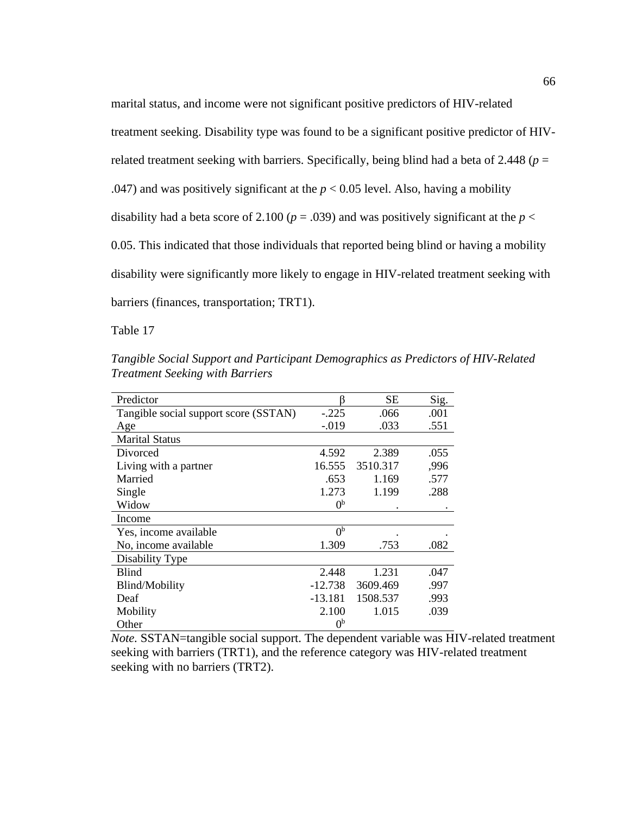marital status, and income were not significant positive predictors of HIV-related treatment seeking. Disability type was found to be a significant positive predictor of HIVrelated treatment seeking with barriers. Specifically, being blind had a beta of 2.448 ( $p =$ .047) and was positively significant at the  $p < 0.05$  level. Also, having a mobility disability had a beta score of 2.100 ( $p = .039$ ) and was positively significant at the  $p <$ 0.05. This indicated that those individuals that reported being blind or having a mobility disability were significantly more likely to engage in HIV-related treatment seeking with barriers (finances, transportation; TRT1).

Table 17

| Predictor                             | ß              | SЕ       | Sig. |
|---------------------------------------|----------------|----------|------|
| Tangible social support score (SSTAN) | $-.225$        | .066     | .001 |
| Age                                   | $-0.019$       | .033     | .551 |
| <b>Marital Status</b>                 |                |          |      |
| Divorced                              | 4.592          | 2.389    | .055 |
| Living with a partner                 | 16.555         | 3510.317 | ,996 |
| Married                               | .653           | 1.169    | .577 |
| Single                                | 1.273          | 1.199    | .288 |
| Widow                                 | 0 <sup>b</sup> |          |      |
| Income                                |                |          |      |
| Yes, income available                 | 0 <sup>b</sup> |          |      |
| No, income available                  | 1.309          | .753     | .082 |
| Disability Type                       |                |          |      |
| <b>Blind</b>                          | 2.448          | 1.231    | .047 |
| Blind/Mobility                        | $-12.738$      | 3609.469 | .997 |
| Deaf                                  | $-13.181$      | 1508.537 | .993 |
| Mobility                              | 2.100          | 1.015    | .039 |
| Other                                 | 0 <sup>b</sup> |          |      |

*Tangible Social Support and Participant Demographics as Predictors of HIV-Related Treatment Seeking with Barriers*

*Note.* SSTAN=tangible social support. The dependent variable was HIV-related treatment seeking with barriers (TRT1), and the reference category was HIV-related treatment seeking with no barriers (TRT2).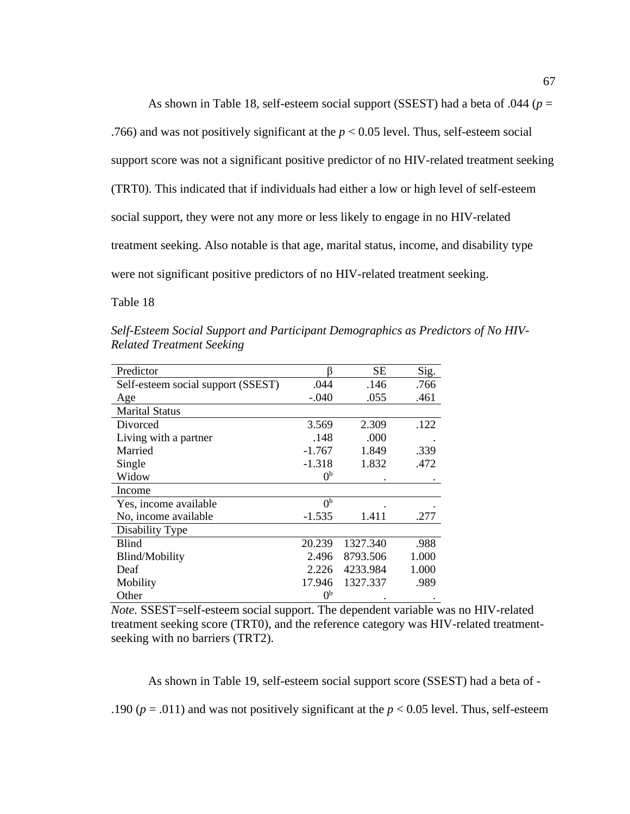As shown in Table 18, self-esteem social support (SSEST) had a beta of .044 (*p* = .766) and was not positively significant at the *p* < 0.05 level. Thus, self-esteem social support score was not a significant positive predictor of no HIV-related treatment seeking (TRT0). This indicated that if individuals had either a low or high level of self-esteem social support, they were not any more or less likely to engage in no HIV-related treatment seeking. Also notable is that age, marital status, income, and disability type were not significant positive predictors of no HIV-related treatment seeking.

Table 18

| Predictor                          |                | SЕ       | Sig.  |
|------------------------------------|----------------|----------|-------|
| Self-esteem social support (SSEST) | .044           | .146     | .766  |
| Age                                | $-.040$        | .055     | .461  |
| <b>Marital Status</b>              |                |          |       |
| Divorced                           | 3.569          | 2.309    | .122  |
| Living with a partner              | .148           | .000     |       |
| Married                            | $-1.767$       | 1.849    | .339  |
| Single                             | $-1.318$       | 1.832    | .472  |
| Widow                              | 0 <sup>b</sup> |          |       |
| Income                             |                |          |       |
| Yes, income available              | 0 <sup>b</sup> |          |       |
| No, income available               | $-1.535$       | 1.411    | .277  |
| Disability Type                    |                |          |       |
| <b>Blind</b>                       | 20.239         | 1327.340 | .988  |
| Blind/Mobility                     | 2.496          | 8793.506 | 1.000 |
| Deaf                               | 2.226          | 4233.984 | 1.000 |
| Mobility                           | 17.946         | 1327.337 | .989  |
| Other                              | 0 <sup>b</sup> |          |       |

*Self-Esteem Social Support and Participant Demographics as Predictors of No HIV-Related Treatment Seeking*

*Note.* SSEST=self-esteem social support. The dependent variable was no HIV-related treatment seeking score (TRT0), and the reference category was HIV-related treatmentseeking with no barriers (TRT2).

As shown in Table 19, self-esteem social support score (SSEST) had a beta of -

.190 ( $p = .011$ ) and was not positively significant at the  $p < 0.05$  level. Thus, self-esteem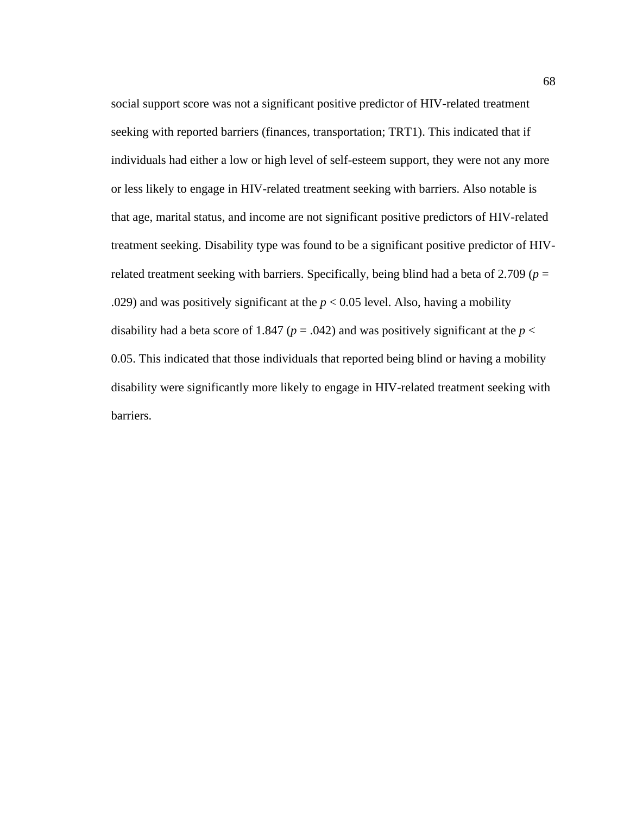social support score was not a significant positive predictor of HIV-related treatment seeking with reported barriers (finances, transportation; TRT1). This indicated that if individuals had either a low or high level of self-esteem support, they were not any more or less likely to engage in HIV-related treatment seeking with barriers. Also notable is that age, marital status, and income are not significant positive predictors of HIV-related treatment seeking. Disability type was found to be a significant positive predictor of HIVrelated treatment seeking with barriers. Specifically, being blind had a beta of 2.709 ( $p =$ .029) and was positively significant at the  $p < 0.05$  level. Also, having a mobility disability had a beta score of 1.847 ( $p = .042$ ) and was positively significant at the  $p <$ 0.05. This indicated that those individuals that reported being blind or having a mobility disability were significantly more likely to engage in HIV-related treatment seeking with barriers.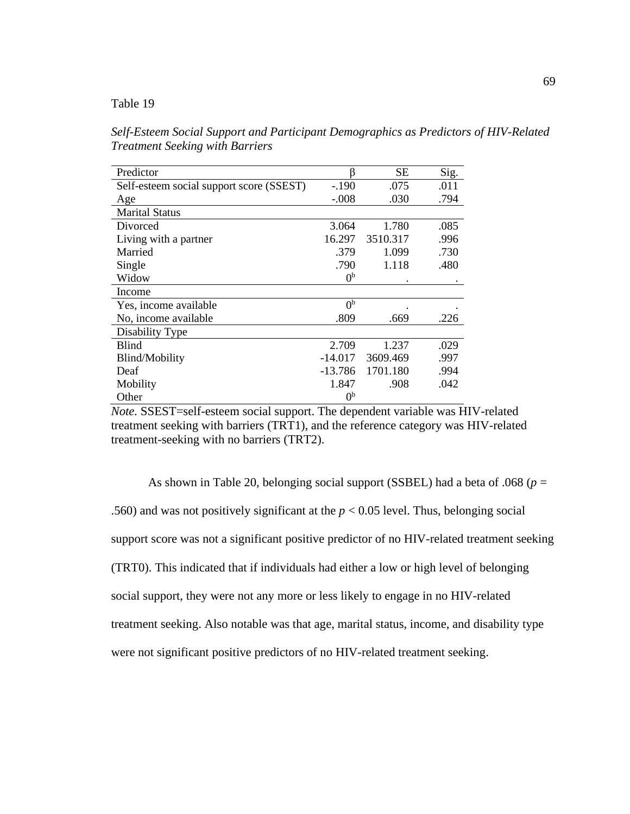# Table 19

*Self-Esteem Social Support and Participant Demographics as Predictors of HIV-Related Treatment Seeking with Barriers*

| Predictor                                | R              | <b>SE</b> | Sig. |
|------------------------------------------|----------------|-----------|------|
| Self-esteem social support score (SSEST) | $-.190$        | .075      | .011 |
| Age                                      | $-.008$        | .030      | .794 |
| <b>Marital Status</b>                    |                |           |      |
| Divorced                                 | 3.064          | 1.780     | .085 |
| Living with a partner                    | 16.297         | 3510.317  | .996 |
| Married                                  | .379           | 1.099     | .730 |
| Single                                   | .790           | 1.118     | .480 |
| Widow                                    | 0 <sup>b</sup> |           |      |
| Income                                   |                |           |      |
| Yes, income available                    | 0 <sup>b</sup> |           |      |
| No, income available                     | .809           | .669      | .226 |
| Disability Type                          |                |           |      |
| <b>Blind</b>                             | 2.709          | 1.237     | .029 |
| Blind/Mobility                           | $-14.017$      | 3609.469  | .997 |
| Deaf                                     | $-13.786$      | 1701.180  | .994 |
| Mobility                                 | 1.847          | .908      | .042 |
| Other                                    | 0 <sup>b</sup> |           |      |

*Note.* SSEST=self-esteem social support. The dependent variable was HIV-related treatment seeking with barriers (TRT1), and the reference category was HIV-related treatment-seeking with no barriers (TRT2).

As shown in Table 20, belonging social support (SSBEL) had a beta of .068 ( $p =$ .560) and was not positively significant at the  $p < 0.05$  level. Thus, belonging social support score was not a significant positive predictor of no HIV-related treatment seeking (TRT0). This indicated that if individuals had either a low or high level of belonging social support, they were not any more or less likely to engage in no HIV-related treatment seeking. Also notable was that age, marital status, income, and disability type were not significant positive predictors of no HIV-related treatment seeking.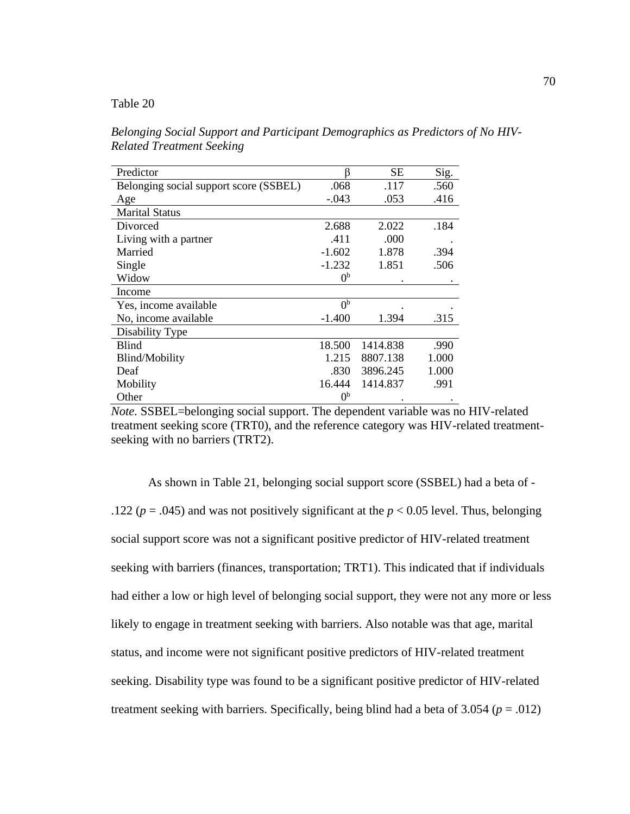# Table 20

*Belonging Social Support and Participant Demographics as Predictors of No HIV-Related Treatment Seeking*

| Predictor                              | ß              | SЕ       | Sig.  |
|----------------------------------------|----------------|----------|-------|
| Belonging social support score (SSBEL) | .068           | .117     | .560  |
| Age                                    | $-.043$        | .053     | .416  |
| <b>Marital Status</b>                  |                |          |       |
| Divorced                               | 2.688          | 2.022    | .184  |
| Living with a partner                  | .411           | .000     |       |
| Married                                | $-1.602$       | 1.878    | .394  |
| Single                                 | $-1.232$       | 1.851    | .506  |
| Widow                                  | 0 <sup>b</sup> |          |       |
| Income                                 |                |          |       |
| Yes, income available                  | 0 <sup>b</sup> |          |       |
| No, income available                   | $-1.400$       | 1.394    | .315  |
| Disability Type                        |                |          |       |
| <b>Blind</b>                           | 18.500         | 1414.838 | .990  |
| Blind/Mobility                         | 1.215          | 8807.138 | 1.000 |
| Deaf                                   | .830           | 3896.245 | 1.000 |
| Mobility                               | 16.444         | 1414.837 | .991  |
| Other                                  | 0 <sup>b</sup> |          |       |

*Note.* SSBEL=belonging social support. The dependent variable was no HIV-related treatment seeking score (TRT0), and the reference category was HIV-related treatmentseeking with no barriers (TRT2).

As shown in Table 21, belonging social support score (SSBEL) had a beta of - .122 ( $p = .045$ ) and was not positively significant at the  $p < 0.05$  level. Thus, belonging social support score was not a significant positive predictor of HIV-related treatment seeking with barriers (finances, transportation; TRT1). This indicated that if individuals had either a low or high level of belonging social support, they were not any more or less likely to engage in treatment seeking with barriers. Also notable was that age, marital status, and income were not significant positive predictors of HIV-related treatment seeking. Disability type was found to be a significant positive predictor of HIV-related treatment seeking with barriers. Specifically, being blind had a beta of  $3.054$  ( $p = .012$ )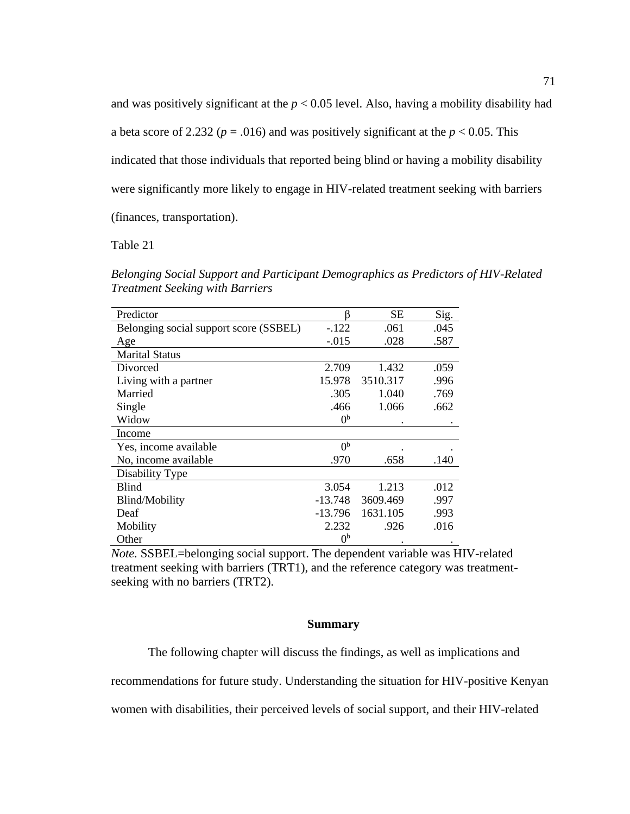and was positively significant at the  $p < 0.05$  level. Also, having a mobility disability had a beta score of 2.232 ( $p = .016$ ) and was positively significant at the  $p < 0.05$ . This indicated that those individuals that reported being blind or having a mobility disability were significantly more likely to engage in HIV-related treatment seeking with barriers (finances, transportation).

Table 21

*Belonging Social Support and Participant Demographics as Predictors of HIV-Related Treatment Seeking with Barriers*

| Predictor                              | ß              | <b>SE</b> | Sig. |
|----------------------------------------|----------------|-----------|------|
| Belonging social support score (SSBEL) | $-122$         | .061      | .045 |
| Age                                    | $-0.015$       | .028      | .587 |
| <b>Marital Status</b>                  |                |           |      |
| Divorced                               | 2.709          | 1.432     | .059 |
| Living with a partner                  | 15.978         | 3510.317  | .996 |
| Married                                | .305           | 1.040     | .769 |
| Single                                 | .466           | 1.066     | .662 |
| Widow                                  | 0 <sup>b</sup> |           |      |
| Income                                 |                |           |      |
| Yes, income available                  | 0 <sup>b</sup> |           |      |
| No, income available                   | .970           | .658      | .140 |
| Disability Type                        |                |           |      |
| <b>Blind</b>                           | 3.054          | 1.213     | .012 |
| Blind/Mobility                         | $-13.748$      | 3609.469  | .997 |
| Deaf                                   | $-13.796$      | 1631.105  | .993 |
| Mobility                               | 2.232          | .926      | .016 |
| Other                                  | 0 <sup>b</sup> |           |      |

*Note.* SSBEL=belonging social support. The dependent variable was HIV-related treatment seeking with barriers (TRT1), and the reference category was treatmentseeking with no barriers (TRT2).

# **Summary**

The following chapter will discuss the findings, as well as implications and recommendations for future study. Understanding the situation for HIV-positive Kenyan women with disabilities, their perceived levels of social support, and their HIV-related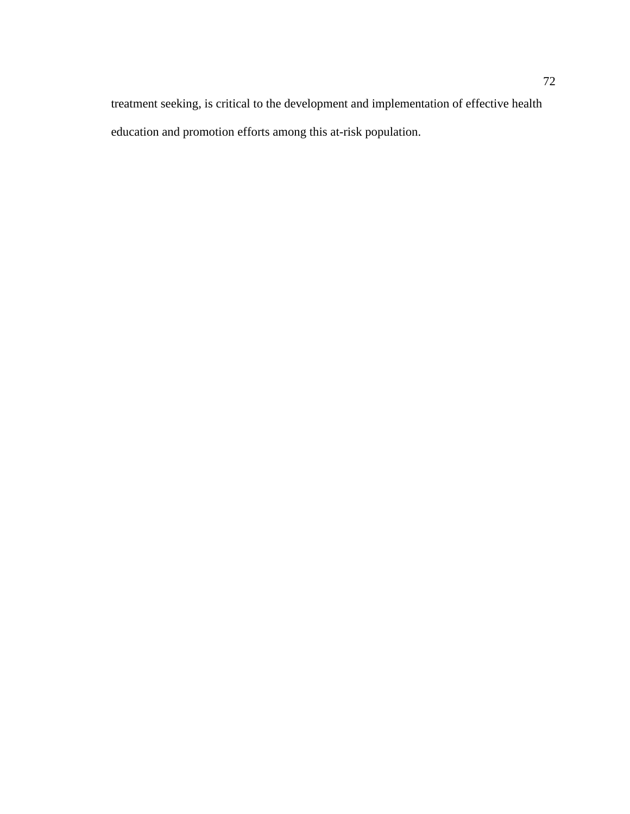treatment seeking, is critical to the development and implementation of effective health education and promotion efforts among this at-risk population.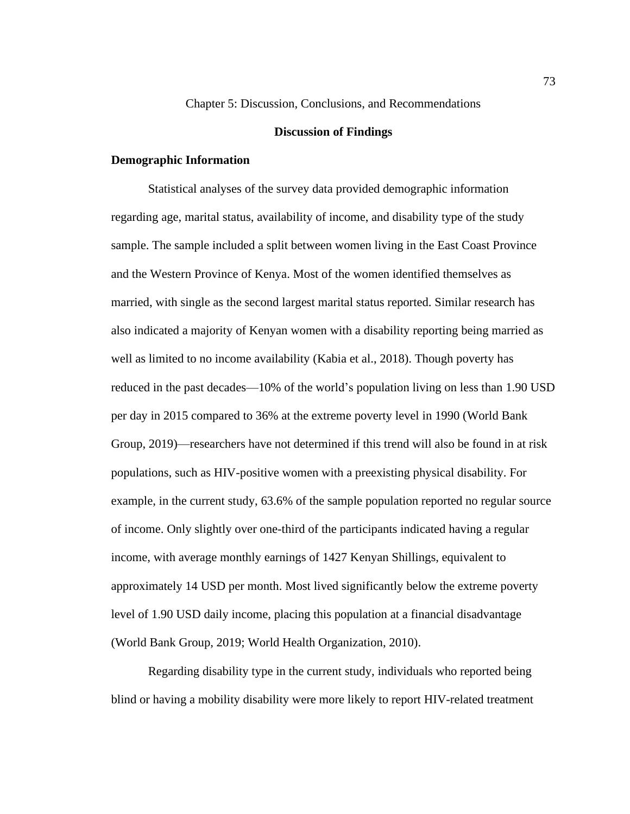# Chapter 5: Discussion, Conclusions, and Recommendations

# **Discussion of Findings**

### **Demographic Information**

Statistical analyses of the survey data provided demographic information regarding age, marital status, availability of income, and disability type of the study sample. The sample included a split between women living in the East Coast Province and the Western Province of Kenya. Most of the women identified themselves as married, with single as the second largest marital status reported. Similar research has also indicated a majority of Kenyan women with a disability reporting being married as well as limited to no income availability (Kabia et al., 2018). Though poverty has reduced in the past decades—10% of the world's population living on less than 1.90 USD per day in 2015 compared to 36% at the extreme poverty level in 1990 (World Bank Group, 2019)—researchers have not determined if this trend will also be found in at risk populations, such as HIV-positive women with a preexisting physical disability. For example, in the current study, 63.6% of the sample population reported no regular source of income. Only slightly over one-third of the participants indicated having a regular income, with average monthly earnings of 1427 Kenyan Shillings, equivalent to approximately 14 USD per month. Most lived significantly below the extreme poverty level of 1.90 USD daily income, placing this population at a financial disadvantage (World Bank Group, 2019; World Health Organization, 2010).

Regarding disability type in the current study, individuals who reported being blind or having a mobility disability were more likely to report HIV-related treatment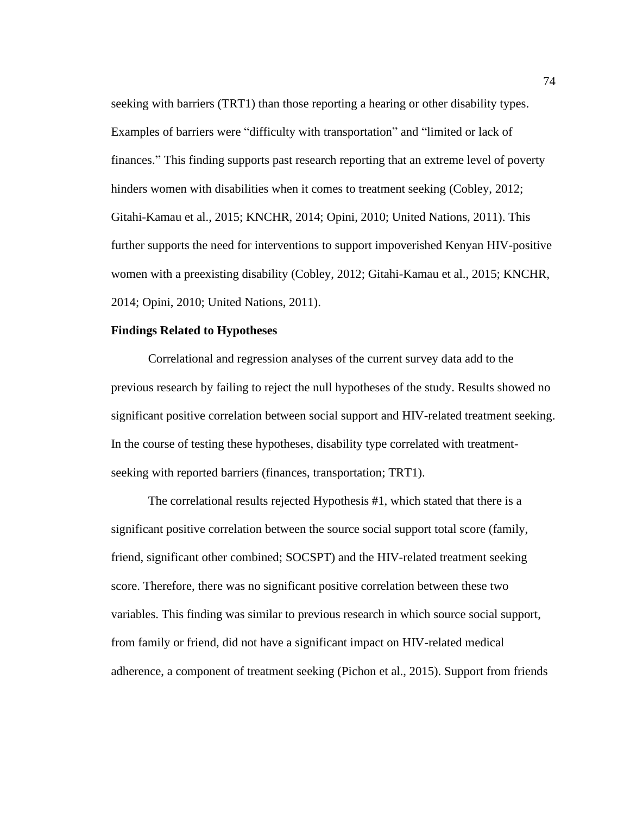seeking with barriers (TRT1) than those reporting a hearing or other disability types. Examples of barriers were "difficulty with transportation" and "limited or lack of finances." This finding supports past research reporting that an extreme level of poverty hinders women with disabilities when it comes to treatment seeking (Cobley, 2012; Gitahi-Kamau et al., 2015; KNCHR, 2014; Opini, 2010; United Nations, 2011). This further supports the need for interventions to support impoverished Kenyan HIV-positive women with a preexisting disability (Cobley, 2012; Gitahi-Kamau et al., 2015; KNCHR, 2014; Opini, 2010; United Nations, 2011).

#### **Findings Related to Hypotheses**

Correlational and regression analyses of the current survey data add to the previous research by failing to reject the null hypotheses of the study. Results showed no significant positive correlation between social support and HIV-related treatment seeking. In the course of testing these hypotheses, disability type correlated with treatmentseeking with reported barriers (finances, transportation; TRT1).

The correlational results rejected Hypothesis #1, which stated that there is a significant positive correlation between the source social support total score (family, friend, significant other combined; SOCSPT) and the HIV-related treatment seeking score. Therefore, there was no significant positive correlation between these two variables. This finding was similar to previous research in which source social support, from family or friend, did not have a significant impact on HIV-related medical adherence, a component of treatment seeking (Pichon et al., 2015). Support from friends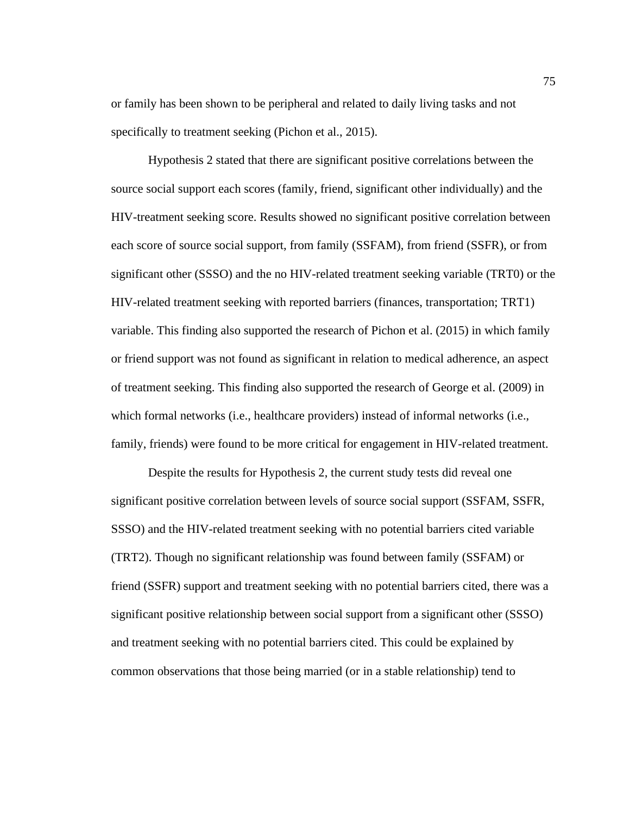or family has been shown to be peripheral and related to daily living tasks and not specifically to treatment seeking (Pichon et al., 2015).

Hypothesis 2 stated that there are significant positive correlations between the source social support each scores (family, friend, significant other individually) and the HIV-treatment seeking score. Results showed no significant positive correlation between each score of source social support, from family (SSFAM), from friend (SSFR), or from significant other (SSSO) and the no HIV-related treatment seeking variable (TRT0) or the HIV-related treatment seeking with reported barriers (finances, transportation; TRT1) variable. This finding also supported the research of Pichon et al. (2015) in which family or friend support was not found as significant in relation to medical adherence, an aspect of treatment seeking. This finding also supported the research of George et al. (2009) in which formal networks (i.e., healthcare providers) instead of informal networks (i.e., family, friends) were found to be more critical for engagement in HIV-related treatment.

Despite the results for Hypothesis 2, the current study tests did reveal one significant positive correlation between levels of source social support (SSFAM, SSFR, SSSO) and the HIV-related treatment seeking with no potential barriers cited variable (TRT2). Though no significant relationship was found between family (SSFAM) or friend (SSFR) support and treatment seeking with no potential barriers cited, there was a significant positive relationship between social support from a significant other (SSSO) and treatment seeking with no potential barriers cited. This could be explained by common observations that those being married (or in a stable relationship) tend to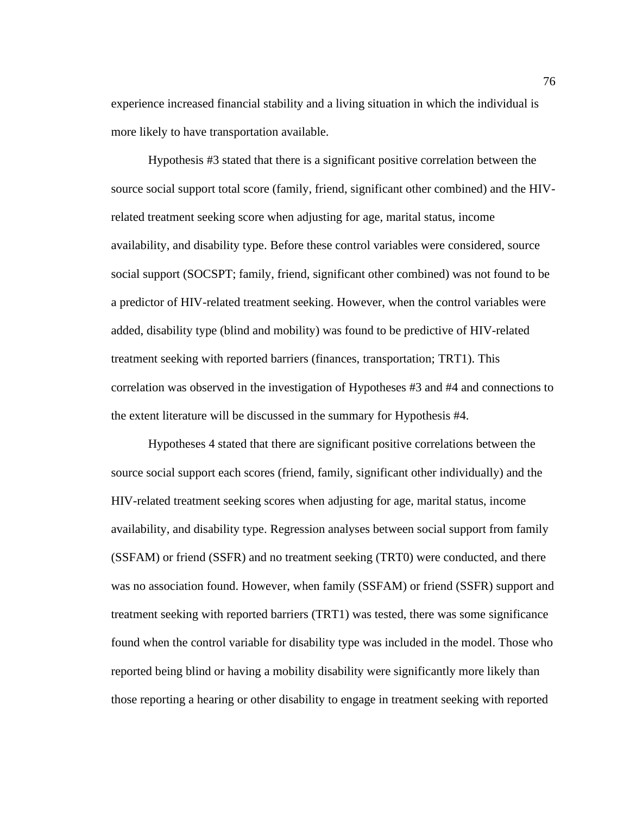experience increased financial stability and a living situation in which the individual is more likely to have transportation available.

Hypothesis #3 stated that there is a significant positive correlation between the source social support total score (family, friend, significant other combined) and the HIVrelated treatment seeking score when adjusting for age, marital status, income availability, and disability type. Before these control variables were considered, source social support (SOCSPT; family, friend, significant other combined) was not found to be a predictor of HIV-related treatment seeking. However, when the control variables were added, disability type (blind and mobility) was found to be predictive of HIV-related treatment seeking with reported barriers (finances, transportation; TRT1). This correlation was observed in the investigation of Hypotheses #3 and #4 and connections to the extent literature will be discussed in the summary for Hypothesis #4.

Hypotheses 4 stated that there are significant positive correlations between the source social support each scores (friend, family, significant other individually) and the HIV-related treatment seeking scores when adjusting for age, marital status, income availability, and disability type. Regression analyses between social support from family (SSFAM) or friend (SSFR) and no treatment seeking (TRT0) were conducted, and there was no association found. However, when family (SSFAM) or friend (SSFR) support and treatment seeking with reported barriers (TRT1) was tested, there was some significance found when the control variable for disability type was included in the model. Those who reported being blind or having a mobility disability were significantly more likely than those reporting a hearing or other disability to engage in treatment seeking with reported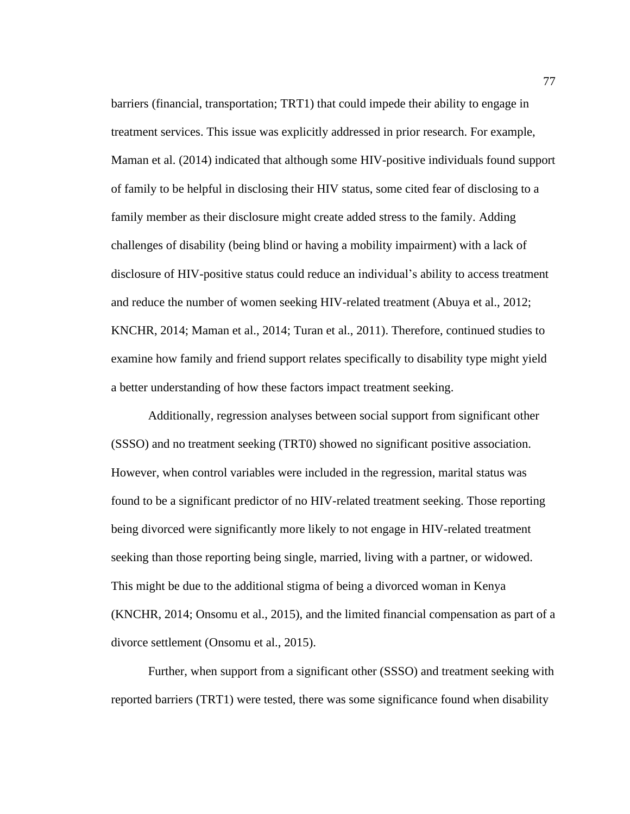barriers (financial, transportation; TRT1) that could impede their ability to engage in treatment services. This issue was explicitly addressed in prior research. For example, Maman et al. (2014) indicated that although some HIV-positive individuals found support of family to be helpful in disclosing their HIV status, some cited fear of disclosing to a family member as their disclosure might create added stress to the family. Adding challenges of disability (being blind or having a mobility impairment) with a lack of disclosure of HIV-positive status could reduce an individual's ability to access treatment and reduce the number of women seeking HIV-related treatment (Abuya et al., 2012; KNCHR, 2014; Maman et al., 2014; Turan et al., 2011). Therefore, continued studies to examine how family and friend support relates specifically to disability type might yield a better understanding of how these factors impact treatment seeking.

Additionally, regression analyses between social support from significant other (SSSO) and no treatment seeking (TRT0) showed no significant positive association. However, when control variables were included in the regression, marital status was found to be a significant predictor of no HIV-related treatment seeking. Those reporting being divorced were significantly more likely to not engage in HIV-related treatment seeking than those reporting being single, married, living with a partner, or widowed. This might be due to the additional stigma of being a divorced woman in Kenya (KNCHR, 2014; Onsomu et al., 2015), and the limited financial compensation as part of a divorce settlement (Onsomu et al., 2015).

Further, when support from a significant other (SSSO) and treatment seeking with reported barriers (TRT1) were tested, there was some significance found when disability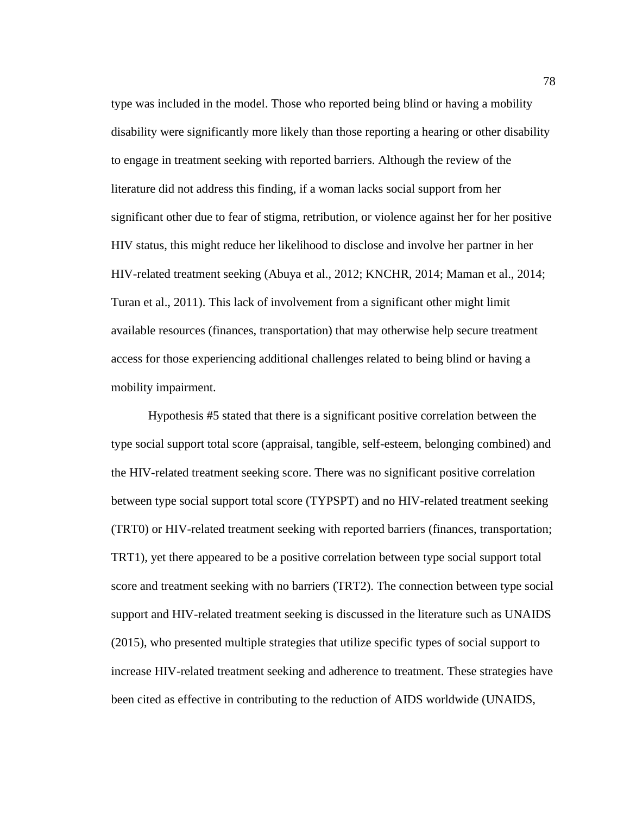type was included in the model. Those who reported being blind or having a mobility disability were significantly more likely than those reporting a hearing or other disability to engage in treatment seeking with reported barriers. Although the review of the literature did not address this finding, if a woman lacks social support from her significant other due to fear of stigma, retribution, or violence against her for her positive HIV status, this might reduce her likelihood to disclose and involve her partner in her HIV-related treatment seeking (Abuya et al., 2012; KNCHR, 2014; Maman et al., 2014; Turan et al., 2011). This lack of involvement from a significant other might limit available resources (finances, transportation) that may otherwise help secure treatment access for those experiencing additional challenges related to being blind or having a mobility impairment.

Hypothesis #5 stated that there is a significant positive correlation between the type social support total score (appraisal, tangible, self-esteem, belonging combined) and the HIV-related treatment seeking score. There was no significant positive correlation between type social support total score (TYPSPT) and no HIV-related treatment seeking (TRT0) or HIV-related treatment seeking with reported barriers (finances, transportation; TRT1), yet there appeared to be a positive correlation between type social support total score and treatment seeking with no barriers (TRT2). The connection between type social support and HIV-related treatment seeking is discussed in the literature such as UNAIDS (2015), who presented multiple strategies that utilize specific types of social support to increase HIV-related treatment seeking and adherence to treatment. These strategies have been cited as effective in contributing to the reduction of AIDS worldwide (UNAIDS,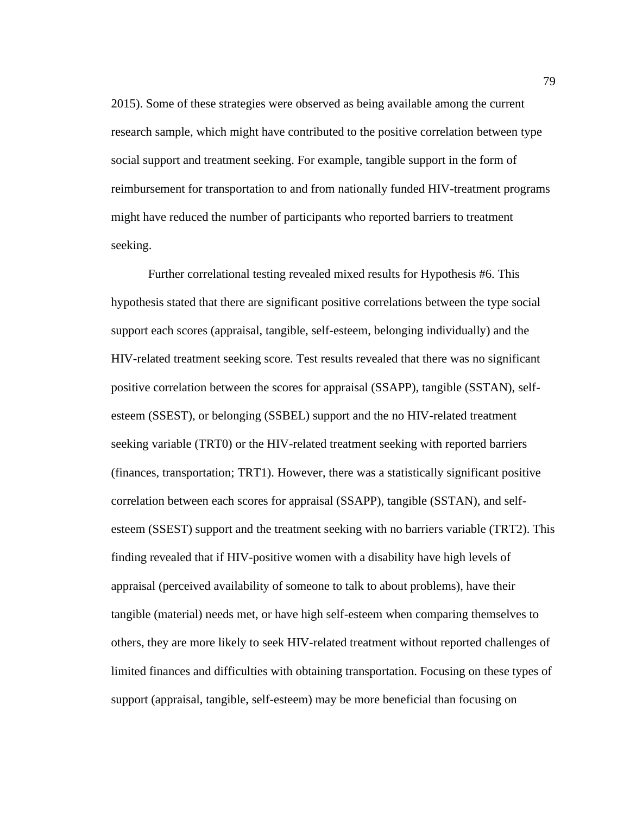2015). Some of these strategies were observed as being available among the current research sample, which might have contributed to the positive correlation between type social support and treatment seeking. For example, tangible support in the form of reimbursement for transportation to and from nationally funded HIV-treatment programs might have reduced the number of participants who reported barriers to treatment seeking.

Further correlational testing revealed mixed results for Hypothesis #6. This hypothesis stated that there are significant positive correlations between the type social support each scores (appraisal, tangible, self-esteem, belonging individually) and the HIV-related treatment seeking score. Test results revealed that there was no significant positive correlation between the scores for appraisal (SSAPP), tangible (SSTAN), selfesteem (SSEST), or belonging (SSBEL) support and the no HIV-related treatment seeking variable (TRT0) or the HIV-related treatment seeking with reported barriers (finances, transportation; TRT1). However, there was a statistically significant positive correlation between each scores for appraisal (SSAPP), tangible (SSTAN), and selfesteem (SSEST) support and the treatment seeking with no barriers variable (TRT2). This finding revealed that if HIV-positive women with a disability have high levels of appraisal (perceived availability of someone to talk to about problems), have their tangible (material) needs met, or have high self-esteem when comparing themselves to others, they are more likely to seek HIV-related treatment without reported challenges of limited finances and difficulties with obtaining transportation. Focusing on these types of support (appraisal, tangible, self-esteem) may be more beneficial than focusing on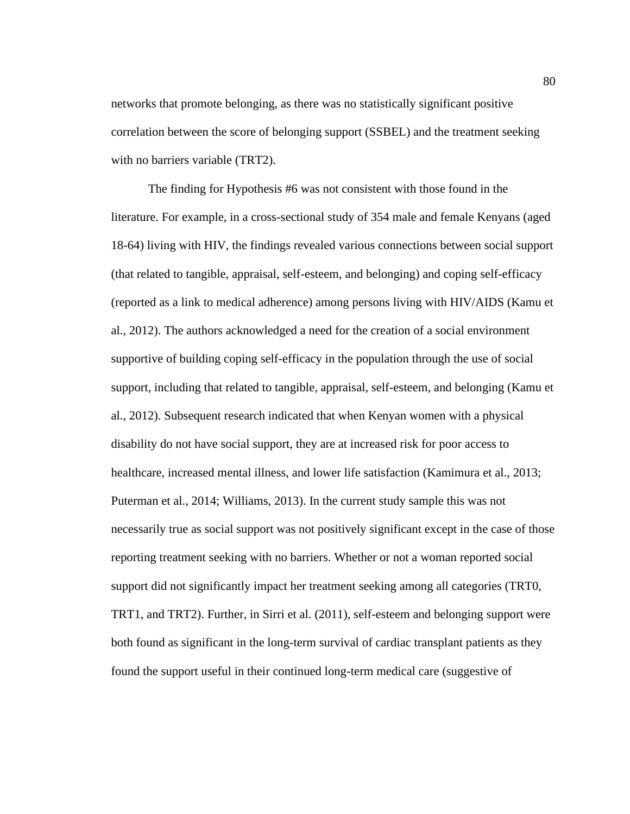networks that promote belonging, as there was no statistically significant positive correlation between the score of belonging support (SSBEL) and the treatment seeking with no barriers variable (TRT2).

The finding for Hypothesis #6 was not consistent with those found in the literature. For example, in a cross-sectional study of 354 male and female Kenyans (aged 18-64) living with HIV, the findings revealed various connections between social support (that related to tangible, appraisal, self-esteem, and belonging) and coping self-efficacy (reported as a link to medical adherence) among persons living with HIV/AIDS (Kamu et al., 2012). The authors acknowledged a need for the creation of a social environment supportive of building coping self-efficacy in the population through the use of social support, including that related to tangible, appraisal, self-esteem, and belonging (Kamu et al., 2012). Subsequent research indicated that when Kenyan women with a physical disability do not have social support, they are at increased risk for poor access to healthcare, increased mental illness, and lower life satisfaction (Kamimura et al., 2013; Puterman et al., 2014; Williams, 2013). In the current study sample this was not necessarily true as social support was not positively significant except in the case of those reporting treatment seeking with no barriers. Whether or not a woman reported social support did not significantly impact her treatment seeking among all categories (TRT0, TRT1, and TRT2). Further, in Sirri et al. (2011), self-esteem and belonging support were both found as significant in the long-term survival of cardiac transplant patients as they found the support useful in their continued long-term medical care (suggestive of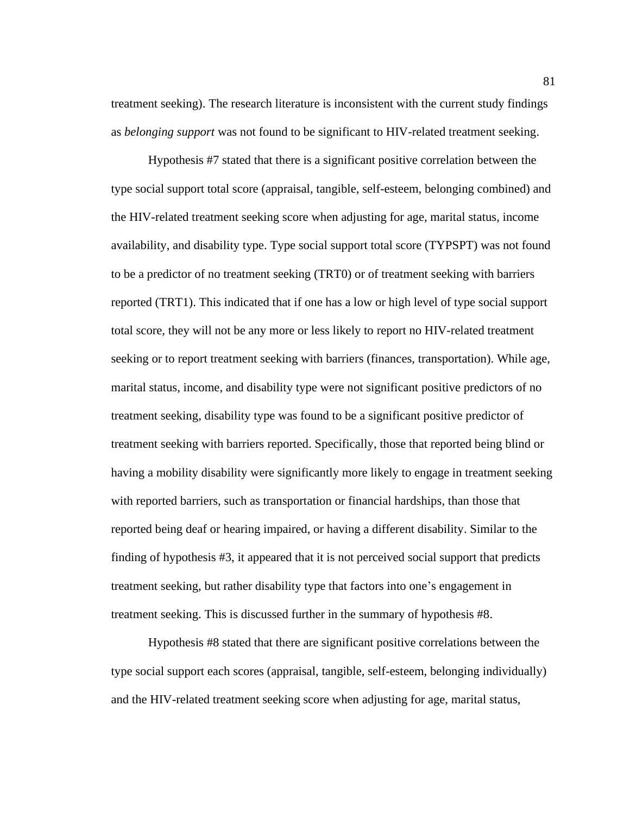treatment seeking). The research literature is inconsistent with the current study findings as *belonging support* was not found to be significant to HIV-related treatment seeking.

Hypothesis #7 stated that there is a significant positive correlation between the type social support total score (appraisal, tangible, self-esteem, belonging combined) and the HIV-related treatment seeking score when adjusting for age, marital status, income availability, and disability type. Type social support total score (TYPSPT) was not found to be a predictor of no treatment seeking (TRT0) or of treatment seeking with barriers reported (TRT1). This indicated that if one has a low or high level of type social support total score, they will not be any more or less likely to report no HIV-related treatment seeking or to report treatment seeking with barriers (finances, transportation). While age, marital status, income, and disability type were not significant positive predictors of no treatment seeking, disability type was found to be a significant positive predictor of treatment seeking with barriers reported. Specifically, those that reported being blind or having a mobility disability were significantly more likely to engage in treatment seeking with reported barriers, such as transportation or financial hardships, than those that reported being deaf or hearing impaired, or having a different disability. Similar to the finding of hypothesis #3, it appeared that it is not perceived social support that predicts treatment seeking, but rather disability type that factors into one's engagement in treatment seeking. This is discussed further in the summary of hypothesis #8.

Hypothesis #8 stated that there are significant positive correlations between the type social support each scores (appraisal, tangible, self-esteem, belonging individually) and the HIV-related treatment seeking score when adjusting for age, marital status,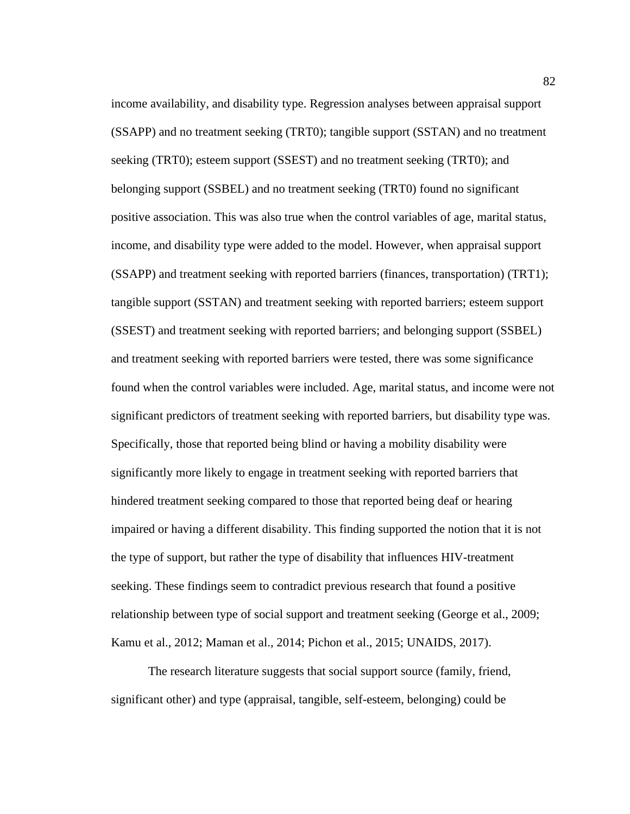income availability, and disability type. Regression analyses between appraisal support (SSAPP) and no treatment seeking (TRT0); tangible support (SSTAN) and no treatment seeking (TRT0); esteem support (SSEST) and no treatment seeking (TRT0); and belonging support (SSBEL) and no treatment seeking (TRT0) found no significant positive association. This was also true when the control variables of age, marital status, income, and disability type were added to the model. However, when appraisal support (SSAPP) and treatment seeking with reported barriers (finances, transportation) (TRT1); tangible support (SSTAN) and treatment seeking with reported barriers; esteem support (SSEST) and treatment seeking with reported barriers; and belonging support (SSBEL) and treatment seeking with reported barriers were tested, there was some significance found when the control variables were included. Age, marital status, and income were not significant predictors of treatment seeking with reported barriers, but disability type was. Specifically, those that reported being blind or having a mobility disability were significantly more likely to engage in treatment seeking with reported barriers that hindered treatment seeking compared to those that reported being deaf or hearing impaired or having a different disability. This finding supported the notion that it is not the type of support, but rather the type of disability that influences HIV-treatment seeking. These findings seem to contradict previous research that found a positive relationship between type of social support and treatment seeking (George et al., 2009; Kamu et al., 2012; Maman et al., 2014; Pichon et al., 2015; UNAIDS, 2017).

The research literature suggests that social support source (family, friend, significant other) and type (appraisal, tangible, self-esteem, belonging) could be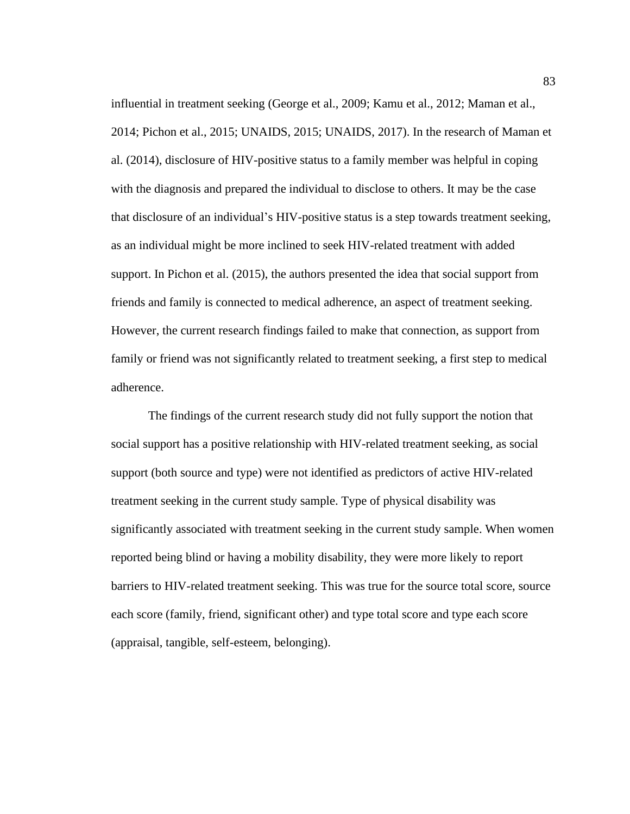influential in treatment seeking (George et al., 2009; Kamu et al., 2012; Maman et al., 2014; Pichon et al., 2015; UNAIDS, 2015; UNAIDS, 2017). In the research of Maman et al. (2014), disclosure of HIV-positive status to a family member was helpful in coping with the diagnosis and prepared the individual to disclose to others. It may be the case that disclosure of an individual's HIV-positive status is a step towards treatment seeking, as an individual might be more inclined to seek HIV-related treatment with added support. In Pichon et al. (2015), the authors presented the idea that social support from friends and family is connected to medical adherence, an aspect of treatment seeking. However, the current research findings failed to make that connection, as support from family or friend was not significantly related to treatment seeking, a first step to medical adherence.

The findings of the current research study did not fully support the notion that social support has a positive relationship with HIV-related treatment seeking, as social support (both source and type) were not identified as predictors of active HIV-related treatment seeking in the current study sample. Type of physical disability was significantly associated with treatment seeking in the current study sample. When women reported being blind or having a mobility disability, they were more likely to report barriers to HIV-related treatment seeking. This was true for the source total score, source each score (family, friend, significant other) and type total score and type each score (appraisal, tangible, self-esteem, belonging).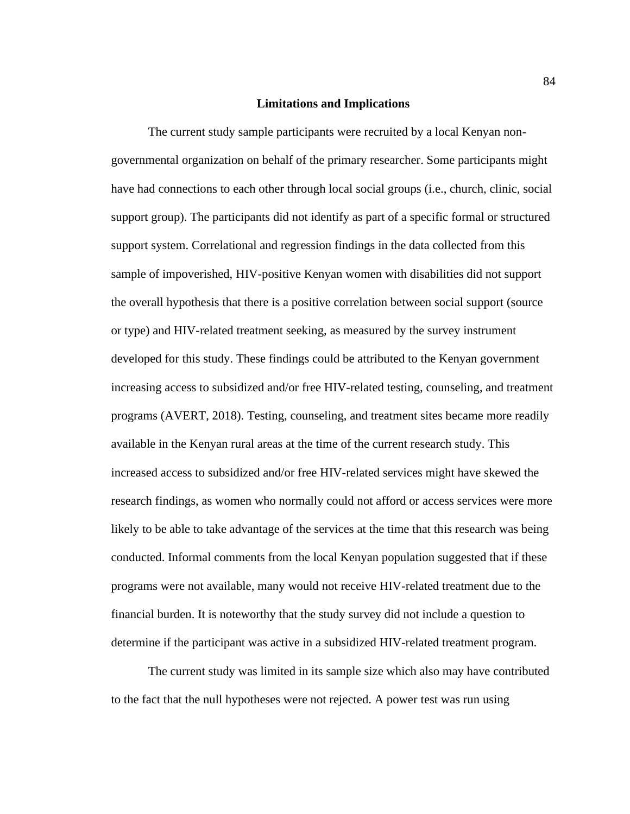### **Limitations and Implications**

The current study sample participants were recruited by a local Kenyan nongovernmental organization on behalf of the primary researcher. Some participants might have had connections to each other through local social groups (i.e., church, clinic, social support group). The participants did not identify as part of a specific formal or structured support system. Correlational and regression findings in the data collected from this sample of impoverished, HIV-positive Kenyan women with disabilities did not support the overall hypothesis that there is a positive correlation between social support (source or type) and HIV-related treatment seeking, as measured by the survey instrument developed for this study. These findings could be attributed to the Kenyan government increasing access to subsidized and/or free HIV-related testing, counseling, and treatment programs (AVERT, 2018). Testing, counseling, and treatment sites became more readily available in the Kenyan rural areas at the time of the current research study. This increased access to subsidized and/or free HIV-related services might have skewed the research findings, as women who normally could not afford or access services were more likely to be able to take advantage of the services at the time that this research was being conducted. Informal comments from the local Kenyan population suggested that if these programs were not available, many would not receive HIV-related treatment due to the financial burden. It is noteworthy that the study survey did not include a question to determine if the participant was active in a subsidized HIV-related treatment program.

The current study was limited in its sample size which also may have contributed to the fact that the null hypotheses were not rejected. A power test was run using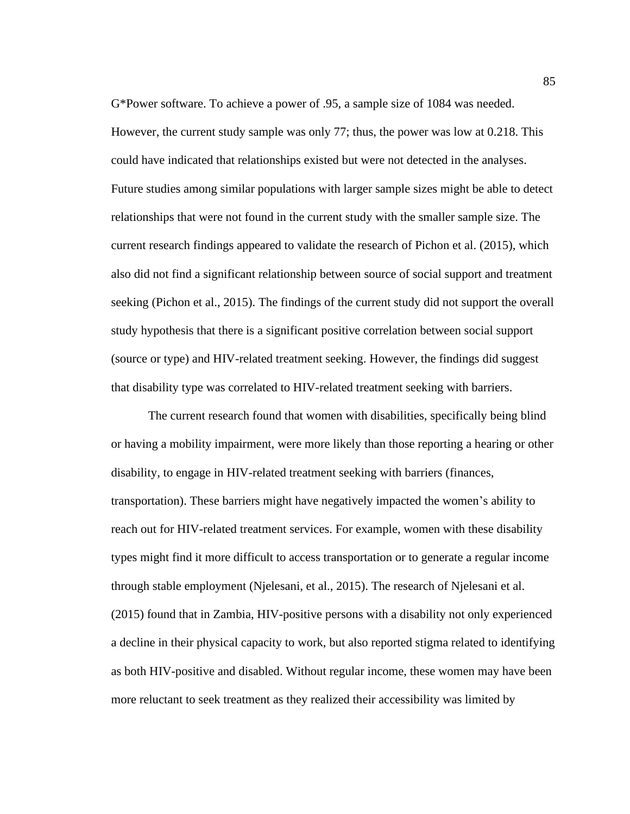G\*Power software. To achieve a power of .95, a sample size of 1084 was needed. However, the current study sample was only 77; thus, the power was low at 0.218. This could have indicated that relationships existed but were not detected in the analyses. Future studies among similar populations with larger sample sizes might be able to detect relationships that were not found in the current study with the smaller sample size. The current research findings appeared to validate the research of Pichon et al. (2015), which also did not find a significant relationship between source of social support and treatment seeking (Pichon et al., 2015). The findings of the current study did not support the overall study hypothesis that there is a significant positive correlation between social support (source or type) and HIV-related treatment seeking. However, the findings did suggest that disability type was correlated to HIV-related treatment seeking with barriers.

The current research found that women with disabilities, specifically being blind or having a mobility impairment, were more likely than those reporting a hearing or other disability, to engage in HIV-related treatment seeking with barriers (finances, transportation). These barriers might have negatively impacted the women's ability to reach out for HIV-related treatment services. For example, women with these disability types might find it more difficult to access transportation or to generate a regular income through stable employment (Njelesani, et al., 2015). The research of Njelesani et al. (2015) found that in Zambia, HIV-positive persons with a disability not only experienced a decline in their physical capacity to work, but also reported stigma related to identifying as both HIV-positive and disabled. Without regular income, these women may have been more reluctant to seek treatment as they realized their accessibility was limited by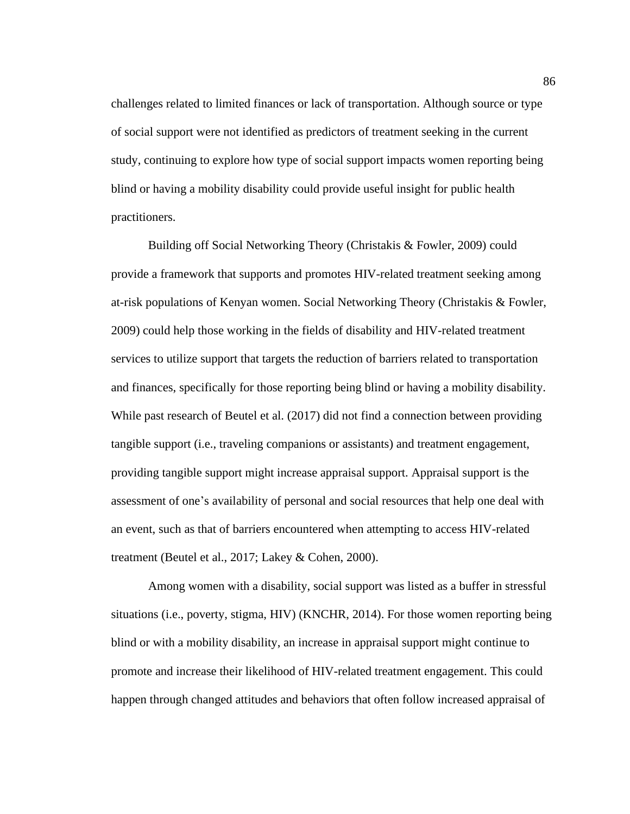challenges related to limited finances or lack of transportation. Although source or type of social support were not identified as predictors of treatment seeking in the current study, continuing to explore how type of social support impacts women reporting being blind or having a mobility disability could provide useful insight for public health practitioners.

Building off Social Networking Theory (Christakis & Fowler, 2009) could provide a framework that supports and promotes HIV-related treatment seeking among at-risk populations of Kenyan women. Social Networking Theory (Christakis & Fowler, 2009) could help those working in the fields of disability and HIV-related treatment services to utilize support that targets the reduction of barriers related to transportation and finances, specifically for those reporting being blind or having a mobility disability. While past research of Beutel et al. (2017) did not find a connection between providing tangible support (i.e., traveling companions or assistants) and treatment engagement, providing tangible support might increase appraisal support. Appraisal support is the assessment of one's availability of personal and social resources that help one deal with an event, such as that of barriers encountered when attempting to access HIV-related treatment (Beutel et al., 2017; Lakey & Cohen, 2000).

Among women with a disability, social support was listed as a buffer in stressful situations (i.e., poverty, stigma, HIV) (KNCHR, 2014). For those women reporting being blind or with a mobility disability, an increase in appraisal support might continue to promote and increase their likelihood of HIV-related treatment engagement. This could happen through changed attitudes and behaviors that often follow increased appraisal of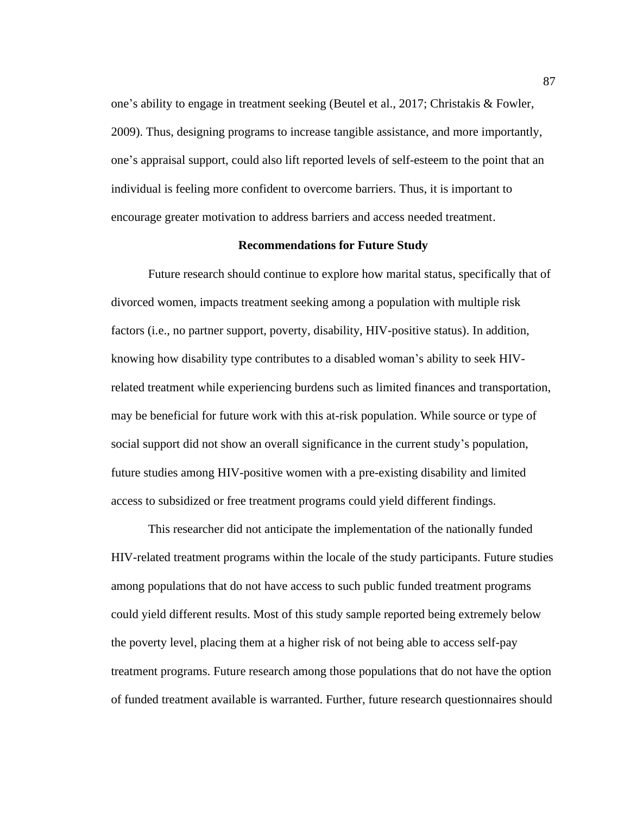one's ability to engage in treatment seeking (Beutel et al., 2017; Christakis & Fowler, 2009). Thus, designing programs to increase tangible assistance, and more importantly, one's appraisal support, could also lift reported levels of self-esteem to the point that an individual is feeling more confident to overcome barriers. Thus, it is important to encourage greater motivation to address barriers and access needed treatment.

# **Recommendations for Future Study**

Future research should continue to explore how marital status, specifically that of divorced women, impacts treatment seeking among a population with multiple risk factors (i.e., no partner support, poverty, disability, HIV-positive status). In addition, knowing how disability type contributes to a disabled woman's ability to seek HIVrelated treatment while experiencing burdens such as limited finances and transportation, may be beneficial for future work with this at-risk population. While source or type of social support did not show an overall significance in the current study's population, future studies among HIV-positive women with a pre-existing disability and limited access to subsidized or free treatment programs could yield different findings.

This researcher did not anticipate the implementation of the nationally funded HIV-related treatment programs within the locale of the study participants. Future studies among populations that do not have access to such public funded treatment programs could yield different results. Most of this study sample reported being extremely below the poverty level, placing them at a higher risk of not being able to access self-pay treatment programs. Future research among those populations that do not have the option of funded treatment available is warranted. Further, future research questionnaires should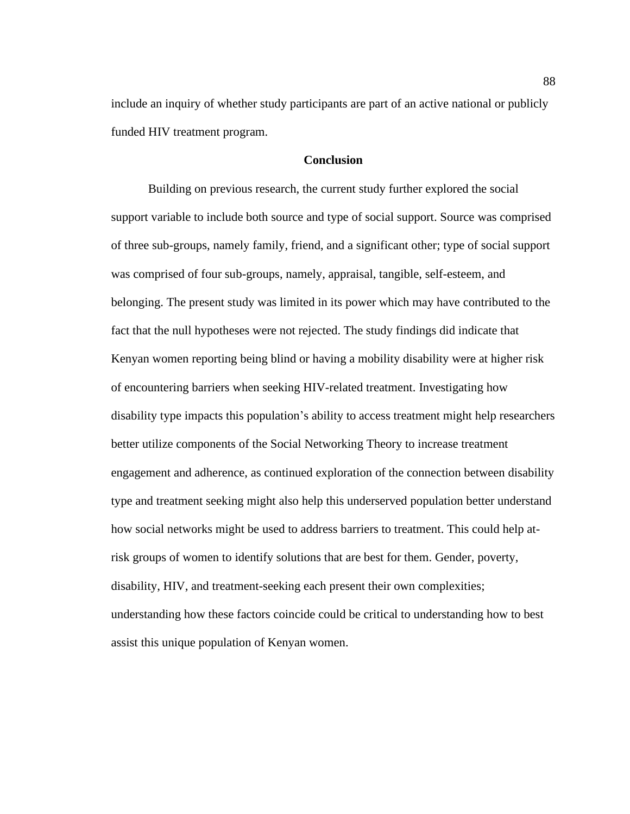include an inquiry of whether study participants are part of an active national or publicly funded HIV treatment program.

# **Conclusion**

Building on previous research, the current study further explored the social support variable to include both source and type of social support. Source was comprised of three sub-groups, namely family, friend, and a significant other; type of social support was comprised of four sub-groups, namely, appraisal, tangible, self-esteem, and belonging. The present study was limited in its power which may have contributed to the fact that the null hypotheses were not rejected. The study findings did indicate that Kenyan women reporting being blind or having a mobility disability were at higher risk of encountering barriers when seeking HIV-related treatment. Investigating how disability type impacts this population's ability to access treatment might help researchers better utilize components of the Social Networking Theory to increase treatment engagement and adherence, as continued exploration of the connection between disability type and treatment seeking might also help this underserved population better understand how social networks might be used to address barriers to treatment. This could help atrisk groups of women to identify solutions that are best for them. Gender, poverty, disability, HIV, and treatment-seeking each present their own complexities; understanding how these factors coincide could be critical to understanding how to best assist this unique population of Kenyan women.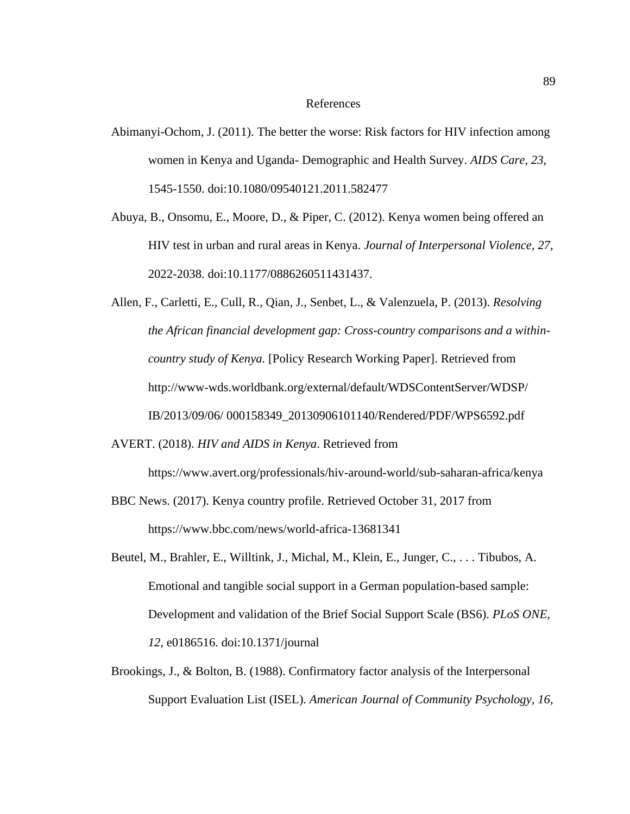### References

- Abimanyi-Ochom, J. (2011). The better the worse: Risk factors for HIV infection among women in Kenya and Uganda- Demographic and Health Survey. *AIDS Care, 23*, 1545-1550. doi:10.1080/09540121.2011.582477
- Abuya, B., Onsomu, E., Moore, D., & Piper, C. (2012). Kenya women being offered an HIV test in urban and rural areas in Kenya. *Journal of Interpersonal Violence, 27*, 2022-2038. doi:10.1177/0886260511431437.
- Allen, F., Carletti, E., Cull, R., Qian, J., Senbet, L., & Valenzuela, P. (2013). *Resolving the African financial development gap: Cross-country comparisons and a withincountry study of Kenya.* [Policy Research Working Paper]. Retrieved from http://www-wds.worldbank.org/external/default/WDSContentServer/WDSP/ IB/2013/09/06/ 000158349\_20130906101140/Rendered/PDF/WPS6592.pdf
- AVERT. (2018). *HIV and AIDS in Kenya*. Retrieved from

https://www.avert.org/professionals/hiv-around-world/sub-saharan-africa/kenya

- BBC News. (2017). Kenya country profile. Retrieved October 31, 2017 from https://www.bbc.com/news/world-africa-13681341
- Beutel, M., Brahler, E., Willtink, J., Michal, M., Klein, E., Junger, C., . . . Tibubos, A. Emotional and tangible social support in a German population-based sample: Development and validation of the Brief Social Support Scale (BS6). *PLoS ONE, 12*, e0186516. doi:10.1371/journal
- Brookings, J., & Bolton, B. (1988). Confirmatory factor analysis of the Interpersonal Support Evaluation List (ISEL). *American Journal of Community Psychology, 16*,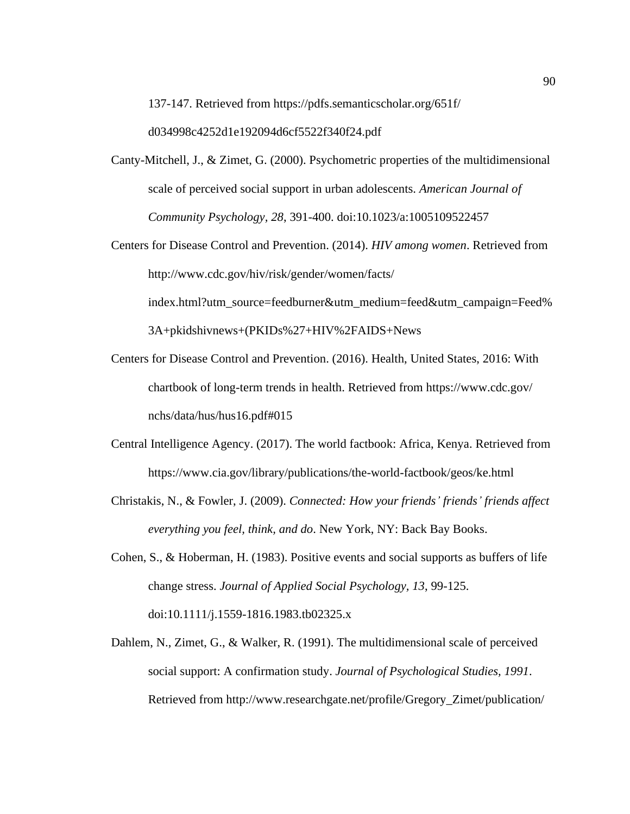137-147. Retrieved from https://pdfs.semanticscholar.org/651f/

d034998c4252d1e192094d6cf5522f340f24.pdf

- Canty-Mitchell, J., & Zimet, G. (2000). Psychometric properties of the multidimensional scale of perceived social support in urban adolescents. *American Journal of Community Psychology, 28*, 391-400. doi:10.1023/a:1005109522457
- Centers for Disease Control and Prevention. (2014). *HIV among women*. Retrieved from http://www.cdc.gov/hiv/risk/gender/women/facts/ index.html?utm\_source=feedburner&utm\_medium=feed&utm\_campaign=Feed% 3A+pkidshivnews+(PKIDs%27+HIV%2FAIDS+News
- Centers for Disease Control and Prevention. (2016). Health, United States, 2016: With chartbook of long-term trends in health. Retrieved from https://www.cdc.gov/ nchs/data/hus/hus16.pdf#015
- Central Intelligence Agency. (2017). The world factbook: Africa, Kenya. Retrieved from https://www.cia.gov/library/publications/the-world-factbook/geos/ke.html
- Christakis, N., & Fowler, J. (2009). *Connected: How your friends' friends' friends affect everything you feel, think, and do*. New York, NY: Back Bay Books.
- Cohen, S., & Hoberman, H. (1983). Positive events and social supports as buffers of life change stress. *Journal of Applied Social Psychology, 13*, 99-125. doi:10.1111/j.1559-1816.1983.tb02325.x
- Dahlem, N., Zimet, G., & Walker, R. (1991). The multidimensional scale of perceived social support: A confirmation study. *Journal of Psychological Studies, 1991*. Retrieved from http://www.researchgate.net/profile/Gregory\_Zimet/publication/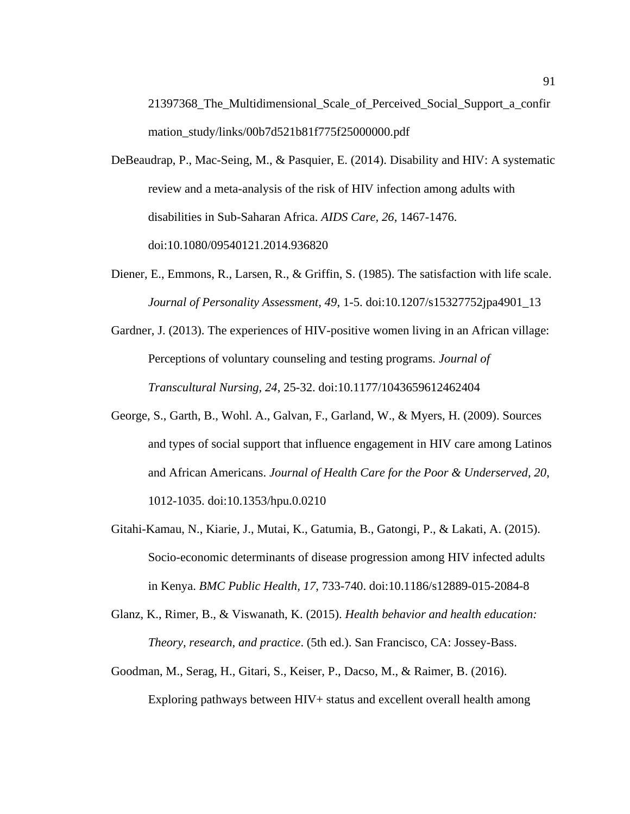21397368\_The\_Multidimensional\_Scale\_of\_Perceived\_Social\_Support\_a\_confir mation\_study/links/00b7d521b81f775f25000000.pdf

- DeBeaudrap, P., Mac-Seing, M., & Pasquier, E. (2014). Disability and HIV: A systematic review and a meta-analysis of the risk of HIV infection among adults with disabilities in Sub-Saharan Africa. *AIDS Care, 26*, 1467-1476. doi:10.1080/09540121.2014.936820
- Diener, E., Emmons, R., Larsen, R., & Griffin, S. (1985). The satisfaction with life scale. *Journal of Personality Assessment, 49*, 1-5. doi:10.1207/s15327752jpa4901\_13
- Gardner, J. (2013). The experiences of HIV-positive women living in an African village: Perceptions of voluntary counseling and testing programs. *Journal of Transcultural Nursing, 24*, 25-32. doi:10.1177/1043659612462404
- George, S., Garth, B., Wohl. A., Galvan, F., Garland, W., & Myers, H. (2009). Sources and types of social support that influence engagement in HIV care among Latinos and African Americans. *Journal of Health Care for the Poor & Underserved, 20*, 1012-1035. doi:10.1353/hpu.0.0210
- Gitahi-Kamau, N., Kiarie, J., Mutai, K., Gatumia, B., Gatongi, P., & Lakati, A. (2015). Socio-economic determinants of disease progression among HIV infected adults in Kenya. *BMC Public Health, 17*, 733-740. doi:10.1186/s12889-015-2084-8
- Glanz, K., Rimer, B., & Viswanath, K. (2015). *Health behavior and health education: Theory, research, and practice*. (5th ed.). San Francisco, CA: Jossey-Bass.
- Goodman, M., Serag, H., Gitari, S., Keiser, P., Dacso, M., & Raimer, B. (2016). Exploring pathways between HIV+ status and excellent overall health among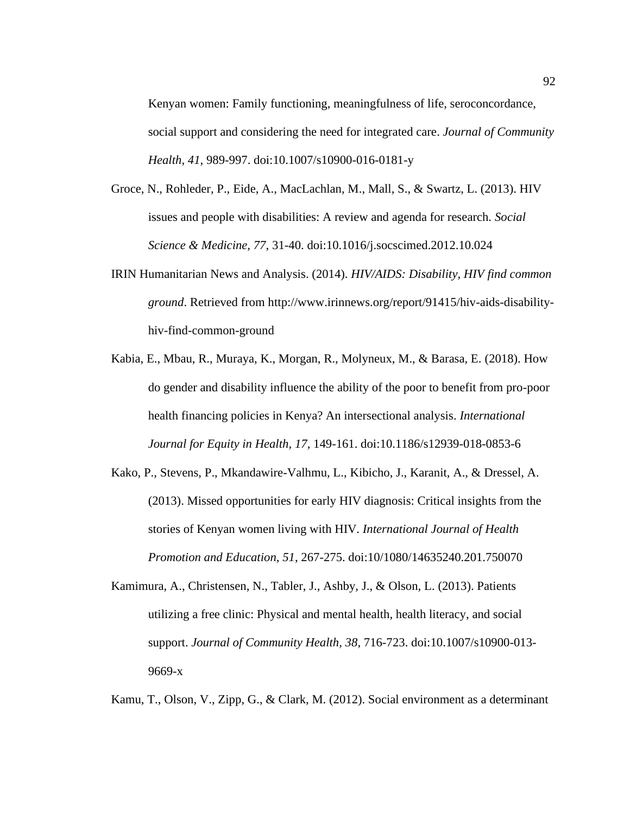Kenyan women: Family functioning, meaningfulness of life, seroconcordance, social support and considering the need for integrated care. *Journal of Community Health, 41*, 989-997. doi:10.1007/s10900-016-0181-y

- Groce, N., Rohleder, P., Eide, A., MacLachlan, M., Mall, S., & Swartz, L. (2013). HIV issues and people with disabilities: A review and agenda for research. *Social Science & Medicine, 77*, 31-40. doi:10.1016/j.socscimed.2012.10.024
- IRIN Humanitarian News and Analysis. (2014). *HIV/AIDS: Disability, HIV find common ground*. Retrieved from http://www.irinnews.org/report/91415/hiv-aids-disabilityhiv-find-common-ground
- Kabia, E., Mbau, R., Muraya, K., Morgan, R., Molyneux, M., & Barasa, E. (2018). How do gender and disability influence the ability of the poor to benefit from pro-poor health financing policies in Kenya? An intersectional analysis. *International Journal for Equity in Health, 17,* 149-161. doi:10.1186/s12939-018-0853-6
- Kako, P., Stevens, P., Mkandawire-Valhmu, L., Kibicho, J., Karanit, A., & Dressel, A. (2013). Missed opportunities for early HIV diagnosis: Critical insights from the stories of Kenyan women living with HIV. *International Journal of Health Promotion and Education, 51*, 267-275. doi:10/1080/14635240.201.750070
- Kamimura, A., Christensen, N., Tabler, J., Ashby, J., & Olson, L. (2013). Patients utilizing a free clinic: Physical and mental health, health literacy, and social support. *Journal of Community Health, 38*, 716-723. doi:10.1007/s10900-013- 9669-x

Kamu, T., Olson, V., Zipp, G., & Clark, M. (2012). Social environment as a determinant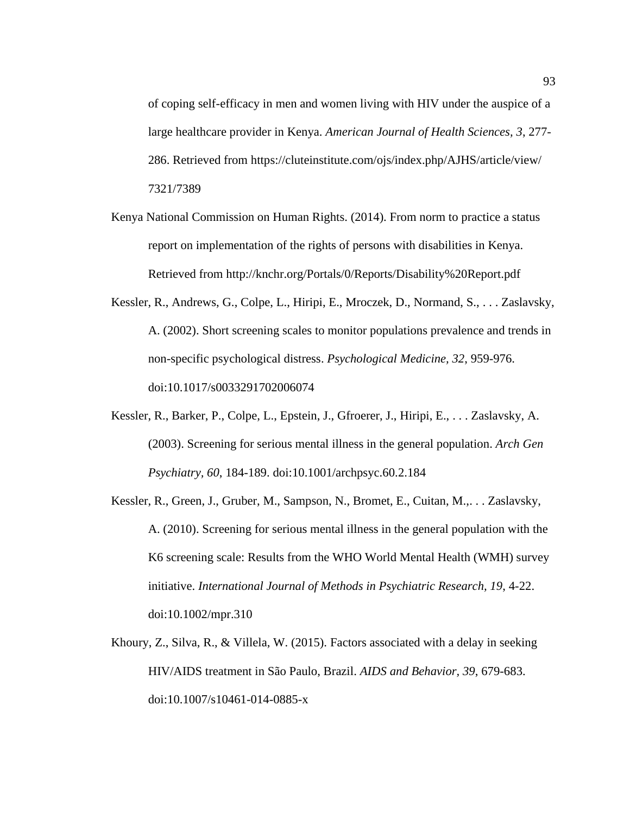of coping self-efficacy in men and women living with HIV under the auspice of a large healthcare provider in Kenya. *American Journal of Health Sciences, 3*, 277- 286. Retrieved from https://cluteinstitute.com/ojs/index.php/AJHS/article/view/ 7321/7389

- Kenya National Commission on Human Rights. (2014). From norm to practice a status report on implementation of the rights of persons with disabilities in Kenya. Retrieved from http://knchr.org/Portals/0/Reports/Disability%20Report.pdf
- Kessler, R., Andrews, G., Colpe, L., Hiripi, E., Mroczek, D., Normand, S., . . . Zaslavsky, A. (2002). Short screening scales to monitor populations prevalence and trends in non-specific psychological distress. *Psychological Medicine, 32*, 959-976. doi:10.1017/s0033291702006074
- Kessler, R., Barker, P., Colpe, L., Epstein, J., Gfroerer, J., Hiripi, E., . . . Zaslavsky, A. (2003). Screening for serious mental illness in the general population. *Arch Gen Psychiatry, 60*, 184-189. doi:10.1001/archpsyc.60.2.184
- Kessler, R., Green, J., Gruber, M., Sampson, N., Bromet, E., Cuitan, M.,. . . Zaslavsky, A. (2010). Screening for serious mental illness in the general population with the K6 screening scale: Results from the WHO World Mental Health (WMH) survey initiative. *International Journal of Methods in Psychiatric Research, 19*, 4-22. doi:10.1002/mpr.310
- Khoury, Z., Silva, R., & Villela, W. (2015). Factors associated with a delay in seeking HIV/AIDS treatment in São Paulo, Brazil. *AIDS and Behavior, 39*, 679-683. doi:10.1007/s10461-014-0885-x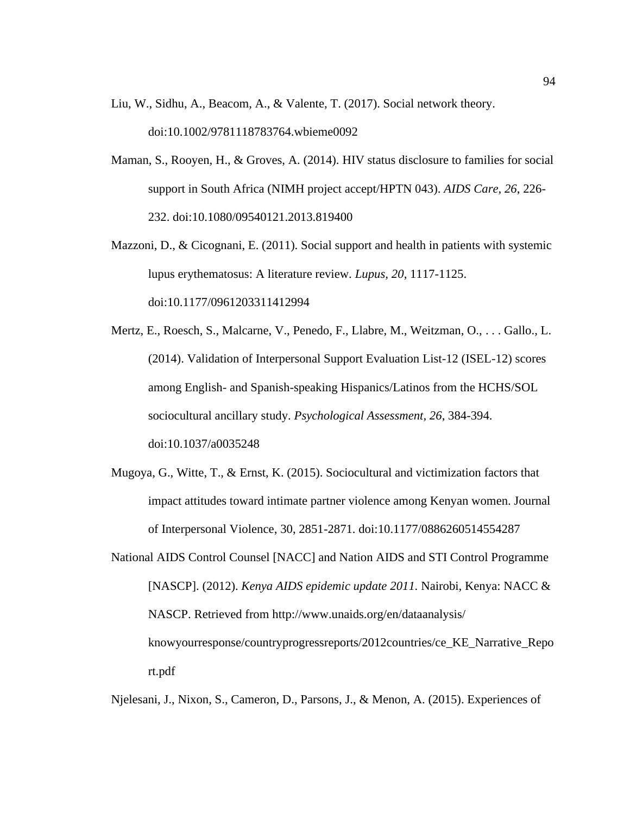- Liu, W., Sidhu, A., Beacom, A., & Valente, T. (2017). Social network theory. doi:10.1002/9781118783764.wbieme0092
- Maman, S., Rooyen, H., & Groves, A. (2014). HIV status disclosure to families for social support in South Africa (NIMH project accept/HPTN 043). *AIDS Care, 26*, 226- 232. doi:10.1080/09540121.2013.819400
- Mazzoni, D.,  $\&$  Cicognani, E. (2011). Social support and health in patients with systemic lupus erythematosus: A literature review. *Lupus, 20*, 1117-1125. doi:10.1177/0961203311412994
- Mertz, E., Roesch, S., Malcarne, V., Penedo, F., Llabre, M., Weitzman, O., . . . Gallo., L. (2014). Validation of Interpersonal Support Evaluation List-12 (ISEL-12) scores among English- and Spanish-speaking Hispanics/Latinos from the HCHS/SOL sociocultural ancillary study. *Psychological Assessment, 26*, 384-394. doi:10.1037/a0035248
- Mugoya, G., Witte, T., & Ernst, K. (2015). Sociocultural and victimization factors that impact attitudes toward intimate partner violence among Kenyan women. Journal of Interpersonal Violence, 30, 2851-2871. doi:10.1177/0886260514554287
- National AIDS Control Counsel [NACC] and Nation AIDS and STI Control Programme [NASCP]. (2012). *Kenya AIDS epidemic update 2011.* Nairobi, Kenya: NACC & NASCP. Retrieved from http://www.unaids.org/en/dataanalysis/ knowyourresponse/countryprogressreports/2012countries/ce\_KE\_Narrative\_Repo rt.pdf

Njelesani, J., Nixon, S., Cameron, D., Parsons, J., & Menon, A. (2015). Experiences of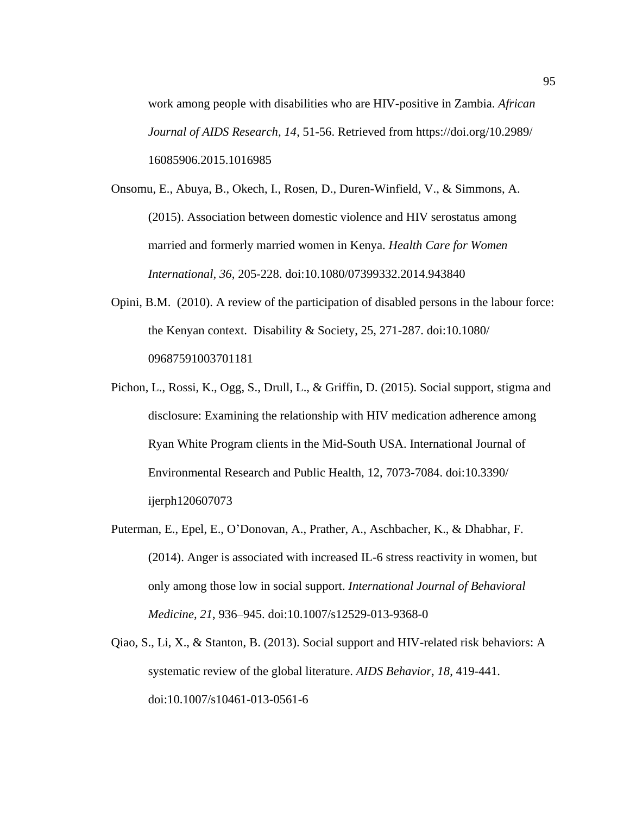work among people with disabilities who are HIV-positive in Zambia. *African Journal of AIDS Research, 14*, 51-56. Retrieved from https://doi.org/10.2989/ 16085906.2015.1016985

Onsomu, E., Abuya, B., Okech, I., Rosen, D., Duren-Winfield, V., & Simmons, A. (2015). Association between domestic violence and HIV serostatus among married and formerly married women in Kenya. *Health Care for Women International, 36*, 205-228. doi:10.1080/07399332.2014.943840

- Opini, B.M. (2010). A review of the participation of disabled persons in the labour force: the Kenyan context. Disability & Society, 25, 271-287. doi:10.1080/ 09687591003701181
- Pichon, L., Rossi, K., Ogg, S., Drull, L., & Griffin, D. (2015). Social support, stigma and disclosure: Examining the relationship with HIV medication adherence among Ryan White Program clients in the Mid-South USA. International Journal of Environmental Research and Public Health, 12, 7073-7084. doi:10.3390/ ijerph120607073
- Puterman, E., Epel, E., O'Donovan, A., Prather, A., Aschbacher, K., & Dhabhar, F. (2014). Anger is associated with increased IL-6 stress reactivity in women, but only among those low in social support. *International Journal of Behavioral Medicine, 21*, 936–945. doi:10.1007/s12529-013-9368-0
- Qiao, S., Li, X., & Stanton, B. (2013). Social support and HIV-related risk behaviors: A systematic review of the global literature. *AIDS Behavior, 18*, 419-441. doi:10.1007/s10461-013-0561-6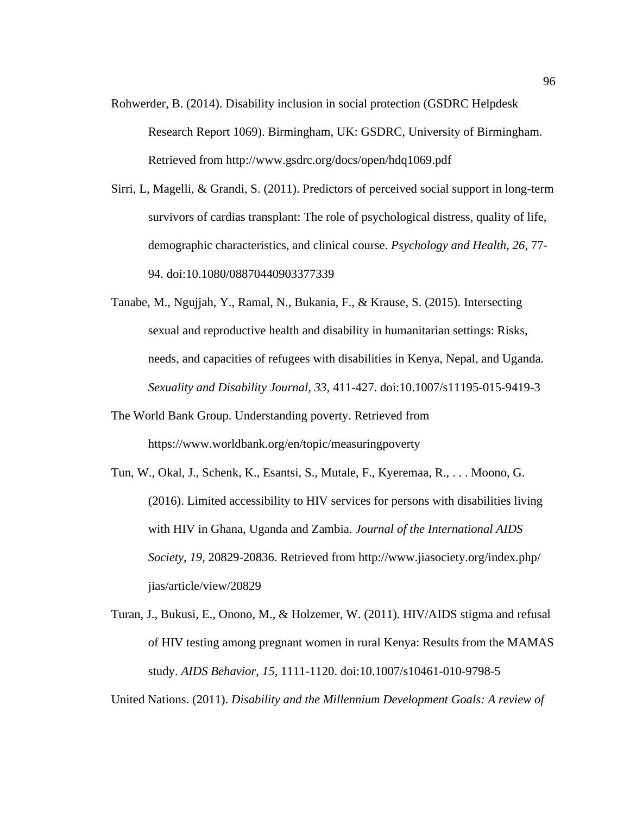- Rohwerder, B. (2014). Disability inclusion in social protection (GSDRC Helpdesk Research Report 1069). Birmingham, UK: GSDRC, University of Birmingham. Retrieved from http://www.gsdrc.org/docs/open/hdq1069.pdf
- Sirri, L, Magelli, & Grandi, S. (2011). Predictors of perceived social support in long-term survivors of cardias transplant: The role of psychological distress, quality of life, demographic characteristics, and clinical course. *Psychology and Health, 26*, 77- 94. doi:10.1080/08870440903377339
- Tanabe, M., Ngujjah, Y., Ramal, N., Bukania, F., & Krause, S. (2015). Intersecting sexual and reproductive health and disability in humanitarian settings: Risks, needs, and capacities of refugees with disabilities in Kenya, Nepal, and Uganda*. Sexuality and Disability Journal, 33*, 411-427. doi:10.1007/s11195-015-9419-3
- The World Bank Group. Understanding poverty. Retrieved from https://www.worldbank.org/en/topic/measuringpoverty
- Tun, W., Okal, J., Schenk, K., Esantsi, S., Mutale, F., Kyeremaa, R., . . . Moono, G. (2016). Limited accessibility to HIV services for persons with disabilities living with HIV in Ghana, Uganda and Zambia. *Journal of the International AIDS Society, 19*, 20829-20836. Retrieved from http://www.jiasociety.org/index.php/ jias/article/view/20829
- Turan, J., Bukusi, E., Onono, M., & Holzemer, W. (2011). HIV/AIDS stigma and refusal of HIV testing among pregnant women in rural Kenya: Results from the MAMAS study. *AIDS Behavior, 15*, 1111-1120. doi:10.1007/s10461-010-9798-5

United Nations. (2011). *Disability and the Millennium Development Goals: A review of*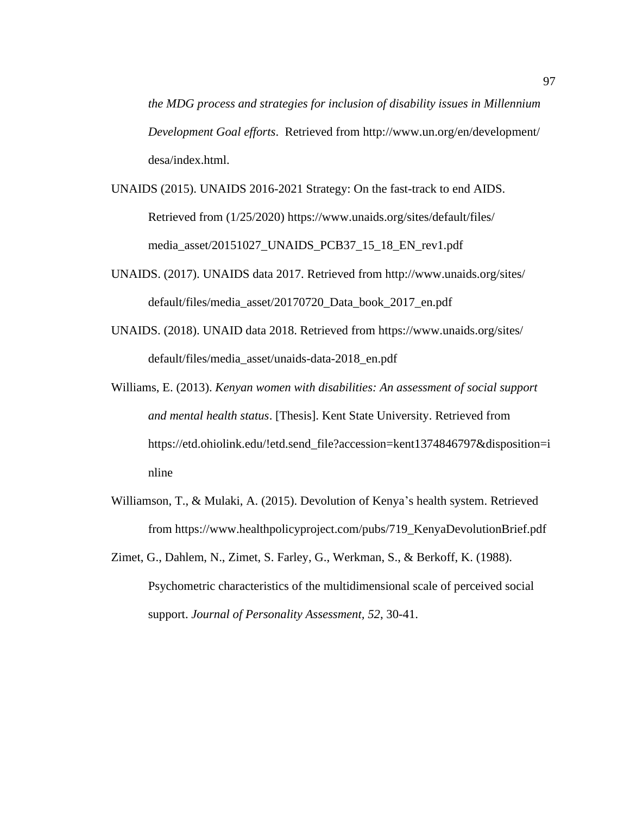*the MDG process and strategies for inclusion of disability issues in Millennium Development Goal efforts*. Retrieved from http://www.un.org/en/development/ desa/index.html.

- UNAIDS (2015). UNAIDS 2016-2021 Strategy: On the fast-track to end AIDS. Retrieved from (1/25/2020) https://www.unaids.org/sites/default/files/ media\_asset/20151027\_UNAIDS\_PCB37\_15\_18\_EN\_rev1.pdf
- UNAIDS. (2017). UNAIDS data 2017. Retrieved from http://www.unaids.org/sites/ default/files/media\_asset/20170720\_Data\_book\_2017\_en.pdf
- UNAIDS. (2018). UNAID data 2018. Retrieved from https://www.unaids.org/sites/ default/files/media\_asset/unaids-data-2018\_en.pdf
- Williams, E. (2013). *Kenyan women with disabilities: An assessment of social support and mental health status*. [Thesis]. Kent State University. Retrieved from https://etd.ohiolink.edu/!etd.send\_file?accession=kent1374846797&disposition=i nline
- Williamson, T., & Mulaki, A. (2015). Devolution of Kenya's health system. Retrieved from https://www.healthpolicyproject.com/pubs/719\_KenyaDevolutionBrief.pdf
- Zimet, G., Dahlem, N., Zimet, S. Farley, G., Werkman, S., & Berkoff, K. (1988). Psychometric characteristics of the multidimensional scale of perceived social support. *Journal of Personality Assessment, 52*, 30-41.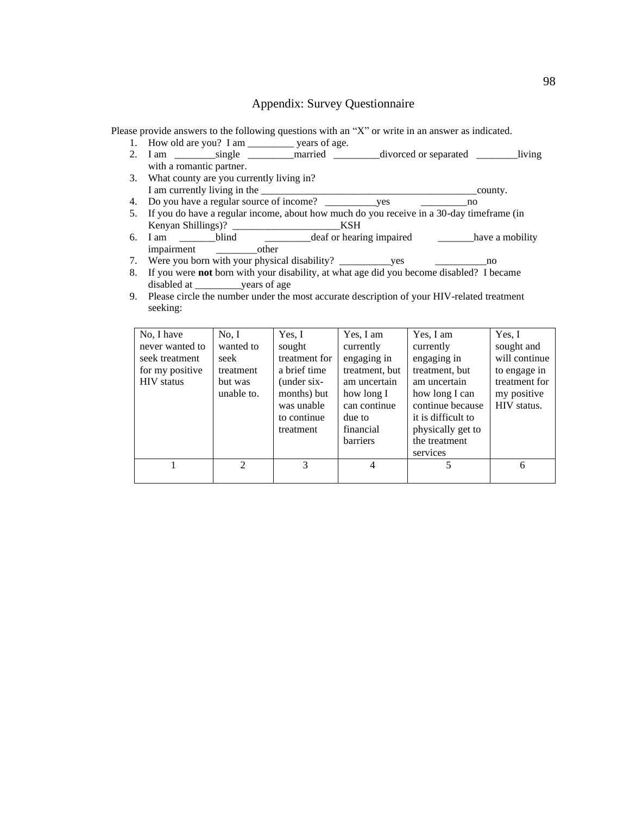## Appendix: Survey Questionnaire

Please provide answers to the following questions with an "X" or write in an answer as indicated.

- 1. How old are you? I am \_\_\_\_\_\_\_\_\_\_ years of age.
- 2. I am \_\_\_\_\_\_\_\_\_single \_\_\_\_\_\_\_\_married \_\_\_\_\_\_\_\_divorced or separated \_\_\_\_\_\_\_\_living with a romantic partner.
- 3. What county are you currently living in? I am currently living in the \_\_\_\_\_\_\_\_\_\_\_\_\_\_\_\_\_\_\_\_\_\_\_\_\_\_\_\_\_\_\_\_\_\_\_\_\_\_\_\_\_\_county.
- 4. Do you have a regular source of income? \_\_\_\_\_\_\_\_\_\_yes \_\_\_\_\_\_\_\_\_no
- 5. If you do have a regular income, about how much do you receive in a 30-day timeframe (in Kenyan Shillings)? \_\_\_\_\_\_\_\_\_\_\_\_\_\_\_\_\_\_\_\_\_KSH
- deaf or hearing impaired have a mobility impairment \_\_\_\_\_\_\_\_\_\_\_other
- 7. Were you born with your physical disability? \_\_\_\_\_\_\_\_\_\_\_yes \_\_\_\_\_\_\_\_\_\_\_\_\_\_\_\_\_\_\_no
- 8. If you were **not** born with your disability, at what age did you become disabled? I became disabled at \_\_\_\_\_\_\_\_\_years of age
- 9. Please circle the number under the most accurate description of your HIV-related treatment seeking:

| No, I have<br>never wanted to<br>seek treatment<br>for my positive<br><b>HIV</b> status | No, I<br>wanted to<br>seek<br>treatment<br>but was<br>unable to. | Yes, I<br>sought<br>treatment for<br>a brief time<br>$(under six-$<br>months) but<br>was unable<br>to continue<br>treatment | Yes, I am<br>currently<br>engaging in<br>treatment, but<br>am uncertain<br>how long I<br>can continue<br>due to<br>financial<br>barriers | Yes, I am<br>currently<br>engaging in<br>treatment, but<br>am uncertain<br>how long I can<br>continue because<br>it is difficult to<br>physically get to<br>the treatment<br>services | Yes, I<br>sought and<br>will continue<br>to engage in<br>treatment for<br>my positive<br>HIV status. |
|-----------------------------------------------------------------------------------------|------------------------------------------------------------------|-----------------------------------------------------------------------------------------------------------------------------|------------------------------------------------------------------------------------------------------------------------------------------|---------------------------------------------------------------------------------------------------------------------------------------------------------------------------------------|------------------------------------------------------------------------------------------------------|
|                                                                                         | $\mathcal{D}_{\mathcal{A}}$                                      | 3                                                                                                                           | 4                                                                                                                                        | 5                                                                                                                                                                                     | 6                                                                                                    |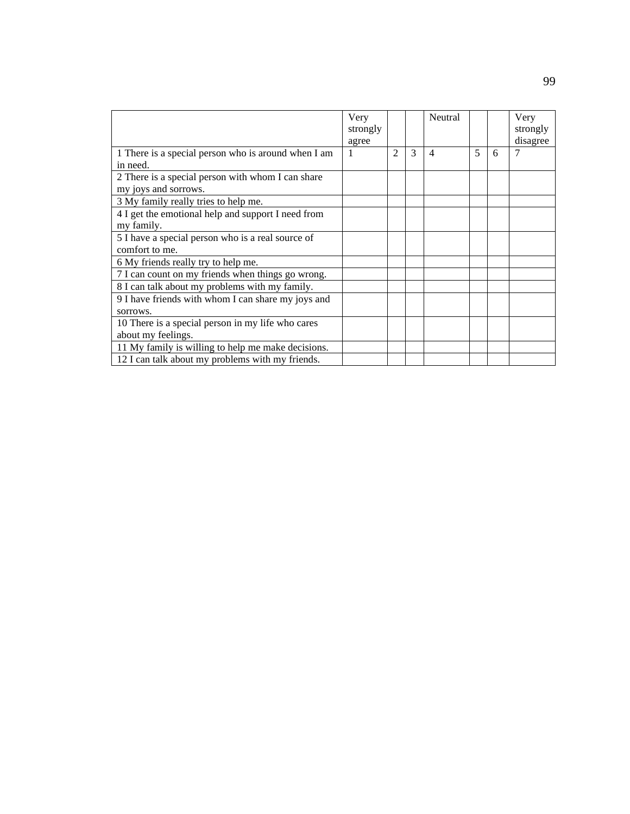|                                                     | Very<br>strongly<br>agree |                |   | Neutral        |   |   | Very<br>strongly<br>disagree |
|-----------------------------------------------------|---------------------------|----------------|---|----------------|---|---|------------------------------|
| 1 There is a special person who is around when I am | 1                         | $\mathfrak{D}$ | 3 | $\overline{4}$ | 5 | 6 | 7                            |
| in need.                                            |                           |                |   |                |   |   |                              |
| 2 There is a special person with whom I can share   |                           |                |   |                |   |   |                              |
| my joys and sorrows.                                |                           |                |   |                |   |   |                              |
| 3 My family really tries to help me.                |                           |                |   |                |   |   |                              |
| 4 I get the emotional help and support I need from  |                           |                |   |                |   |   |                              |
| my family.                                          |                           |                |   |                |   |   |                              |
| 5 I have a special person who is a real source of   |                           |                |   |                |   |   |                              |
| comfort to me.                                      |                           |                |   |                |   |   |                              |
| 6 My friends really try to help me.                 |                           |                |   |                |   |   |                              |
| 7 I can count on my friends when things go wrong.   |                           |                |   |                |   |   |                              |
| 8 I can talk about my problems with my family.      |                           |                |   |                |   |   |                              |
| 9 I have friends with whom I can share my joys and  |                           |                |   |                |   |   |                              |
| sorrows.                                            |                           |                |   |                |   |   |                              |
| 10 There is a special person in my life who cares   |                           |                |   |                |   |   |                              |
| about my feelings.                                  |                           |                |   |                |   |   |                              |
| 11 My family is willing to help me make decisions.  |                           |                |   |                |   |   |                              |
| 12 I can talk about my problems with my friends.    |                           |                |   |                |   |   |                              |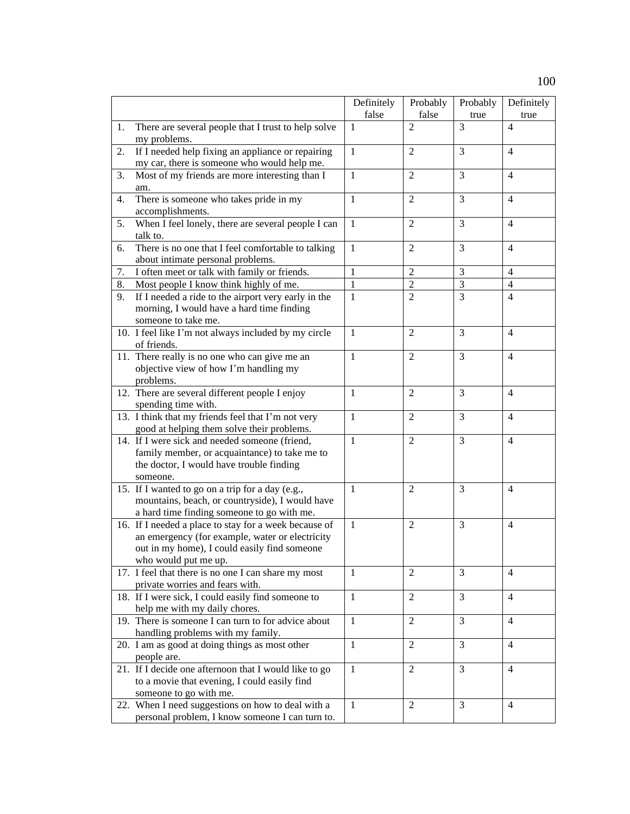|                                                                                                                                                                                  | Definitely   | Probably       | Probably       | Definitely     |
|----------------------------------------------------------------------------------------------------------------------------------------------------------------------------------|--------------|----------------|----------------|----------------|
|                                                                                                                                                                                  | false        | false          | true           | true           |
| There are several people that I trust to help solve<br>1.<br>my problems.                                                                                                        | 1            | $\overline{2}$ | 3              | $\overline{4}$ |
| If I needed help fixing an appliance or repairing<br>2.<br>my car, there is someone who would help me.                                                                           | 1            | 2              | 3              | 4              |
| Most of my friends are more interesting than I<br>3.<br>am.                                                                                                                      | 1            | $\overline{2}$ | 3              | 4              |
| 4.<br>There is someone who takes pride in my<br>accomplishments.                                                                                                                 | 1            | $\overline{2}$ | 3              | $\overline{4}$ |
| When I feel lonely, there are several people I can<br>5.<br>talk to.                                                                                                             | 1            | $\overline{2}$ | 3              | $\overline{4}$ |
| There is no one that I feel comfortable to talking<br>6.<br>about intimate personal problems.                                                                                    | 1            | $\overline{2}$ | 3              | 4              |
| 7.<br>I often meet or talk with family or friends.                                                                                                                               | 1            | $\overline{2}$ | 3              | $\overline{4}$ |
| 8.<br>Most people I know think highly of me.                                                                                                                                     | 1            | $\overline{2}$ | 3              | $\overline{4}$ |
| If I needed a ride to the airport very early in the<br>9.<br>morning, I would have a hard time finding<br>someone to take me.                                                    | 1            | $\overline{2}$ | $\overline{3}$ | $\overline{4}$ |
| 10. I feel like I'm not always included by my circle<br>of friends.                                                                                                              | 1            | $\overline{2}$ | 3              | 4              |
| 11. There really is no one who can give me an<br>objective view of how I'm handling my<br>problems.                                                                              | 1            | 2              | 3              | $\overline{4}$ |
| 12. There are several different people I enjoy<br>spending time with.                                                                                                            | 1            | $\overline{2}$ | 3              | 4              |
| 13. I think that my friends feel that I'm not very<br>good at helping them solve their problems.                                                                                 | 1            | 2              | 3              | $\overline{4}$ |
| 14. If I were sick and needed someone (friend,<br>family member, or acquaintance) to take me to<br>the doctor, I would have trouble finding<br>someone.                          | 1            | 2              | 3              | $\overline{4}$ |
| 15. If I wanted to go on a trip for a day (e.g.,<br>mountains, beach, or countryside), I would have<br>a hard time finding someone to go with me.                                | 1            | 2              | 3              | 4              |
| 16. If I needed a place to stay for a week because of<br>an emergency (for example, water or electricity<br>out in my home), I could easily find someone<br>who would put me up. | $\mathbf{1}$ | $\overline{2}$ | 3              | 4              |
| 17. I feel that there is no one I can share my most<br>private worries and fears with.                                                                                           | 1            | $\overline{2}$ | 3              | 4              |
| 18. If I were sick, I could easily find someone to<br>help me with my daily chores.                                                                                              | 1            | 2              | 3              | 4              |
| 19. There is someone I can turn to for advice about<br>handling problems with my family.                                                                                         | $\mathbf{1}$ | $\overline{2}$ | 3              | 4              |
| 20. I am as good at doing things as most other<br>people are.                                                                                                                    | $\mathbf{1}$ | 2              | 3              | 4              |
| 21. If I decide one afternoon that I would like to go<br>to a movie that evening, I could easily find<br>someone to go with me.                                                  | 1            | 2              | 3              | 4              |
| 22. When I need suggestions on how to deal with a<br>personal problem, I know someone I can turn to.                                                                             | 1            | 2              | 3              | 4              |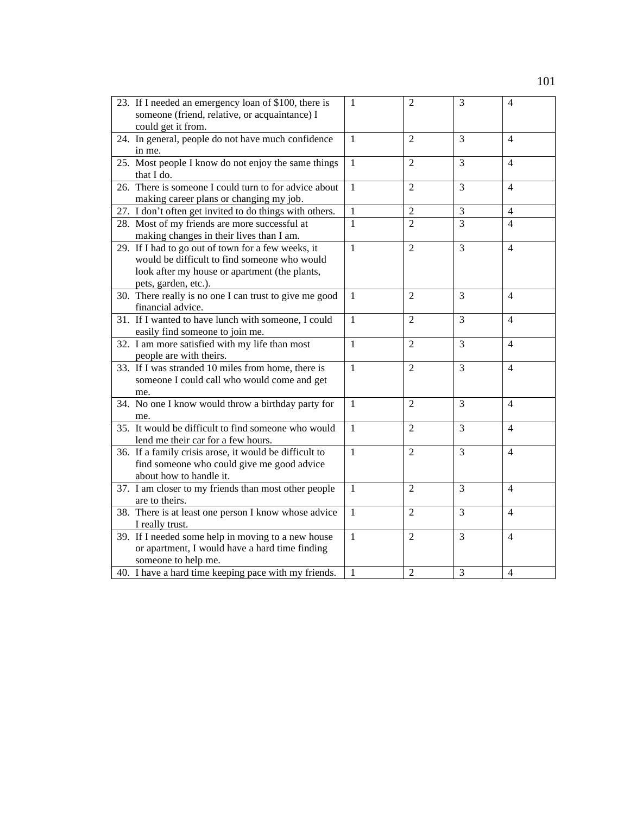| 23. If I needed an emergency loan of \$100, there is<br>someone (friend, relative, or acquaintance) I                                                                       | 1            | $\overline{2}$ | 3              | 4                        |
|-----------------------------------------------------------------------------------------------------------------------------------------------------------------------------|--------------|----------------|----------------|--------------------------|
| could get it from.                                                                                                                                                          |              |                |                |                          |
| 24. In general, people do not have much confidence<br>in me.                                                                                                                | $\mathbf{1}$ | $\overline{2}$ | 3              | $\overline{4}$           |
| 25. Most people I know do not enjoy the same things<br>that I do.                                                                                                           | $\mathbf{1}$ | $\overline{2}$ | 3              | $\overline{4}$           |
| 26. There is someone I could turn to for advice about<br>making career plans or changing my job.                                                                            | $\mathbf{1}$ | $\overline{2}$ | 3              | $\overline{4}$           |
| 27. I don't often get invited to do things with others.                                                                                                                     | 1            | $\overline{2}$ | 3              | $\overline{4}$           |
| 28. Most of my friends are more successful at<br>making changes in their lives than I am.                                                                                   | $\mathbf{1}$ | $\overline{2}$ | $\overline{3}$ | $\overline{\mathcal{L}}$ |
| 29. If I had to go out of town for a few weeks, it<br>would be difficult to find someone who would<br>look after my house or apartment (the plants,<br>pets, garden, etc.). | $\mathbf{1}$ | $\overline{2}$ | 3              | 4                        |
| 30. There really is no one I can trust to give me good<br>financial advice.                                                                                                 | $\mathbf{1}$ | $\mathfrak{D}$ | 3              | $\overline{4}$           |
| 31. If I wanted to have lunch with someone, I could<br>easily find someone to join me.                                                                                      | $\mathbf{1}$ | $\overline{2}$ | 3              | $\overline{4}$           |
| 32. I am more satisfied with my life than most<br>people are with theirs.                                                                                                   | $\mathbf{1}$ | $\overline{2}$ | 3              | $\overline{4}$           |
| 33. If I was stranded 10 miles from home, there is<br>someone I could call who would come and get<br>me.                                                                    | $\mathbf{1}$ | $\mathfrak{D}$ | 3              | $\overline{4}$           |
| 34. No one I know would throw a birthday party for<br>me.                                                                                                                   | $\mathbf{1}$ | $\overline{2}$ | 3              | 4                        |
| 35. It would be difficult to find someone who would<br>lend me their car for a few hours.                                                                                   | $\mathbf{1}$ | $\overline{2}$ | 3              | $\overline{4}$           |
| 36. If a family crisis arose, it would be difficult to<br>find someone who could give me good advice<br>about how to handle it.                                             | $\mathbf{1}$ | 2              | 3              | $\overline{4}$           |
| 37. I am closer to my friends than most other people<br>are to theirs.                                                                                                      | $\mathbf{1}$ | $\overline{2}$ | $\overline{3}$ | $\overline{4}$           |
| 38. There is at least one person I know whose advice<br>I really trust.                                                                                                     | $\mathbf{1}$ | $\overline{2}$ | 3              | $\overline{\mathcal{A}}$ |
| 39. If I needed some help in moving to a new house<br>or apartment, I would have a hard time finding<br>someone to help me.                                                 | $\mathbf{1}$ | $\overline{2}$ | 3              | $\overline{4}$           |
| 40. I have a hard time keeping pace with my friends.                                                                                                                        | 1            | $\mathfrak{D}$ | 3              | $\overline{4}$           |